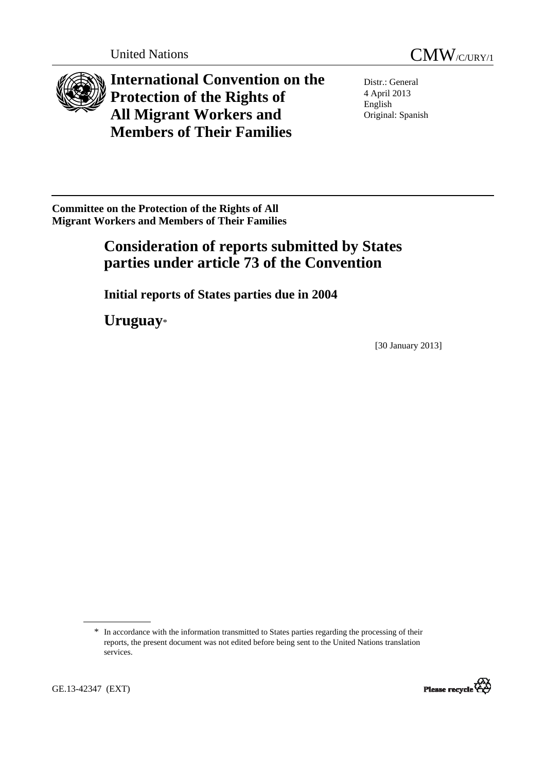



**International Convention on the Protection of the Rights of All Migrant Workers and Members of Their Families** 

Distr.: General 4 April 2013 English Original: Spanish

**Committee on the Protection of the Rights of All Migrant Workers and Members of Their Families** 

# **Consideration of reports submitted by States parties under article 73 of the Convention**

 **Initial reports of States parties due in 2004** 

 **Uruguay**\*

[30 January 2013]

<sup>\*</sup> In accordance with the information transmitted to States parties regarding the processing of their reports, the present document was not edited before being sent to the United Nations translation services.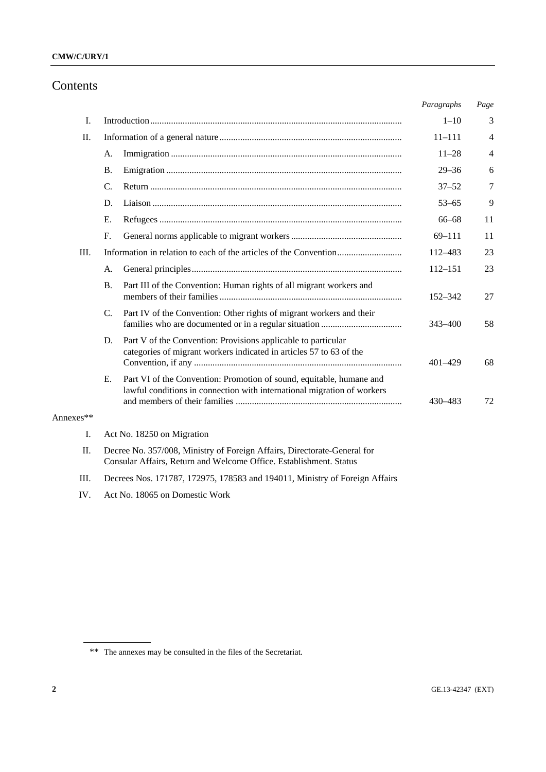# Contents

|           |                                                                                                                                                |                                                                                                                                                 | Paragraphs  | Page           |  |  |  |  |  |
|-----------|------------------------------------------------------------------------------------------------------------------------------------------------|-------------------------------------------------------------------------------------------------------------------------------------------------|-------------|----------------|--|--|--|--|--|
| I.        |                                                                                                                                                |                                                                                                                                                 | $1 - 10$    | 3              |  |  |  |  |  |
| П.        |                                                                                                                                                |                                                                                                                                                 | $11 - 111$  | 4              |  |  |  |  |  |
|           | A.                                                                                                                                             |                                                                                                                                                 | $11 - 28$   | $\overline{4}$ |  |  |  |  |  |
|           | <b>B.</b>                                                                                                                                      |                                                                                                                                                 | $29 - 36$   | 6              |  |  |  |  |  |
|           | $\mathcal{C}$ .                                                                                                                                |                                                                                                                                                 | $37 - 52$   | 7              |  |  |  |  |  |
|           | D.                                                                                                                                             |                                                                                                                                                 | $53 - 65$   | 9              |  |  |  |  |  |
|           | Ε.                                                                                                                                             |                                                                                                                                                 | 66-68       | 11             |  |  |  |  |  |
|           | $F_{\cdot}$                                                                                                                                    |                                                                                                                                                 | $69 - 111$  | 11             |  |  |  |  |  |
| III.      |                                                                                                                                                |                                                                                                                                                 | 112-483     | 23             |  |  |  |  |  |
|           | A.                                                                                                                                             |                                                                                                                                                 | $112 - 151$ | 23             |  |  |  |  |  |
|           | <b>B.</b>                                                                                                                                      | Part III of the Convention: Human rights of all migrant workers and                                                                             | 152–342     | 27             |  |  |  |  |  |
|           | $\mathcal{C}$ .                                                                                                                                | Part IV of the Convention: Other rights of migrant workers and their                                                                            | 343-400     | 58             |  |  |  |  |  |
|           | D.                                                                                                                                             | Part V of the Convention: Provisions applicable to particular<br>categories of migrant workers indicated in articles 57 to 63 of the            | $401 - 429$ | 68             |  |  |  |  |  |
|           | Ε.                                                                                                                                             | Part VI of the Convention: Promotion of sound, equitable, humane and<br>lawful conditions in connection with international migration of workers | 430-483     | 72             |  |  |  |  |  |
| Annexes** |                                                                                                                                                |                                                                                                                                                 |             |                |  |  |  |  |  |
| I.        | Act No. 18250 on Migration                                                                                                                     |                                                                                                                                                 |             |                |  |  |  |  |  |
| Π.        | Decree No. 357/008, Ministry of Foreign Affairs, Directorate-General for<br>Consular Affairs, Return and Welcome Office. Establishment. Status |                                                                                                                                                 |             |                |  |  |  |  |  |
| Ш.        | Decrees Nos. 171787, 172975, 178583 and 194011, Ministry of Foreign Affairs                                                                    |                                                                                                                                                 |             |                |  |  |  |  |  |

IV. Act No. 18065 on Domestic Work

<sup>\*\*</sup> The annexes may be consulted in the files of the Secretariat.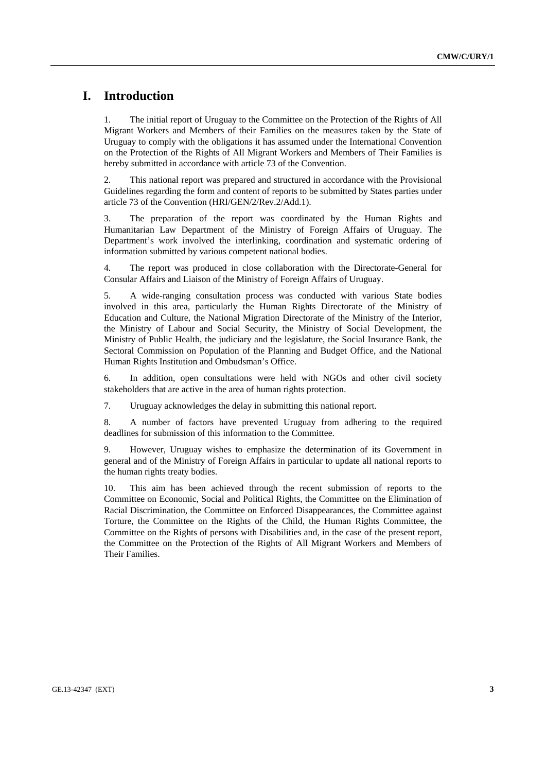# **I. Introduction**

1. The initial report of Uruguay to the Committee on the Protection of the Rights of All Migrant Workers and Members of their Families on the measures taken by the State of Uruguay to comply with the obligations it has assumed under the International Convention on the Protection of the Rights of All Migrant Workers and Members of Their Families is hereby submitted in accordance with article 73 of the Convention.

2. This national report was prepared and structured in accordance with the Provisional Guidelines regarding the form and content of reports to be submitted by States parties under article 73 of the Convention (HRI/GEN/2/Rev.2/Add.1).

3. The preparation of the report was coordinated by the Human Rights and Humanitarian Law Department of the Ministry of Foreign Affairs of Uruguay. The Department's work involved the interlinking, coordination and systematic ordering of information submitted by various competent national bodies.

4. The report was produced in close collaboration with the Directorate-General for Consular Affairs and Liaison of the Ministry of Foreign Affairs of Uruguay.

5. A wide-ranging consultation process was conducted with various State bodies involved in this area, particularly the Human Rights Directorate of the Ministry of Education and Culture, the National Migration Directorate of the Ministry of the Interior, the Ministry of Labour and Social Security, the Ministry of Social Development, the Ministry of Public Health, the judiciary and the legislature, the Social Insurance Bank, the Sectoral Commission on Population of the Planning and Budget Office, and the National Human Rights Institution and Ombudsman's Office.

6. In addition, open consultations were held with NGOs and other civil society stakeholders that are active in the area of human rights protection.

7. Uruguay acknowledges the delay in submitting this national report.

8. A number of factors have prevented Uruguay from adhering to the required deadlines for submission of this information to the Committee.

9. However, Uruguay wishes to emphasize the determination of its Government in general and of the Ministry of Foreign Affairs in particular to update all national reports to the human rights treaty bodies.

10. This aim has been achieved through the recent submission of reports to the Committee on Economic, Social and Political Rights, the Committee on the Elimination of Racial Discrimination, the Committee on Enforced Disappearances, the Committee against Torture, the Committee on the Rights of the Child, the Human Rights Committee, the Committee on the Rights of persons with Disabilities and, in the case of the present report, the Committee on the Protection of the Rights of All Migrant Workers and Members of Their Families.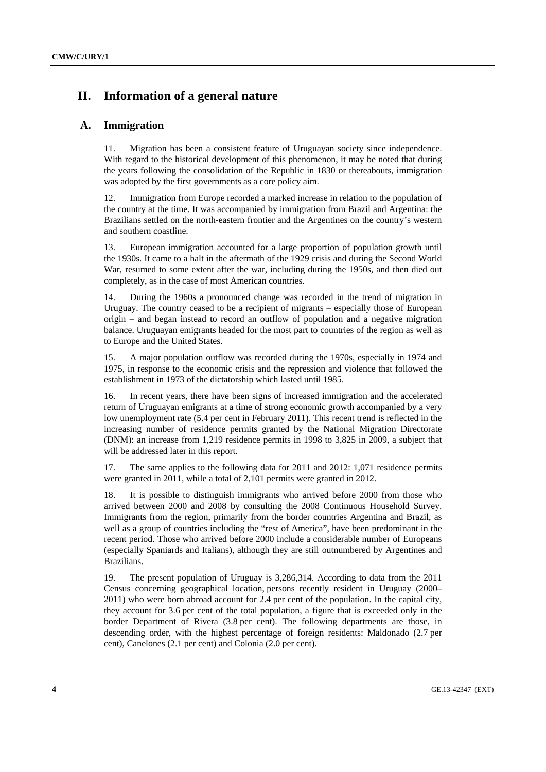# **II. Information of a general nature**

# **A. Immigration**

11. Migration has been a consistent feature of Uruguayan society since independence. With regard to the historical development of this phenomenon, it may be noted that during the years following the consolidation of the Republic in 1830 or thereabouts, immigration was adopted by the first governments as a core policy aim.

12. Immigration from Europe recorded a marked increase in relation to the population of the country at the time. It was accompanied by immigration from Brazil and Argentina: the Brazilians settled on the north-eastern frontier and the Argentines on the country's western and southern coastline.

13. European immigration accounted for a large proportion of population growth until the 1930s. It came to a halt in the aftermath of the 1929 crisis and during the Second World War, resumed to some extent after the war, including during the 1950s, and then died out completely, as in the case of most American countries.

14. During the 1960s a pronounced change was recorded in the trend of migration in Uruguay. The country ceased to be a recipient of migrants – especially those of European origin – and began instead to record an outflow of population and a negative migration balance. Uruguayan emigrants headed for the most part to countries of the region as well as to Europe and the United States.

15. A major population outflow was recorded during the 1970s, especially in 1974 and 1975, in response to the economic crisis and the repression and violence that followed the establishment in 1973 of the dictatorship which lasted until 1985.

16. In recent years, there have been signs of increased immigration and the accelerated return of Uruguayan emigrants at a time of strong economic growth accompanied by a very low unemployment rate (5.4 per cent in February 2011). This recent trend is reflected in the increasing number of residence permits granted by the National Migration Directorate (DNM): an increase from 1,219 residence permits in 1998 to 3,825 in 2009, a subject that will be addressed later in this report.

17. The same applies to the following data for 2011 and 2012: 1,071 residence permits were granted in 2011, while a total of 2,101 permits were granted in 2012.

18. It is possible to distinguish immigrants who arrived before 2000 from those who arrived between 2000 and 2008 by consulting the 2008 Continuous Household Survey. Immigrants from the region, primarily from the border countries Argentina and Brazil, as well as a group of countries including the "rest of America", have been predominant in the recent period. Those who arrived before 2000 include a considerable number of Europeans (especially Spaniards and Italians), although they are still outnumbered by Argentines and Brazilians.

19. The present population of Uruguay is 3,286,314. According to data from the 2011 Census concerning geographical location, persons recently resident in Uruguay (2000– 2011) who were born abroad account for 2.4 per cent of the population. In the capital city, they account for 3.6 per cent of the total population, a figure that is exceeded only in the border Department of Rivera (3.8 per cent). The following departments are those, in descending order, with the highest percentage of foreign residents: Maldonado (2.7 per cent), Canelones (2.1 per cent) and Colonia (2.0 per cent).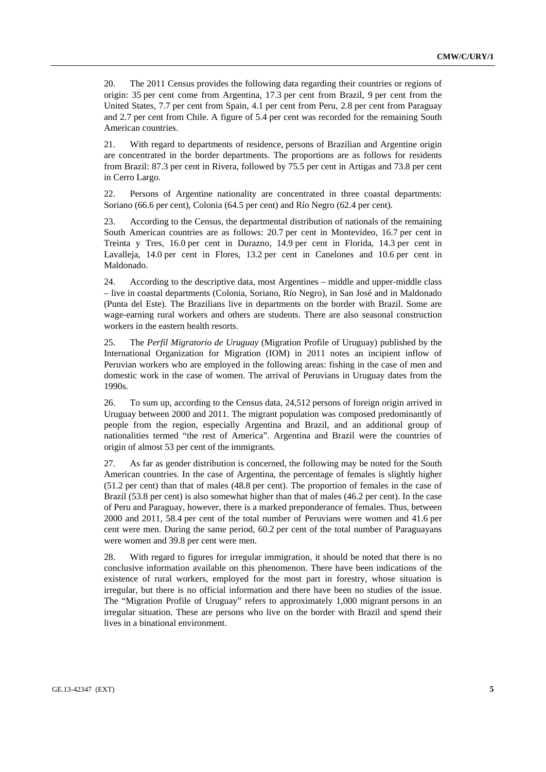20. The 2011 Census provides the following data regarding their countries or regions of origin: 35 per cent come from Argentina, 17.3 per cent from Brazil, 9 per cent from the United States, 7.7 per cent from Spain, 4.1 per cent from Peru, 2.8 per cent from Paraguay and 2.7 per cent from Chile. A figure of 5.4 per cent was recorded for the remaining South American countries.

21. With regard to departments of residence, persons of Brazilian and Argentine origin are concentrated in the border departments. The proportions are as follows for residents from Brazil: 87.3 per cent in Rivera, followed by 75.5 per cent in Artigas and 73.8 per cent in Cerro Largo.

22. Persons of Argentine nationality are concentrated in three coastal departments: Soriano (66.6 per cent), Colonia (64.5 per cent) and Río Negro (62.4 per cent).

23. According to the Census, the departmental distribution of nationals of the remaining South American countries are as follows: 20.7 per cent in Montevideo, 16.7 per cent in Treinta y Tres, 16.0 per cent in Durazno, 14.9 per cent in Florida, 14.3 per cent in Lavalleja, 14.0 per cent in Flores, 13.2 per cent in Canelones and 10.6 per cent in Maldonado.

24. According to the descriptive data, most Argentines – middle and upper-middle class – live in coastal departments (Colonia, Soriano, Río Negro), in San José and in Maldonado (Punta del Este). The Brazilians live in departments on the border with Brazil. Some are wage-earning rural workers and others are students. There are also seasonal construction workers in the eastern health resorts.

25. The *Perfil Migratorio de Uruguay* (Migration Profile of Uruguay) published by the International Organization for Migration (IOM) in 2011 notes an incipient inflow of Peruvian workers who are employed in the following areas: fishing in the case of men and domestic work in the case of women. The arrival of Peruvians in Uruguay dates from the 1990s.

26. To sum up, according to the Census data, 24,512 persons of foreign origin arrived in Uruguay between 2000 and 2011. The migrant population was composed predominantly of people from the region, especially Argentina and Brazil, and an additional group of nationalities termed "the rest of America". Argentina and Brazil were the countries of origin of almost 53 per cent of the immigrants.

27. As far as gender distribution is concerned, the following may be noted for the South American countries. In the case of Argentina, the percentage of females is slightly higher (51.2 per cent) than that of males (48.8 per cent). The proportion of females in the case of Brazil (53.8 per cent) is also somewhat higher than that of males (46.2 per cent). In the case of Peru and Paraguay, however, there is a marked preponderance of females. Thus, between 2000 and 2011, 58.4 per cent of the total number of Peruvians were women and 41.6 per cent were men. During the same period, 60.2 per cent of the total number of Paraguayans were women and 39.8 per cent were men.

28. With regard to figures for irregular immigration, it should be noted that there is no conclusive information available on this phenomenon. There have been indications of the existence of rural workers, employed for the most part in forestry, whose situation is irregular, but there is no official information and there have been no studies of the issue. The "Migration Profile of Uruguay" refers to approximately 1,000 migrant persons in an irregular situation. These are persons who live on the border with Brazil and spend their lives in a binational environment.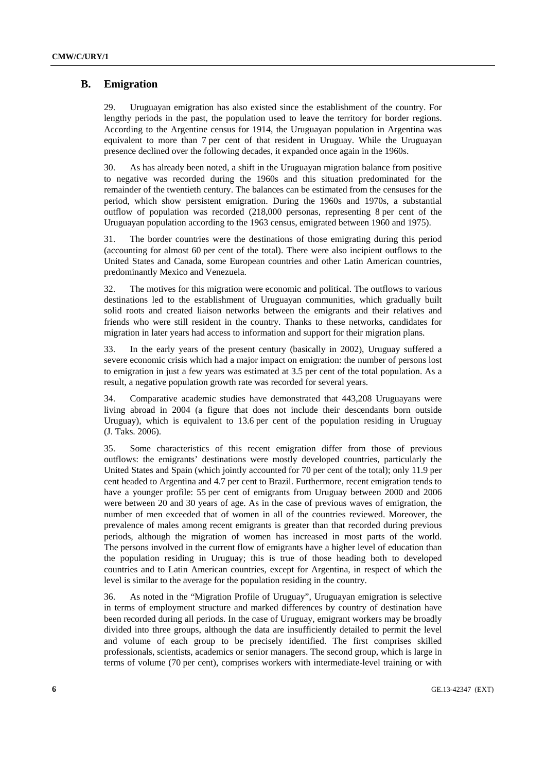# **B. Emigration**

29. Uruguayan emigration has also existed since the establishment of the country. For lengthy periods in the past, the population used to leave the territory for border regions. According to the Argentine census for 1914, the Uruguayan population in Argentina was equivalent to more than 7 per cent of that resident in Uruguay. While the Uruguayan presence declined over the following decades, it expanded once again in the 1960s.

30. As has already been noted, a shift in the Uruguayan migration balance from positive to negative was recorded during the 1960s and this situation predominated for the remainder of the twentieth century. The balances can be estimated from the censuses for the period, which show persistent emigration. During the 1960s and 1970s, a substantial outflow of population was recorded (218,000 personas, representing 8 per cent of the Uruguayan population according to the 1963 census, emigrated between 1960 and 1975).

31. The border countries were the destinations of those emigrating during this period (accounting for almost 60 per cent of the total). There were also incipient outflows to the United States and Canada, some European countries and other Latin American countries, predominantly Mexico and Venezuela.

32. The motives for this migration were economic and political. The outflows to various destinations led to the establishment of Uruguayan communities, which gradually built solid roots and created liaison networks between the emigrants and their relatives and friends who were still resident in the country. Thanks to these networks, candidates for migration in later years had access to information and support for their migration plans.

33. In the early years of the present century (basically in 2002), Uruguay suffered a severe economic crisis which had a major impact on emigration: the number of persons lost to emigration in just a few years was estimated at 3.5 per cent of the total population. As a result, a negative population growth rate was recorded for several years.

34. Comparative academic studies have demonstrated that 443,208 Uruguayans were living abroad in 2004 (a figure that does not include their descendants born outside Uruguay), which is equivalent to 13.6 per cent of the population residing in Uruguay (J. Taks. 2006).

35. Some characteristics of this recent emigration differ from those of previous outflows: the emigrants' destinations were mostly developed countries, particularly the United States and Spain (which jointly accounted for 70 per cent of the total); only 11.9 per cent headed to Argentina and 4.7 per cent to Brazil. Furthermore, recent emigration tends to have a younger profile: 55 per cent of emigrants from Uruguay between 2000 and 2006 were between 20 and 30 years of age. As in the case of previous waves of emigration, the number of men exceeded that of women in all of the countries reviewed. Moreover, the prevalence of males among recent emigrants is greater than that recorded during previous periods, although the migration of women has increased in most parts of the world. The persons involved in the current flow of emigrants have a higher level of education than the population residing in Uruguay; this is true of those heading both to developed countries and to Latin American countries, except for Argentina, in respect of which the level is similar to the average for the population residing in the country.

36. As noted in the "Migration Profile of Uruguay", Uruguayan emigration is selective in terms of employment structure and marked differences by country of destination have been recorded during all periods. In the case of Uruguay, emigrant workers may be broadly divided into three groups, although the data are insufficiently detailed to permit the level and volume of each group to be precisely identified. The first comprises skilled professionals, scientists, academics or senior managers. The second group, which is large in terms of volume (70 per cent), comprises workers with intermediate-level training or with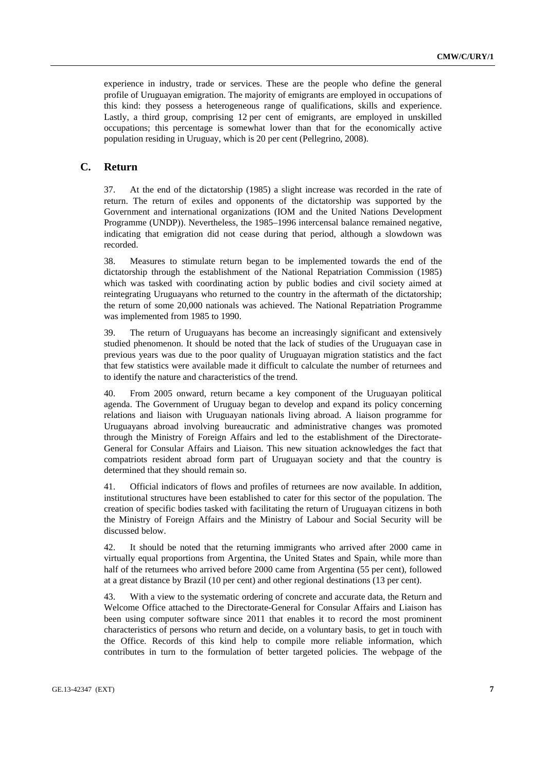experience in industry, trade or services. These are the people who define the general profile of Uruguayan emigration. The majority of emigrants are employed in occupations of this kind: they possess a heterogeneous range of qualifications, skills and experience. Lastly, a third group, comprising 12 per cent of emigrants, are employed in unskilled occupations; this percentage is somewhat lower than that for the economically active population residing in Uruguay, which is 20 per cent (Pellegrino, 2008).

# **C. Return**

37. At the end of the dictatorship (1985) a slight increase was recorded in the rate of return. The return of exiles and opponents of the dictatorship was supported by the Government and international organizations (IOM and the United Nations Development Programme (UNDP)). Nevertheless, the 1985–1996 intercensal balance remained negative, indicating that emigration did not cease during that period, although a slowdown was recorded.

38. Measures to stimulate return began to be implemented towards the end of the dictatorship through the establishment of the National Repatriation Commission (1985) which was tasked with coordinating action by public bodies and civil society aimed at reintegrating Uruguayans who returned to the country in the aftermath of the dictatorship; the return of some 20,000 nationals was achieved. The National Repatriation Programme was implemented from 1985 to 1990.

39. The return of Uruguayans has become an increasingly significant and extensively studied phenomenon. It should be noted that the lack of studies of the Uruguayan case in previous years was due to the poor quality of Uruguayan migration statistics and the fact that few statistics were available made it difficult to calculate the number of returnees and to identify the nature and characteristics of the trend.

40. From 2005 onward, return became a key component of the Uruguayan political agenda. The Government of Uruguay began to develop and expand its policy concerning relations and liaison with Uruguayan nationals living abroad. A liaison programme for Uruguayans abroad involving bureaucratic and administrative changes was promoted through the Ministry of Foreign Affairs and led to the establishment of the Directorate-General for Consular Affairs and Liaison. This new situation acknowledges the fact that compatriots resident abroad form part of Uruguayan society and that the country is determined that they should remain so.

41. Official indicators of flows and profiles of returnees are now available. In addition, institutional structures have been established to cater for this sector of the population. The creation of specific bodies tasked with facilitating the return of Uruguayan citizens in both the Ministry of Foreign Affairs and the Ministry of Labour and Social Security will be discussed below.

42. It should be noted that the returning immigrants who arrived after 2000 came in virtually equal proportions from Argentina, the United States and Spain, while more than half of the returnees who arrived before 2000 came from Argentina (55 per cent), followed at a great distance by Brazil (10 per cent) and other regional destinations (13 per cent).

43. With a view to the systematic ordering of concrete and accurate data, the Return and Welcome Office attached to the Directorate-General for Consular Affairs and Liaison has been using computer software since 2011 that enables it to record the most prominent characteristics of persons who return and decide, on a voluntary basis, to get in touch with the Office. Records of this kind help to compile more reliable information, which contributes in turn to the formulation of better targeted policies. The webpage of the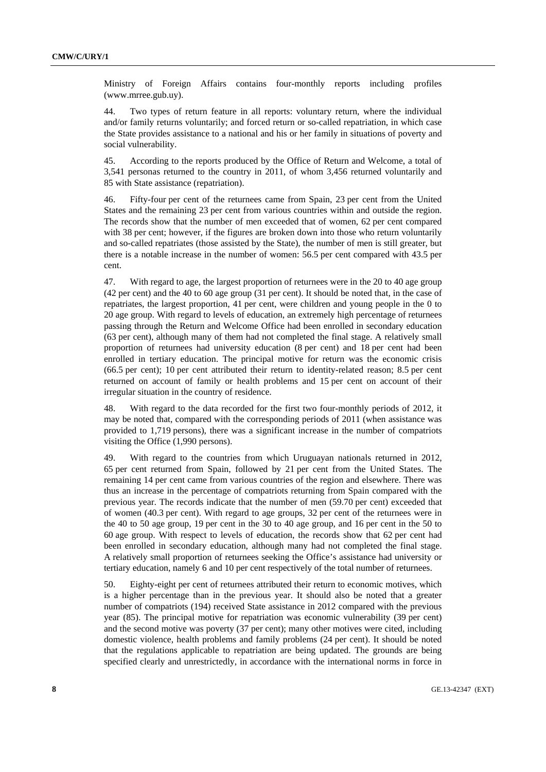Ministry of Foreign Affairs contains four-monthly reports including profiles (www.mrree.gub.uy).

44. Two types of return feature in all reports: voluntary return, where the individual and/or family returns voluntarily; and forced return or so-called repatriation, in which case the State provides assistance to a national and his or her family in situations of poverty and social vulnerability.

45. According to the reports produced by the Office of Return and Welcome, a total of 3,541 personas returned to the country in 2011, of whom 3,456 returned voluntarily and 85 with State assistance (repatriation).

46. Fifty-four per cent of the returnees came from Spain, 23 per cent from the United States and the remaining 23 per cent from various countries within and outside the region. The records show that the number of men exceeded that of women, 62 per cent compared with 38 per cent; however, if the figures are broken down into those who return voluntarily and so-called repatriates (those assisted by the State), the number of men is still greater, but there is a notable increase in the number of women: 56.5 per cent compared with 43.5 per cent.

47. With regard to age, the largest proportion of returnees were in the 20 to 40 age group (42 per cent) and the 40 to 60 age group (31 per cent). It should be noted that, in the case of repatriates, the largest proportion, 41 per cent, were children and young people in the 0 to 20 age group. With regard to levels of education, an extremely high percentage of returnees passing through the Return and Welcome Office had been enrolled in secondary education (63 per cent), although many of them had not completed the final stage. A relatively small proportion of returnees had university education (8 per cent) and 18 per cent had been enrolled in tertiary education. The principal motive for return was the economic crisis (66.5 per cent); 10 per cent attributed their return to identity-related reason; 8.5 per cent returned on account of family or health problems and 15 per cent on account of their irregular situation in the country of residence.

48. With regard to the data recorded for the first two four-monthly periods of 2012, it may be noted that, compared with the corresponding periods of 2011 (when assistance was provided to 1,719 persons), there was a significant increase in the number of compatriots visiting the Office (1,990 persons).

49. With regard to the countries from which Uruguayan nationals returned in 2012, 65 per cent returned from Spain, followed by 21 per cent from the United States. The remaining 14 per cent came from various countries of the region and elsewhere. There was thus an increase in the percentage of compatriots returning from Spain compared with the previous year. The records indicate that the number of men (59.70 per cent) exceeded that of women (40.3 per cent). With regard to age groups, 32 per cent of the returnees were in the 40 to 50 age group, 19 per cent in the 30 to 40 age group, and 16 per cent in the 50 to 60 age group. With respect to levels of education, the records show that 62 per cent had been enrolled in secondary education, although many had not completed the final stage. A relatively small proportion of returnees seeking the Office's assistance had university or tertiary education, namely 6 and 10 per cent respectively of the total number of returnees.

50. Eighty-eight per cent of returnees attributed their return to economic motives, which is a higher percentage than in the previous year. It should also be noted that a greater number of compatriots (194) received State assistance in 2012 compared with the previous year (85). The principal motive for repatriation was economic vulnerability (39 per cent) and the second motive was poverty (37 per cent); many other motives were cited, including domestic violence, health problems and family problems (24 per cent). It should be noted that the regulations applicable to repatriation are being updated. The grounds are being specified clearly and unrestrictedly, in accordance with the international norms in force in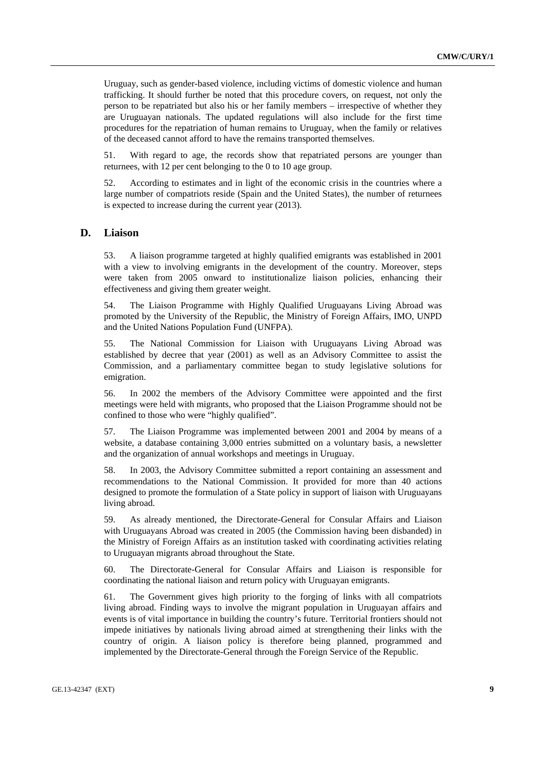Uruguay, such as gender-based violence, including victims of domestic violence and human trafficking. It should further be noted that this procedure covers, on request, not only the person to be repatriated but also his or her family members – irrespective of whether they are Uruguayan nationals. The updated regulations will also include for the first time procedures for the repatriation of human remains to Uruguay, when the family or relatives of the deceased cannot afford to have the remains transported themselves.

51. With regard to age, the records show that repatriated persons are younger than returnees, with 12 per cent belonging to the 0 to 10 age group.

52. According to estimates and in light of the economic crisis in the countries where a large number of compatriots reside (Spain and the United States), the number of returnees is expected to increase during the current year (2013).

# **D. Liaison**

53. A liaison programme targeted at highly qualified emigrants was established in 2001 with a view to involving emigrants in the development of the country. Moreover, steps were taken from 2005 onward to institutionalize liaison policies, enhancing their effectiveness and giving them greater weight.

54. The Liaison Programme with Highly Qualified Uruguayans Living Abroad was promoted by the University of the Republic, the Ministry of Foreign Affairs, IMO, UNPD and the United Nations Population Fund (UNFPA).

55. The National Commission for Liaison with Uruguayans Living Abroad was established by decree that year (2001) as well as an Advisory Committee to assist the Commission, and a parliamentary committee began to study legislative solutions for emigration.

56. In 2002 the members of the Advisory Committee were appointed and the first meetings were held with migrants, who proposed that the Liaison Programme should not be confined to those who were "highly qualified".

57. The Liaison Programme was implemented between 2001 and 2004 by means of a website, a database containing 3,000 entries submitted on a voluntary basis, a newsletter and the organization of annual workshops and meetings in Uruguay.

58. In 2003, the Advisory Committee submitted a report containing an assessment and recommendations to the National Commission. It provided for more than 40 actions designed to promote the formulation of a State policy in support of liaison with Uruguayans living abroad.

59. As already mentioned, the Directorate-General for Consular Affairs and Liaison with Uruguayans Abroad was created in 2005 (the Commission having been disbanded) in the Ministry of Foreign Affairs as an institution tasked with coordinating activities relating to Uruguayan migrants abroad throughout the State.

60. The Directorate-General for Consular Affairs and Liaison is responsible for coordinating the national liaison and return policy with Uruguayan emigrants.

61. The Government gives high priority to the forging of links with all compatriots living abroad. Finding ways to involve the migrant population in Uruguayan affairs and events is of vital importance in building the country's future. Territorial frontiers should not impede initiatives by nationals living abroad aimed at strengthening their links with the country of origin. A liaison policy is therefore being planned, programmed and implemented by the Directorate-General through the Foreign Service of the Republic.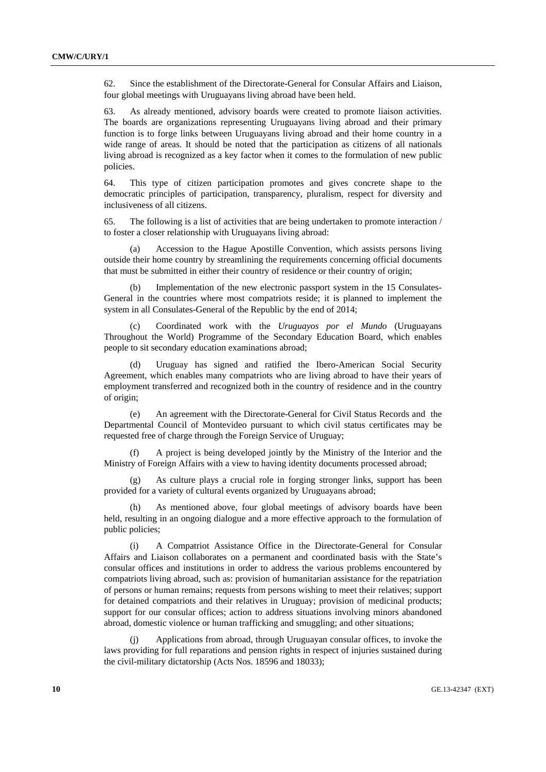62. Since the establishment of the Directorate-General for Consular Affairs and Liaison, four global meetings with Uruguayans living abroad have been held.

63. As already mentioned, advisory boards were created to promote liaison activities. The boards are organizations representing Uruguayans living abroad and their primary function is to forge links between Uruguayans living abroad and their home country in a wide range of areas. It should be noted that the participation as citizens of all nationals living abroad is recognized as a key factor when it comes to the formulation of new public policies.

64. This type of citizen participation promotes and gives concrete shape to the democratic principles of participation, transparency, pluralism, respect for diversity and inclusiveness of all citizens.

65. The following is a list of activities that are being undertaken to promote interaction / to foster a closer relationship with Uruguayans living abroad:

 (a) Accession to the Hague Apostille Convention, which assists persons living outside their home country by streamlining the requirements concerning official documents that must be submitted in either their country of residence or their country of origin;

Implementation of the new electronic passport system in the 15 Consulates-General in the countries where most compatriots reside; it is planned to implement the system in all Consulates-General of the Republic by the end of 2014;

 (c) Coordinated work with the *Uruguayos por el Mundo* (Uruguayans Throughout the World) Programme of the Secondary Education Board, which enables people to sit secondary education examinations abroad;

Uruguay has signed and ratified the Ibero-American Social Security Agreement, which enables many compatriots who are living abroad to have their years of employment transferred and recognized both in the country of residence and in the country of origin;

 (e) An agreement with the Directorate-General for Civil Status Records and the Departmental Council of Montevideo pursuant to which civil status certificates may be requested free of charge through the Foreign Service of Uruguay;

 (f) A project is being developed jointly by the Ministry of the Interior and the Ministry of Foreign Affairs with a view to having identity documents processed abroad;

 (g) As culture plays a crucial role in forging stronger links, support has been provided for a variety of cultural events organized by Uruguayans abroad;

 (h) As mentioned above, four global meetings of advisory boards have been held, resulting in an ongoing dialogue and a more effective approach to the formulation of public policies;

 (i) A Compatriot Assistance Office in the Directorate-General for Consular Affairs and Liaison collaborates on a permanent and coordinated basis with the State's consular offices and institutions in order to address the various problems encountered by compatriots living abroad, such as: provision of humanitarian assistance for the repatriation of persons or human remains; requests from persons wishing to meet their relatives; support for detained compatriots and their relatives in Uruguay; provision of medicinal products; support for our consular offices; action to address situations involving minors abandoned abroad, domestic violence or human trafficking and smuggling; and other situations;

 (j) Applications from abroad, through Uruguayan consular offices, to invoke the laws providing for full reparations and pension rights in respect of injuries sustained during the civil-military dictatorship (Acts Nos. 18596 and 18033);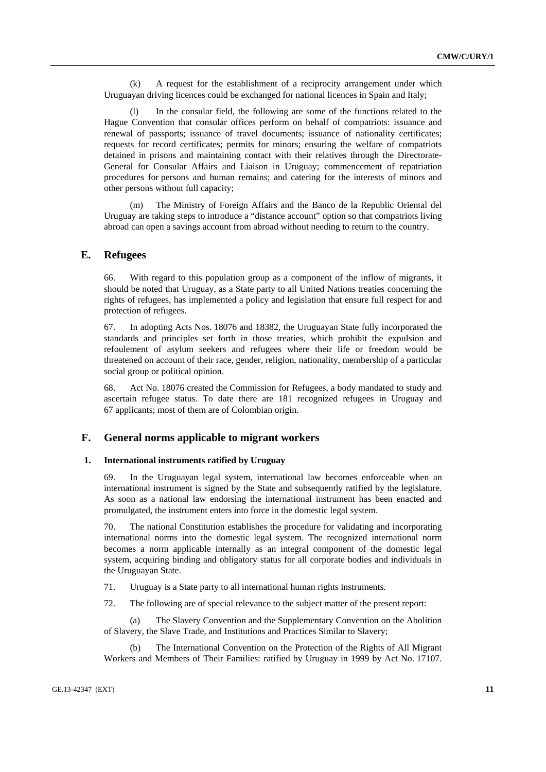(k) A request for the establishment of a reciprocity arrangement under which Uruguayan driving licences could be exchanged for national licences in Spain and Italy;

In the consular field, the following are some of the functions related to the Hague Convention that consular offices perform on behalf of compatriots: issuance and renewal of passports; issuance of travel documents; issuance of nationality certificates; requests for record certificates; permits for minors; ensuring the welfare of compatriots detained in prisons and maintaining contact with their relatives through the Directorate-General for Consular Affairs and Liaison in Uruguay; commencement of repatriation procedures for persons and human remains; and catering for the interests of minors and other persons without full capacity;

 (m) The Ministry of Foreign Affairs and the Banco de la Republic Oriental del Uruguay are taking steps to introduce a "distance account" option so that compatriots living abroad can open a savings account from abroad without needing to return to the country.

## **E. Refugees**

66. With regard to this population group as a component of the inflow of migrants, it should be noted that Uruguay, as a State party to all United Nations treaties concerning the rights of refugees, has implemented a policy and legislation that ensure full respect for and protection of refugees.

67. In adopting Acts Nos. 18076 and 18382, the Uruguayan State fully incorporated the standards and principles set forth in those treaties, which prohibit the expulsion and refoulement of asylum seekers and refugees where their life or freedom would be threatened on account of their race, gender, religion, nationality, membership of a particular social group or political opinion.

68. Act No. 18076 created the Commission for Refugees, a body mandated to study and ascertain refugee status. To date there are 181 recognized refugees in Uruguay and 67 applicants; most of them are of Colombian origin.

# **F. General norms applicable to migrant workers**

#### **1. International instruments ratified by Uruguay**

69. In the Uruguayan legal system, international law becomes enforceable when an international instrument is signed by the State and subsequently ratified by the legislature. As soon as a national law endorsing the international instrument has been enacted and promulgated, the instrument enters into force in the domestic legal system.

70. The national Constitution establishes the procedure for validating and incorporating international norms into the domestic legal system. The recognized international norm becomes a norm applicable internally as an integral component of the domestic legal system, acquiring binding and obligatory status for all corporate bodies and individuals in the Uruguayan State.

71. Uruguay is a State party to all international human rights instruments.

72. The following are of special relevance to the subject matter of the present report:

 (a) The Slavery Convention and the Supplementary Convention on the Abolition of Slavery, the Slave Trade, and Institutions and Practices Similar to Slavery;

The International Convention on the Protection of the Rights of All Migrant Workers and Members of Their Families: ratified by Uruguay in 1999 by Act No. 17107.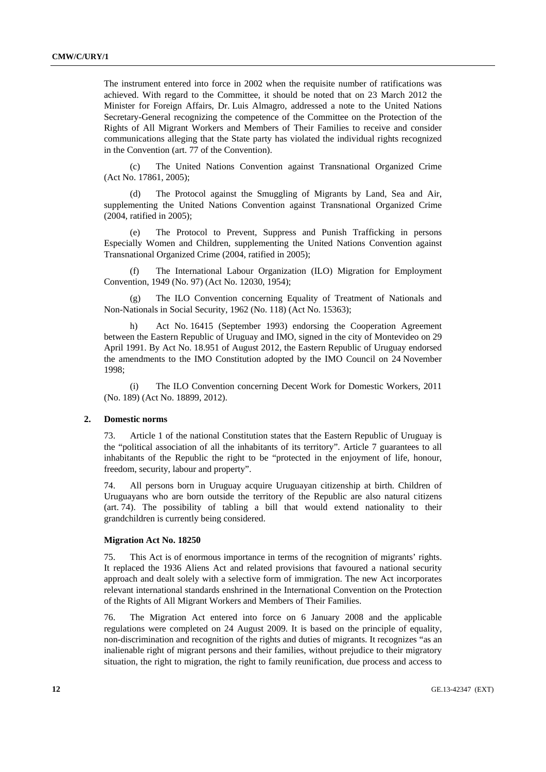The instrument entered into force in 2002 when the requisite number of ratifications was achieved. With regard to the Committee, it should be noted that on 23 March 2012 the Minister for Foreign Affairs, Dr. Luis Almagro, addressed a note to the United Nations Secretary-General recognizing the competence of the Committee on the Protection of the Rights of All Migrant Workers and Members of Their Families to receive and consider communications alleging that the State party has violated the individual rights recognized in the Convention (art. 77 of the Convention).

 (c) The United Nations Convention against Transnational Organized Crime (Act No. 17861, 2005);

 (d) The Protocol against the Smuggling of Migrants by Land, Sea and Air, supplementing the United Nations Convention against Transnational Organized Crime (2004, ratified in 2005);

 (e) The Protocol to Prevent, Suppress and Punish Trafficking in persons Especially Women and Children, supplementing the United Nations Convention against Transnational Organized Crime (2004, ratified in 2005);

 (f) The International Labour Organization (ILO) Migration for Employment Convention, 1949 (No. 97) (Act No. 12030, 1954);

 (g) The ILO Convention concerning Equality of Treatment of Nationals and Non-Nationals in Social Security, 1962 (No. 118) (Act No. 15363);

 h) Act No. 16415 (September 1993) endorsing the Cooperation Agreement between the Eastern Republic of Uruguay and IMO, signed in the city of Montevideo on 29 April 1991. By Act No. 18.951 of August 2012, the Eastern Republic of Uruguay endorsed the amendments to the IMO Constitution adopted by the IMO Council on 24 November 1998;

 (i) The ILO Convention concerning Decent Work for Domestic Workers, 2011 (No. 189) (Act No. 18899, 2012).

#### **2. Domestic norms**

73. Article 1 of the national Constitution states that the Eastern Republic of Uruguay is the "political association of all the inhabitants of its territory". Article 7 guarantees to all inhabitants of the Republic the right to be "protected in the enjoyment of life, honour, freedom, security, labour and property".

74. All persons born in Uruguay acquire Uruguayan citizenship at birth. Children of Uruguayans who are born outside the territory of the Republic are also natural citizens (art. 74). The possibility of tabling a bill that would extend nationality to their grandchildren is currently being considered.

#### **Migration Act No. 18250**

75. This Act is of enormous importance in terms of the recognition of migrants' rights. It replaced the 1936 Aliens Act and related provisions that favoured a national security approach and dealt solely with a selective form of immigration. The new Act incorporates relevant international standards enshrined in the International Convention on the Protection of the Rights of All Migrant Workers and Members of Their Families.

76. The Migration Act entered into force on 6 January 2008 and the applicable regulations were completed on 24 August 2009. It is based on the principle of equality, non-discrimination and recognition of the rights and duties of migrants. It recognizes "as an inalienable right of migrant persons and their families, without prejudice to their migratory situation, the right to migration, the right to family reunification, due process and access to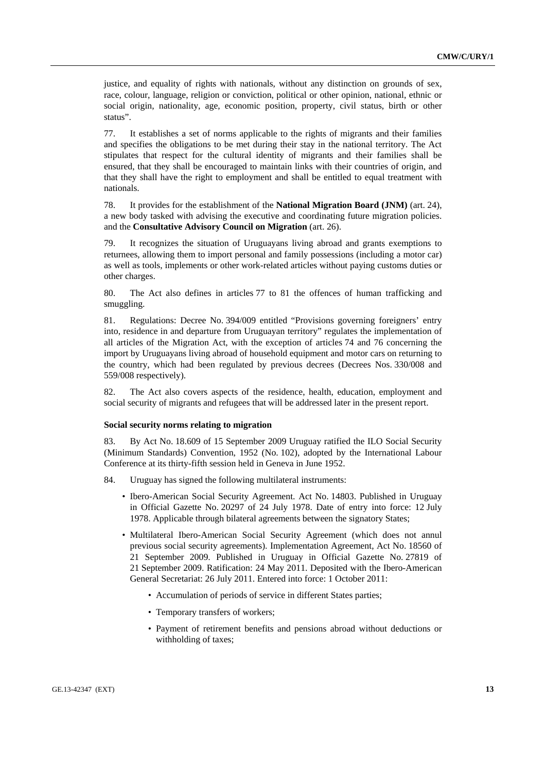justice, and equality of rights with nationals, without any distinction on grounds of sex, race, colour, language, religion or conviction, political or other opinion, national, ethnic or social origin, nationality, age, economic position, property, civil status, birth or other status".

77. It establishes a set of norms applicable to the rights of migrants and their families and specifies the obligations to be met during their stay in the national territory. The Act stipulates that respect for the cultural identity of migrants and their families shall be ensured, that they shall be encouraged to maintain links with their countries of origin, and that they shall have the right to employment and shall be entitled to equal treatment with nationals.

78. It provides for the establishment of the **National Migration Board (JNM)** (art. 24), a new body tasked with advising the executive and coordinating future migration policies. and the **Consultative Advisory Council on Migration** (art. 26).

79. It recognizes the situation of Uruguayans living abroad and grants exemptions to returnees, allowing them to import personal and family possessions (including a motor car) as well as tools, implements or other work-related articles without paying customs duties or other charges.

80. The Act also defines in articles 77 to 81 the offences of human trafficking and smuggling.

81. Regulations: Decree No. 394/009 entitled "Provisions governing foreigners' entry into, residence in and departure from Uruguayan territory" regulates the implementation of all articles of the Migration Act, with the exception of articles 74 and 76 concerning the import by Uruguayans living abroad of household equipment and motor cars on returning to the country, which had been regulated by previous decrees (Decrees Nos. 330/008 and 559/008 respectively).

82. The Act also covers aspects of the residence, health, education, employment and social security of migrants and refugees that will be addressed later in the present report.

#### **Social security norms relating to migration**

83. By Act No. 18.609 of 15 September 2009 Uruguay ratified the ILO Social Security (Minimum Standards) Convention, 1952 (No. 102), adopted by the International Labour Conference at its thirty-fifth session held in Geneva in June 1952.

- 84. Uruguay has signed the following multilateral instruments:
	- Ibero-American Social Security Agreement. Act No. 14803. Published in Uruguay in Official Gazette No. 20297 of 24 July 1978. Date of entry into force: 12 July 1978. Applicable through bilateral agreements between the signatory States;
	- Multilateral Ibero-American Social Security Agreement (which does not annul previous social security agreements). Implementation Agreement, Act No. 18560 of 21 September 2009. Published in Uruguay in Official Gazette No. 27819 of 21 September 2009. Ratification: 24 May 2011. Deposited with the Ibero-American General Secretariat: 26 July 2011. Entered into force: 1 October 2011:
		- Accumulation of periods of service in different States parties;
		- Temporary transfers of workers;
		- Payment of retirement benefits and pensions abroad without deductions or withholding of taxes;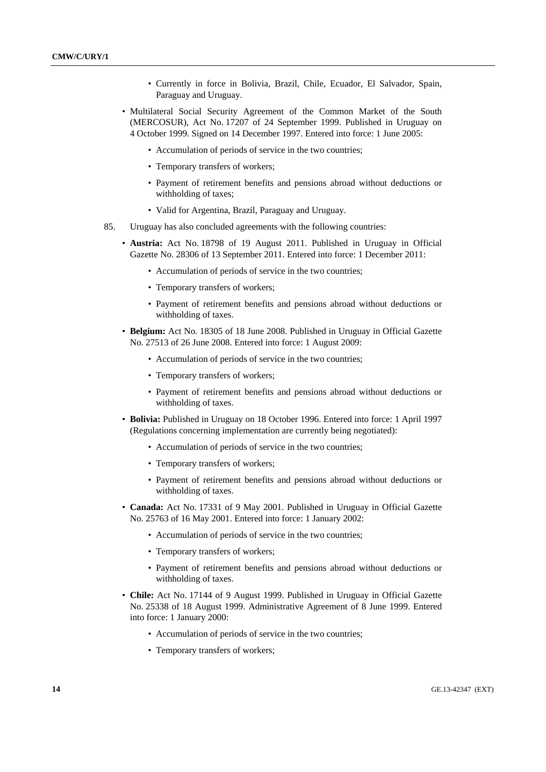- Currently in force in Bolivia, Brazil, Chile, Ecuador, El Salvador, Spain, Paraguay and Uruguay.
- Multilateral Social Security Agreement of the Common Market of the South (MERCOSUR), Act No. 17207 of 24 September 1999. Published in Uruguay on 4 October 1999. Signed on 14 December 1997. Entered into force: 1 June 2005:
	- Accumulation of periods of service in the two countries;
	- Temporary transfers of workers;
	- Payment of retirement benefits and pensions abroad without deductions or withholding of taxes;
	- Valid for Argentina, Brazil, Paraguay and Uruguay.
- 85. Uruguay has also concluded agreements with the following countries:
	- **Austria:** Act No. 18798 of 19 August 2011. Published in Uruguay in Official Gazette No. 28306 of 13 September 2011. Entered into force: 1 December 2011:
		- Accumulation of periods of service in the two countries;
		- Temporary transfers of workers;
		- Payment of retirement benefits and pensions abroad without deductions or withholding of taxes.
	- **Belgium:** Act No. 18305 of 18 June 2008. Published in Uruguay in Official Gazette No. 27513 of 26 June 2008. Entered into force: 1 August 2009:
		- Accumulation of periods of service in the two countries;
		- Temporary transfers of workers;
		- Payment of retirement benefits and pensions abroad without deductions or withholding of taxes.
	- **Bolivia:** Published in Uruguay on 18 October 1996. Entered into force: 1 April 1997 (Regulations concerning implementation are currently being negotiated):
		- Accumulation of periods of service in the two countries;
		- Temporary transfers of workers;
		- Payment of retirement benefits and pensions abroad without deductions or withholding of taxes.
	- **Canada:** Act No. 17331 of 9 May 2001. Published in Uruguay in Official Gazette No. 25763 of 16 May 2001. Entered into force: 1 January 2002:
		- Accumulation of periods of service in the two countries;
		- Temporary transfers of workers;
		- Payment of retirement benefits and pensions abroad without deductions or withholding of taxes.
	- **Chile:** Act No. 17144 of 9 August 1999. Published in Uruguay in Official Gazette No. 25338 of 18 August 1999. Administrative Agreement of 8 June 1999. Entered into force: 1 January 2000:
		- Accumulation of periods of service in the two countries;
		- Temporary transfers of workers;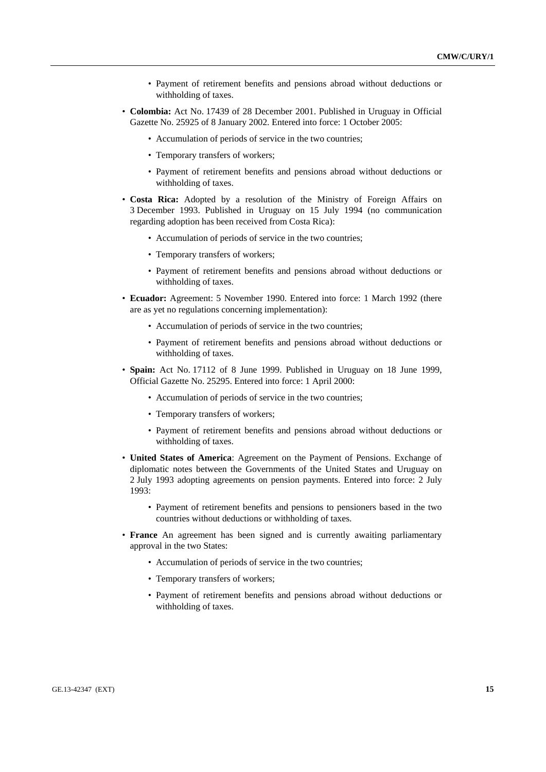- Payment of retirement benefits and pensions abroad without deductions or withholding of taxes.
- **Colombia:** Act No. 17439 of 28 December 2001. Published in Uruguay in Official Gazette No. 25925 of 8 January 2002. Entered into force: 1 October 2005:
	- Accumulation of periods of service in the two countries;
	- Temporary transfers of workers;
	- Payment of retirement benefits and pensions abroad without deductions or withholding of taxes.
- **Costa Rica:** Adopted by a resolution of the Ministry of Foreign Affairs on 3 December 1993. Published in Uruguay on 15 July 1994 (no communication regarding adoption has been received from Costa Rica):
	- Accumulation of periods of service in the two countries;
	- Temporary transfers of workers;
	- Payment of retirement benefits and pensions abroad without deductions or withholding of taxes.
- **Ecuador:** Agreement: 5 November 1990. Entered into force: 1 March 1992 (there are as yet no regulations concerning implementation):
	- Accumulation of periods of service in the two countries;
	- Payment of retirement benefits and pensions abroad without deductions or withholding of taxes.
- **Spain:** Act No. 17112 of 8 June 1999. Published in Uruguay on 18 June 1999, Official Gazette No. 25295. Entered into force: 1 April 2000:
	- Accumulation of periods of service in the two countries;
	- Temporary transfers of workers;
	- Payment of retirement benefits and pensions abroad without deductions or withholding of taxes.
- **United States of America**: Agreement on the Payment of Pensions. Exchange of diplomatic notes between the Governments of the United States and Uruguay on 2 July 1993 adopting agreements on pension payments. Entered into force: 2 July 1993:
	- Payment of retirement benefits and pensions to pensioners based in the two countries without deductions or withholding of taxes.
- **France** An agreement has been signed and is currently awaiting parliamentary approval in the two States:
	- Accumulation of periods of service in the two countries;
	- Temporary transfers of workers;
	- Payment of retirement benefits and pensions abroad without deductions or withholding of taxes.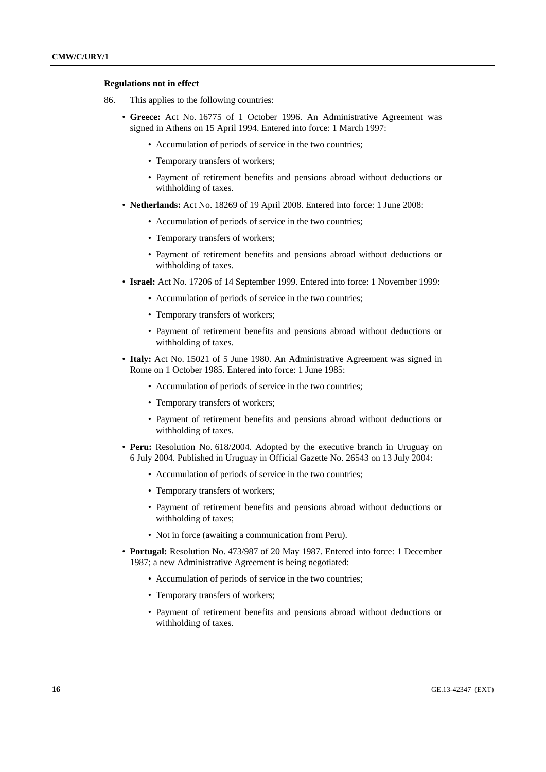#### **Regulations not in effect**

- 86. This applies to the following countries:
	- **Greece:** Act No. 16775 of 1 October 1996. An Administrative Agreement was signed in Athens on 15 April 1994. Entered into force: 1 March 1997:
		- Accumulation of periods of service in the two countries;
		- Temporary transfers of workers;
		- Payment of retirement benefits and pensions abroad without deductions or withholding of taxes.
	- **Netherlands:** Act No. 18269 of 19 April 2008. Entered into force: 1 June 2008:
		- Accumulation of periods of service in the two countries;
		- Temporary transfers of workers;
		- Payment of retirement benefits and pensions abroad without deductions or withholding of taxes.
	- **Israel:** Act No. 17206 of 14 September 1999. Entered into force: 1 November 1999:
		- Accumulation of periods of service in the two countries;
		- Temporary transfers of workers;
		- Payment of retirement benefits and pensions abroad without deductions or withholding of taxes.
	- **Italy:** Act No. 15021 of 5 June 1980. An Administrative Agreement was signed in Rome on 1 October 1985. Entered into force: 1 June 1985:
		- Accumulation of periods of service in the two countries;
		- Temporary transfers of workers;
		- Payment of retirement benefits and pensions abroad without deductions or withholding of taxes.
	- **Peru:** Resolution No. 618/2004. Adopted by the executive branch in Uruguay on 6 July 2004. Published in Uruguay in Official Gazette No. 26543 on 13 July 2004:
		- Accumulation of periods of service in the two countries;
		- Temporary transfers of workers;
		- Payment of retirement benefits and pensions abroad without deductions or withholding of taxes;
		- Not in force (awaiting a communication from Peru).
	- **Portugal:** Resolution No. 473/987 of 20 May 1987. Entered into force: 1 December 1987; a new Administrative Agreement is being negotiated:
		- Accumulation of periods of service in the two countries;
		- Temporary transfers of workers;
		- Payment of retirement benefits and pensions abroad without deductions or withholding of taxes.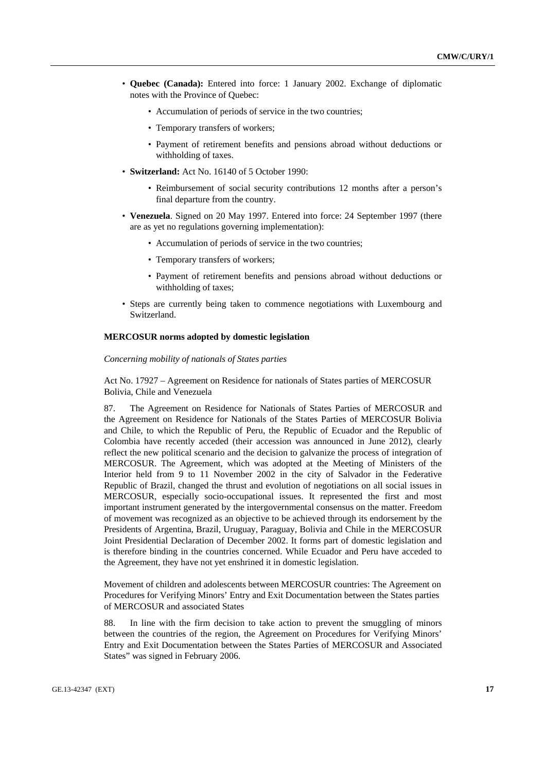- **Quebec (Canada):** Entered into force: 1 January 2002. Exchange of diplomatic notes with the Province of Quebec:
	- Accumulation of periods of service in the two countries;
	- Temporary transfers of workers;
	- Payment of retirement benefits and pensions abroad without deductions or withholding of taxes.
- **Switzerland:** Act No. 16140 of 5 October 1990:
	- Reimbursement of social security contributions 12 months after a person's final departure from the country.
- **Venezuela**. Signed on 20 May 1997. Entered into force: 24 September 1997 (there are as yet no regulations governing implementation):
	- Accumulation of periods of service in the two countries;
	- Temporary transfers of workers;
	- Payment of retirement benefits and pensions abroad without deductions or withholding of taxes;
- Steps are currently being taken to commence negotiations with Luxembourg and Switzerland.

### **MERCOSUR norms adopted by domestic legislation**

 *Concerning mobility of nationals of States parties* 

 Act No. 17927 – Agreement on Residence for nationals of States parties of MERCOSUR Bolivia, Chile and Venezuela

87. The Agreement on Residence for Nationals of States Parties of MERCOSUR and the Agreement on Residence for Nationals of the States Parties of MERCOSUR Bolivia and Chile, to which the Republic of Peru, the Republic of Ecuador and the Republic of Colombia have recently acceded (their accession was announced in June 2012), clearly reflect the new political scenario and the decision to galvanize the process of integration of MERCOSUR. The Agreement, which was adopted at the Meeting of Ministers of the Interior held from 9 to 11 November 2002 in the city of Salvador in the Federative Republic of Brazil, changed the thrust and evolution of negotiations on all social issues in MERCOSUR, especially socio-occupational issues. It represented the first and most important instrument generated by the intergovernmental consensus on the matter. Freedom of movement was recognized as an objective to be achieved through its endorsement by the Presidents of Argentina, Brazil, Uruguay, Paraguay, Bolivia and Chile in the MERCOSUR Joint Presidential Declaration of December 2002. It forms part of domestic legislation and is therefore binding in the countries concerned. While Ecuador and Peru have acceded to the Agreement, they have not yet enshrined it in domestic legislation.

 Movement of children and adolescents between MERCOSUR countries: The Agreement on Procedures for Verifying Minors' Entry and Exit Documentation between the States parties of MERCOSUR and associated States

88. In line with the firm decision to take action to prevent the smuggling of minors between the countries of the region, the Agreement on Procedures for Verifying Minors' Entry and Exit Documentation between the States Parties of MERCOSUR and Associated States" was signed in February 2006.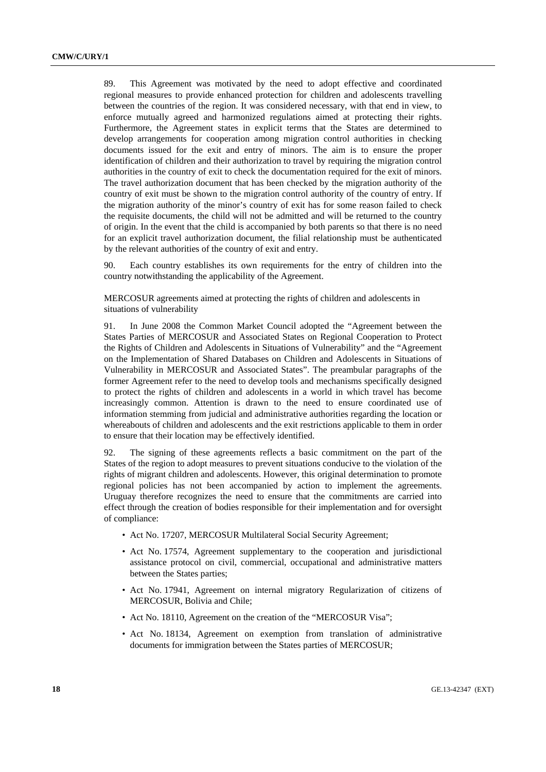89. This Agreement was motivated by the need to adopt effective and coordinated regional measures to provide enhanced protection for children and adolescents travelling between the countries of the region. It was considered necessary, with that end in view, to enforce mutually agreed and harmonized regulations aimed at protecting their rights. Furthermore, the Agreement states in explicit terms that the States are determined to develop arrangements for cooperation among migration control authorities in checking documents issued for the exit and entry of minors. The aim is to ensure the proper identification of children and their authorization to travel by requiring the migration control authorities in the country of exit to check the documentation required for the exit of minors. The travel authorization document that has been checked by the migration authority of the country of exit must be shown to the migration control authority of the country of entry. If the migration authority of the minor's country of exit has for some reason failed to check the requisite documents, the child will not be admitted and will be returned to the country of origin. In the event that the child is accompanied by both parents so that there is no need for an explicit travel authorization document, the filial relationship must be authenticated by the relevant authorities of the country of exit and entry.

90. Each country establishes its own requirements for the entry of children into the country notwithstanding the applicability of the Agreement.

 MERCOSUR agreements aimed at protecting the rights of children and adolescents in situations of vulnerability

91. In June 2008 the Common Market Council adopted the "Agreement between the States Parties of MERCOSUR and Associated States on Regional Cooperation to Protect the Rights of Children and Adolescents in Situations of Vulnerability" and the "Agreement on the Implementation of Shared Databases on Children and Adolescents in Situations of Vulnerability in MERCOSUR and Associated States". The preambular paragraphs of the former Agreement refer to the need to develop tools and mechanisms specifically designed to protect the rights of children and adolescents in a world in which travel has become increasingly common. Attention is drawn to the need to ensure coordinated use of information stemming from judicial and administrative authorities regarding the location or whereabouts of children and adolescents and the exit restrictions applicable to them in order to ensure that their location may be effectively identified.

92. The signing of these agreements reflects a basic commitment on the part of the States of the region to adopt measures to prevent situations conducive to the violation of the rights of migrant children and adolescents. However, this original determination to promote regional policies has not been accompanied by action to implement the agreements. Uruguay therefore recognizes the need to ensure that the commitments are carried into effect through the creation of bodies responsible for their implementation and for oversight of compliance:

- Act No. 17207, MERCOSUR Multilateral Social Security Agreement;
- Act No. 17574, Agreement supplementary to the cooperation and jurisdictional assistance protocol on civil, commercial, occupational and administrative matters between the States parties;
- Act No. 17941, Agreement on internal migratory Regularization of citizens of MERCOSUR, Bolivia and Chile;
- Act No. 18110, Agreement on the creation of the "MERCOSUR Visa";
- Act No. 18134, Agreement on exemption from translation of administrative documents for immigration between the States parties of MERCOSUR;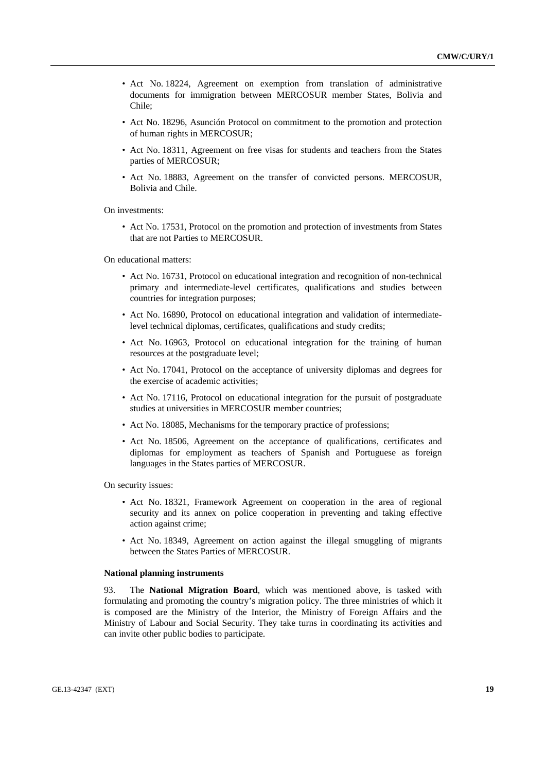- Act No. 18224, Agreement on exemption from translation of administrative documents for immigration between MERCOSUR member States, Bolivia and Chile;
- Act No. 18296, Asunción Protocol on commitment to the promotion and protection of human rights in MERCOSUR;
- Act No. 18311, Agreement on free visas for students and teachers from the States parties of MERCOSUR;
- Act No. 18883, Agreement on the transfer of convicted persons. MERCOSUR, Bolivia and Chile.

On investments:

• Act No. 17531, Protocol on the promotion and protection of investments from States that are not Parties to MERCOSUR.

On educational matters:

- Act No. 16731, Protocol on educational integration and recognition of non-technical primary and intermediate-level certificates, qualifications and studies between countries for integration purposes;
- Act No. 16890, Protocol on educational integration and validation of intermediatelevel technical diplomas, certificates, qualifications and study credits;
- Act No. 16963, Protocol on educational integration for the training of human resources at the postgraduate level;
- Act No. 17041, Protocol on the acceptance of university diplomas and degrees for the exercise of academic activities;
- Act No. 17116, Protocol on educational integration for the pursuit of postgraduate studies at universities in MERCOSUR member countries;
- Act No. 18085, Mechanisms for the temporary practice of professions;
- Act No. 18506, Agreement on the acceptance of qualifications, certificates and diplomas for employment as teachers of Spanish and Portuguese as foreign languages in the States parties of MERCOSUR.

On security issues:

- Act No. 18321, Framework Agreement on cooperation in the area of regional security and its annex on police cooperation in preventing and taking effective action against crime;
- Act No. 18349, Agreement on action against the illegal smuggling of migrants between the States Parties of MERCOSUR.

#### **National planning instruments**

93. The **National Migration Board**, which was mentioned above, is tasked with formulating and promoting the country's migration policy. The three ministries of which it is composed are the Ministry of the Interior, the Ministry of Foreign Affairs and the Ministry of Labour and Social Security. They take turns in coordinating its activities and can invite other public bodies to participate.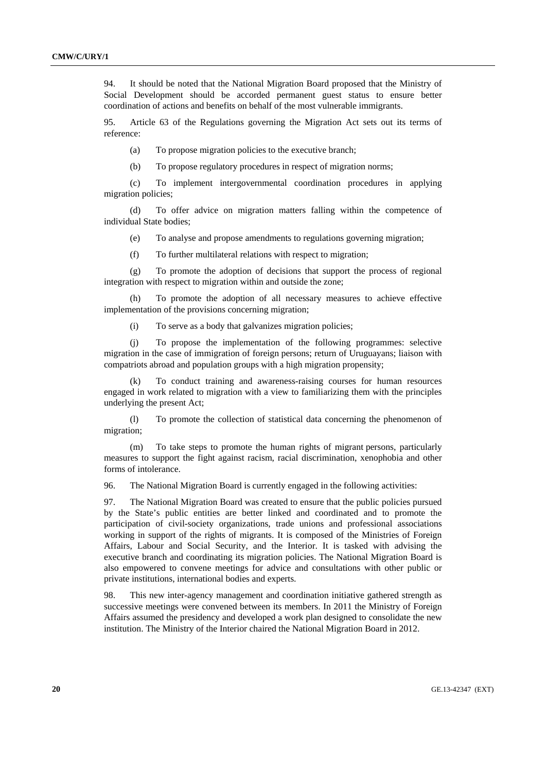94. It should be noted that the National Migration Board proposed that the Ministry of Social Development should be accorded permanent guest status to ensure better coordination of actions and benefits on behalf of the most vulnerable immigrants.

95. Article 63 of the Regulations governing the Migration Act sets out its terms of reference:

(a) To propose migration policies to the executive branch;

(b) To propose regulatory procedures in respect of migration norms;

 (c) To implement intergovernmental coordination procedures in applying migration policies;

 (d) To offer advice on migration matters falling within the competence of individual State bodies;

(e) To analyse and propose amendments to regulations governing migration;

(f) To further multilateral relations with respect to migration;

 (g) To promote the adoption of decisions that support the process of regional integration with respect to migration within and outside the zone;

 (h) To promote the adoption of all necessary measures to achieve effective implementation of the provisions concerning migration;

(i) To serve as a body that galvanizes migration policies;

 (j) To propose the implementation of the following programmes: selective migration in the case of immigration of foreign persons; return of Uruguayans; liaison with compatriots abroad and population groups with a high migration propensity;

 (k) To conduct training and awareness-raising courses for human resources engaged in work related to migration with a view to familiarizing them with the principles underlying the present Act;

 (l) To promote the collection of statistical data concerning the phenomenon of migration;

 (m) To take steps to promote the human rights of migrant persons, particularly measures to support the fight against racism, racial discrimination, xenophobia and other forms of intolerance.

96. The National Migration Board is currently engaged in the following activities:

97. The National Migration Board was created to ensure that the public policies pursued by the State's public entities are better linked and coordinated and to promote the participation of civil-society organizations, trade unions and professional associations working in support of the rights of migrants. It is composed of the Ministries of Foreign Affairs, Labour and Social Security, and the Interior. It is tasked with advising the executive branch and coordinating its migration policies. The National Migration Board is also empowered to convene meetings for advice and consultations with other public or private institutions, international bodies and experts.

98. This new inter-agency management and coordination initiative gathered strength as successive meetings were convened between its members. In 2011 the Ministry of Foreign Affairs assumed the presidency and developed a work plan designed to consolidate the new institution. The Ministry of the Interior chaired the National Migration Board in 2012.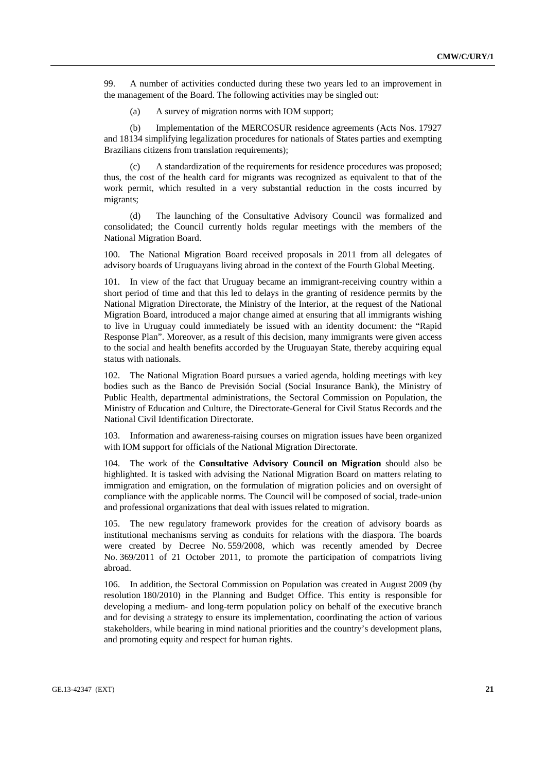99. A number of activities conducted during these two years led to an improvement in the management of the Board. The following activities may be singled out:

(a) A survey of migration norms with IOM support;

 (b) Implementation of the MERCOSUR residence agreements (Acts Nos. 17927 and 18134 simplifying legalization procedures for nationals of States parties and exempting Brazilians citizens from translation requirements);

 (c) A standardization of the requirements for residence procedures was proposed; thus, the cost of the health card for migrants was recognized as equivalent to that of the work permit, which resulted in a very substantial reduction in the costs incurred by migrants;

 (d) The launching of the Consultative Advisory Council was formalized and consolidated; the Council currently holds regular meetings with the members of the National Migration Board.

100. The National Migration Board received proposals in 2011 from all delegates of advisory boards of Uruguayans living abroad in the context of the Fourth Global Meeting.

101. In view of the fact that Uruguay became an immigrant-receiving country within a short period of time and that this led to delays in the granting of residence permits by the National Migration Directorate, the Ministry of the Interior, at the request of the National Migration Board, introduced a major change aimed at ensuring that all immigrants wishing to live in Uruguay could immediately be issued with an identity document: the "Rapid Response Plan". Moreover, as a result of this decision, many immigrants were given access to the social and health benefits accorded by the Uruguayan State, thereby acquiring equal status with nationals.

102. The National Migration Board pursues a varied agenda, holding meetings with key bodies such as the Banco de Previsión Social (Social Insurance Bank), the Ministry of Public Health, departmental administrations, the Sectoral Commission on Population, the Ministry of Education and Culture, the Directorate-General for Civil Status Records and the National Civil Identification Directorate.

103. Information and awareness-raising courses on migration issues have been organized with IOM support for officials of the National Migration Directorate.

104. The work of the **Consultative Advisory Council on Migration** should also be highlighted. It is tasked with advising the National Migration Board on matters relating to immigration and emigration, on the formulation of migration policies and on oversight of compliance with the applicable norms. The Council will be composed of social, trade-union and professional organizations that deal with issues related to migration.

105. The new regulatory framework provides for the creation of advisory boards as institutional mechanisms serving as conduits for relations with the diaspora. The boards were created by Decree No. 559/2008, which was recently amended by Decree No. 369/2011 of 21 October 2011, to promote the participation of compatriots living abroad.

106. In addition, the Sectoral Commission on Population was created in August 2009 (by resolution 180/2010) in the Planning and Budget Office. This entity is responsible for developing a medium- and long-term population policy on behalf of the executive branch and for devising a strategy to ensure its implementation, coordinating the action of various stakeholders, while bearing in mind national priorities and the country's development plans, and promoting equity and respect for human rights.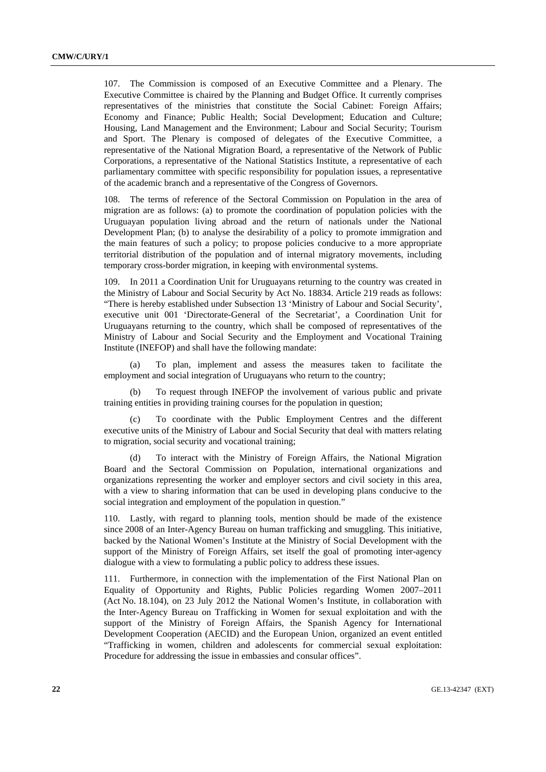107. The Commission is composed of an Executive Committee and a Plenary. The Executive Committee is chaired by the Planning and Budget Office. It currently comprises representatives of the ministries that constitute the Social Cabinet: Foreign Affairs; Economy and Finance; Public Health; Social Development; Education and Culture; Housing, Land Management and the Environment; Labour and Social Security; Tourism and Sport. The Plenary is composed of delegates of the Executive Committee, a representative of the National Migration Board, a representative of the Network of Public Corporations, a representative of the National Statistics Institute, a representative of each parliamentary committee with specific responsibility for population issues, a representative of the academic branch and a representative of the Congress of Governors.

108. The terms of reference of the Sectoral Commission on Population in the area of migration are as follows: (a) to promote the coordination of population policies with the Uruguayan population living abroad and the return of nationals under the National Development Plan; (b) to analyse the desirability of a policy to promote immigration and the main features of such a policy; to propose policies conducive to a more appropriate territorial distribution of the population and of internal migratory movements, including temporary cross-border migration, in keeping with environmental systems.

109. In 2011 a Coordination Unit for Uruguayans returning to the country was created in the Ministry of Labour and Social Security by Act No. 18834. Article 219 reads as follows: "There is hereby established under Subsection 13 'Ministry of Labour and Social Security', executive unit 001 'Directorate-General of the Secretariat', a Coordination Unit for Uruguayans returning to the country, which shall be composed of representatives of the Ministry of Labour and Social Security and the Employment and Vocational Training Institute (INEFOP) and shall have the following mandate:

To plan, implement and assess the measures taken to facilitate the employment and social integration of Uruguayans who return to the country;

 (b) To request through INEFOP the involvement of various public and private training entities in providing training courses for the population in question;

To coordinate with the Public Employment Centres and the different executive units of the Ministry of Labour and Social Security that deal with matters relating to migration, social security and vocational training;

 (d) To interact with the Ministry of Foreign Affairs, the National Migration Board and the Sectoral Commission on Population, international organizations and organizations representing the worker and employer sectors and civil society in this area, with a view to sharing information that can be used in developing plans conducive to the social integration and employment of the population in question."

110. Lastly, with regard to planning tools, mention should be made of the existence since 2008 of an Inter-Agency Bureau on human trafficking and smuggling. This initiative, backed by the National Women's Institute at the Ministry of Social Development with the support of the Ministry of Foreign Affairs, set itself the goal of promoting inter-agency dialogue with a view to formulating a public policy to address these issues.

111. Furthermore, in connection with the implementation of the First National Plan on Equality of Opportunity and Rights, Public Policies regarding Women 2007–2011 (Act No. 18.104), on 23 July 2012 the National Women's Institute, in collaboration with the Inter-Agency Bureau on Trafficking in Women for sexual exploitation and with the support of the Ministry of Foreign Affairs, the Spanish Agency for International Development Cooperation (AECID) and the European Union, organized an event entitled "Trafficking in women, children and adolescents for commercial sexual exploitation: Procedure for addressing the issue in embassies and consular offices".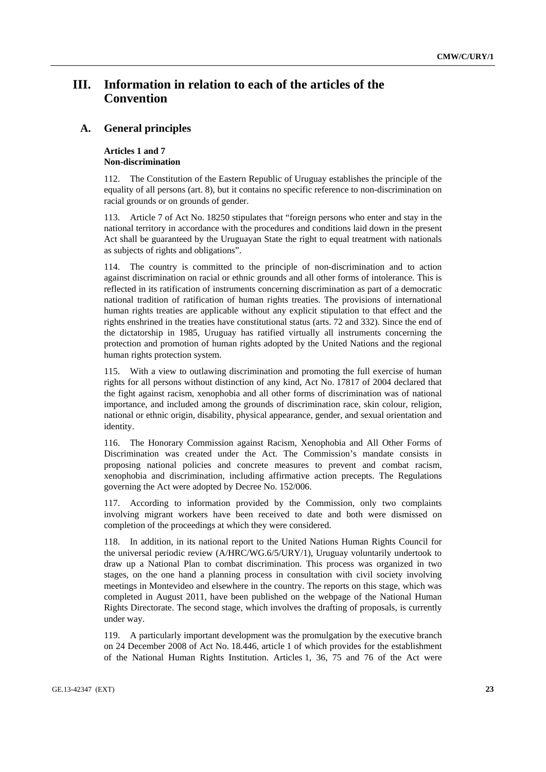# **III. Information in relation to each of the articles of the Convention**

## **A. General principles**

#### **Articles 1 and 7 Non-discrimination**

112. The Constitution of the Eastern Republic of Uruguay establishes the principle of the equality of all persons (art. 8), but it contains no specific reference to non-discrimination on racial grounds or on grounds of gender.

113. Article 7 of Act No. 18250 stipulates that "foreign persons who enter and stay in the national territory in accordance with the procedures and conditions laid down in the present Act shall be guaranteed by the Uruguayan State the right to equal treatment with nationals as subjects of rights and obligations".

114. The country is committed to the principle of non-discrimination and to action against discrimination on racial or ethnic grounds and all other forms of intolerance. This is reflected in its ratification of instruments concerning discrimination as part of a democratic national tradition of ratification of human rights treaties. The provisions of international human rights treaties are applicable without any explicit stipulation to that effect and the rights enshrined in the treaties have constitutional status (arts. 72 and 332). Since the end of the dictatorship in 1985, Uruguay has ratified virtually all instruments concerning the protection and promotion of human rights adopted by the United Nations and the regional human rights protection system.

115. With a view to outlawing discrimination and promoting the full exercise of human rights for all persons without distinction of any kind, Act No. 17817 of 2004 declared that the fight against racism, xenophobia and all other forms of discrimination was of national importance, and included among the grounds of discrimination race, skin colour, religion, national or ethnic origin, disability, physical appearance, gender, and sexual orientation and identity.

116. The Honorary Commission against Racism, Xenophobia and All Other Forms of Discrimination was created under the Act. The Commission's mandate consists in proposing national policies and concrete measures to prevent and combat racism, xenophobia and discrimination, including affirmative action precepts. The Regulations governing the Act were adopted by Decree No. 152/006.

According to information provided by the Commission, only two complaints involving migrant workers have been received to date and both were dismissed on completion of the proceedings at which they were considered.

118. In addition, in its national report to the United Nations Human Rights Council for the universal periodic review (A/HRC/WG.6/5/URY/1), Uruguay voluntarily undertook to draw up a National Plan to combat discrimination. This process was organized in two stages, on the one hand a planning process in consultation with civil society involving meetings in Montevideo and elsewhere in the country. The reports on this stage, which was completed in August 2011, have been published on the webpage of the National Human Rights Directorate. The second stage, which involves the drafting of proposals, is currently under way.

119. A particularly important development was the promulgation by the executive branch on 24 December 2008 of Act No. 18.446, article 1 of which provides for the establishment of the National Human Rights Institution. Articles 1, 36, 75 and 76 of the Act were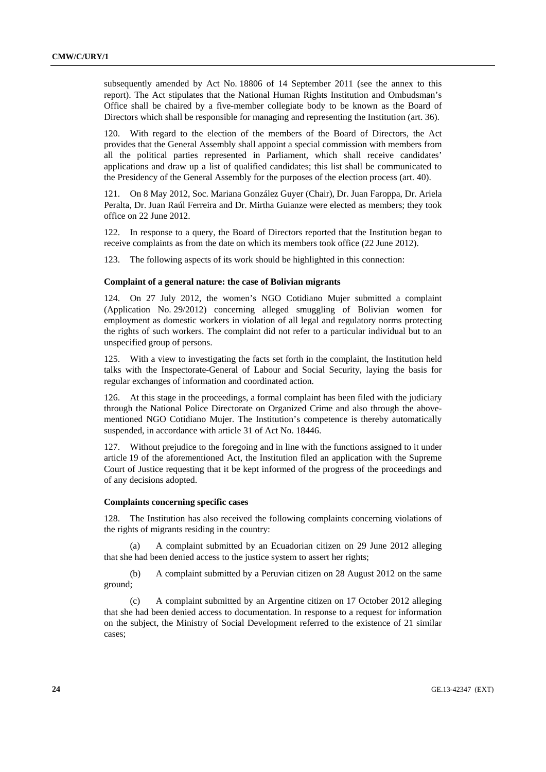subsequently amended by Act No. 18806 of 14 September 2011 (see the annex to this report). The Act stipulates that the National Human Rights Institution and Ombudsman's Office shall be chaired by a five-member collegiate body to be known as the Board of Directors which shall be responsible for managing and representing the Institution (art. 36).

120. With regard to the election of the members of the Board of Directors, the Act provides that the General Assembly shall appoint a special commission with members from all the political parties represented in Parliament, which shall receive candidates' applications and draw up a list of qualified candidates; this list shall be communicated to the Presidency of the General Assembly for the purposes of the election process (art. 40).

121. On 8 May 2012, Soc. Mariana González Guyer (Chair), Dr. Juan Faroppa, Dr. Ariela Peralta, Dr. Juan Raúl Ferreira and Dr. Mirtha Guianze were elected as members; they took office on 22 June 2012.

122. In response to a query, the Board of Directors reported that the Institution began to receive complaints as from the date on which its members took office (22 June 2012).

123. The following aspects of its work should be highlighted in this connection:

#### **Complaint of a general nature: the case of Bolivian migrants**

124. On 27 July 2012, the women's NGO Cotidiano Mujer submitted a complaint (Application No. 29/2012) concerning alleged smuggling of Bolivian women for employment as domestic workers in violation of all legal and regulatory norms protecting the rights of such workers. The complaint did not refer to a particular individual but to an unspecified group of persons.

125. With a view to investigating the facts set forth in the complaint, the Institution held talks with the Inspectorate-General of Labour and Social Security, laying the basis for regular exchanges of information and coordinated action.

126. At this stage in the proceedings, a formal complaint has been filed with the judiciary through the National Police Directorate on Organized Crime and also through the abovementioned NGO Cotidiano Mujer. The Institution's competence is thereby automatically suspended, in accordance with article 31 of Act No. 18446.

127. Without prejudice to the foregoing and in line with the functions assigned to it under article 19 of the aforementioned Act, the Institution filed an application with the Supreme Court of Justice requesting that it be kept informed of the progress of the proceedings and of any decisions adopted.

#### **Complaints concerning specific cases**

128. The Institution has also received the following complaints concerning violations of the rights of migrants residing in the country:

 (a) A complaint submitted by an Ecuadorian citizen on 29 June 2012 alleging that she had been denied access to the justice system to assert her rights;

 (b) A complaint submitted by a Peruvian citizen on 28 August 2012 on the same ground;

 (c) A complaint submitted by an Argentine citizen on 17 October 2012 alleging that she had been denied access to documentation. In response to a request for information on the subject, the Ministry of Social Development referred to the existence of 21 similar cases;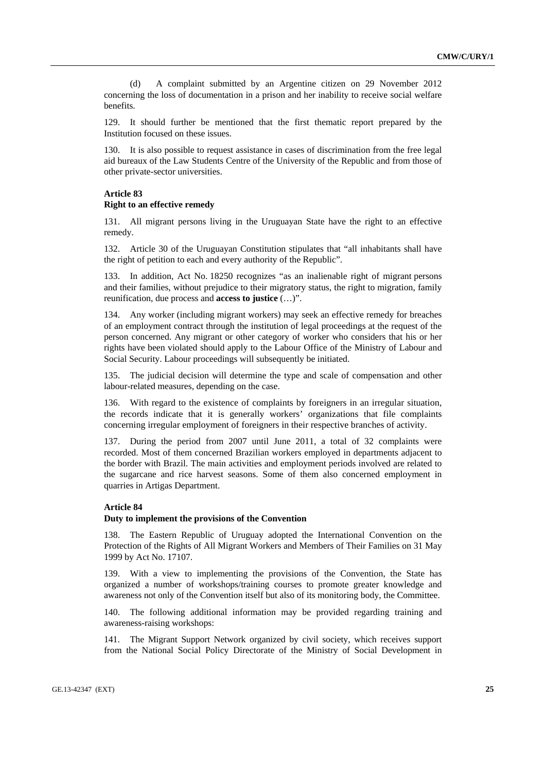(d) A complaint submitted by an Argentine citizen on 29 November 2012 concerning the loss of documentation in a prison and her inability to receive social welfare benefits.

129. It should further be mentioned that the first thematic report prepared by the Institution focused on these issues.

130. It is also possible to request assistance in cases of discrimination from the free legal aid bureaux of the Law Students Centre of the University of the Republic and from those of other private-sector universities.

# **Article 83 Right to an effective remedy**

131. All migrant persons living in the Uruguayan State have the right to an effective remedy.

132. Article 30 of the Uruguayan Constitution stipulates that "all inhabitants shall have the right of petition to each and every authority of the Republic".

133. In addition, Act No. 18250 recognizes "as an inalienable right of migrant persons and their families, without prejudice to their migratory status, the right to migration, family reunification, due process and **access to justice** (…)".

134. Any worker (including migrant workers) may seek an effective remedy for breaches of an employment contract through the institution of legal proceedings at the request of the person concerned. Any migrant or other category of worker who considers that his or her rights have been violated should apply to the Labour Office of the Ministry of Labour and Social Security. Labour proceedings will subsequently be initiated.

135. The judicial decision will determine the type and scale of compensation and other labour-related measures, depending on the case.

136. With regard to the existence of complaints by foreigners in an irregular situation, the records indicate that it is generally workers' organizations that file complaints concerning irregular employment of foreigners in their respective branches of activity.

137. During the period from 2007 until June 2011, a total of 32 complaints were recorded. Most of them concerned Brazilian workers employed in departments adjacent to the border with Brazil. The main activities and employment periods involved are related to the sugarcane and rice harvest seasons. Some of them also concerned employment in quarries in Artigas Department.

# **Article 84**

#### **Duty to implement the provisions of the Convention**

The Eastern Republic of Uruguay adopted the International Convention on the Protection of the Rights of All Migrant Workers and Members of Their Families on 31 May 1999 by Act No. 17107.

139. With a view to implementing the provisions of the Convention, the State has organized a number of workshops/training courses to promote greater knowledge and awareness not only of the Convention itself but also of its monitoring body, the Committee.

140. The following additional information may be provided regarding training and awareness-raising workshops:

141. The Migrant Support Network organized by civil society, which receives support from the National Social Policy Directorate of the Ministry of Social Development in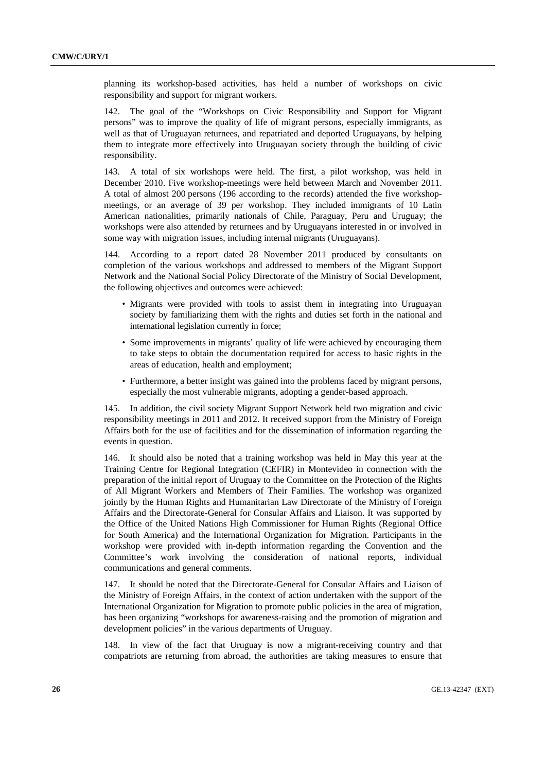planning its workshop-based activities, has held a number of workshops on civic responsibility and support for migrant workers.

142. The goal of the "Workshops on Civic Responsibility and Support for Migrant persons" was to improve the quality of life of migrant persons, especially immigrants, as well as that of Uruguayan returnees, and repatriated and deported Uruguayans, by helping them to integrate more effectively into Uruguayan society through the building of civic responsibility.

143. A total of six workshops were held. The first, a pilot workshop, was held in December 2010. Five workshop-meetings were held between March and November 2011. A total of almost 200 persons (196 according to the records) attended the five workshopmeetings, or an average of 39 per workshop. They included immigrants of 10 Latin American nationalities, primarily nationals of Chile, Paraguay, Peru and Uruguay; the workshops were also attended by returnees and by Uruguayans interested in or involved in some way with migration issues, including internal migrants (Uruguayans).

144. According to a report dated 28 November 2011 produced by consultants on completion of the various workshops and addressed to members of the Migrant Support Network and the National Social Policy Directorate of the Ministry of Social Development, the following objectives and outcomes were achieved:

- Migrants were provided with tools to assist them in integrating into Uruguayan society by familiarizing them with the rights and duties set forth in the national and international legislation currently in force;
- Some improvements in migrants' quality of life were achieved by encouraging them to take steps to obtain the documentation required for access to basic rights in the areas of education, health and employment;
- Furthermore, a better insight was gained into the problems faced by migrant persons, especially the most vulnerable migrants, adopting a gender-based approach.

145. In addition, the civil society Migrant Support Network held two migration and civic responsibility meetings in 2011 and 2012. It received support from the Ministry of Foreign Affairs both for the use of facilities and for the dissemination of information regarding the events in question.

146. It should also be noted that a training workshop was held in May this year at the Training Centre for Regional Integration (CEFIR) in Montevideo in connection with the preparation of the initial report of Uruguay to the Committee on the Protection of the Rights of All Migrant Workers and Members of Their Families. The workshop was organized jointly by the Human Rights and Humanitarian Law Directorate of the Ministry of Foreign Affairs and the Directorate-General for Consular Affairs and Liaison. It was supported by the Office of the United Nations High Commissioner for Human Rights (Regional Office for South America) and the International Organization for Migration. Participants in the workshop were provided with in-depth information regarding the Convention and the Committee's work involving the consideration of national reports, individual communications and general comments.

147. It should be noted that the Directorate-General for Consular Affairs and Liaison of the Ministry of Foreign Affairs, in the context of action undertaken with the support of the International Organization for Migration to promote public policies in the area of migration, has been organizing "workshops for awareness-raising and the promotion of migration and development policies" in the various departments of Uruguay.

148. In view of the fact that Uruguay is now a migrant-receiving country and that compatriots are returning from abroad, the authorities are taking measures to ensure that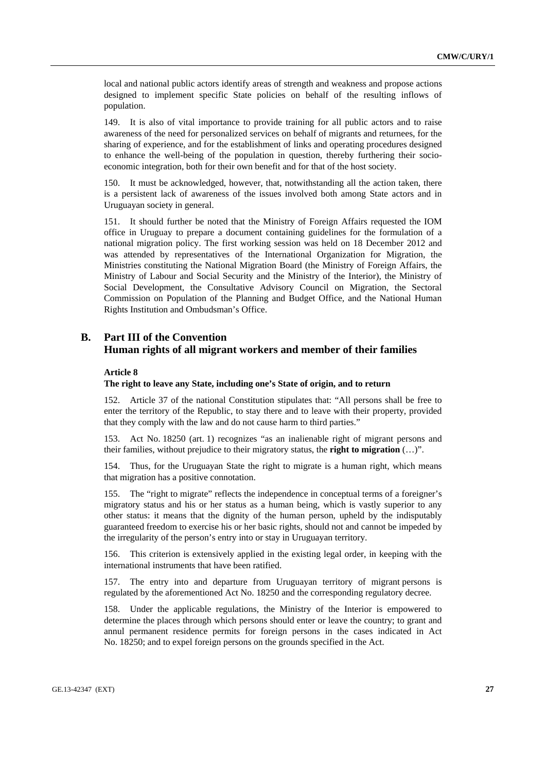local and national public actors identify areas of strength and weakness and propose actions designed to implement specific State policies on behalf of the resulting inflows of population.

149. It is also of vital importance to provide training for all public actors and to raise awareness of the need for personalized services on behalf of migrants and returnees, for the sharing of experience, and for the establishment of links and operating procedures designed to enhance the well-being of the population in question, thereby furthering their socioeconomic integration, both for their own benefit and for that of the host society.

It must be acknowledged, however, that, notwithstanding all the action taken, there is a persistent lack of awareness of the issues involved both among State actors and in Uruguayan society in general.

151. It should further be noted that the Ministry of Foreign Affairs requested the IOM office in Uruguay to prepare a document containing guidelines for the formulation of a national migration policy. The first working session was held on 18 December 2012 and was attended by representatives of the International Organization for Migration, the Ministries constituting the National Migration Board (the Ministry of Foreign Affairs, the Ministry of Labour and Social Security and the Ministry of the Interior), the Ministry of Social Development, the Consultative Advisory Council on Migration, the Sectoral Commission on Population of the Planning and Budget Office, and the National Human Rights Institution and Ombudsman's Office.

# **B. Part III of the Convention Human rights of all migrant workers and member of their families**

#### **Article 8**

#### **The right to leave any State, including one's State of origin, and to return**

152. Article 37 of the national Constitution stipulates that: "All persons shall be free to enter the territory of the Republic, to stay there and to leave with their property, provided that they comply with the law and do not cause harm to third parties."

153. Act No. 18250 (art. 1) recognizes "as an inalienable right of migrant persons and their families, without prejudice to their migratory status, the **right to migration** (…)".

154. Thus, for the Uruguayan State the right to migrate is a human right, which means that migration has a positive connotation.

155. The "right to migrate" reflects the independence in conceptual terms of a foreigner's migratory status and his or her status as a human being, which is vastly superior to any other status: it means that the dignity of the human person, upheld by the indisputably guaranteed freedom to exercise his or her basic rights, should not and cannot be impeded by the irregularity of the person's entry into or stay in Uruguayan territory.

156. This criterion is extensively applied in the existing legal order, in keeping with the international instruments that have been ratified.

157. The entry into and departure from Uruguayan territory of migrant persons is regulated by the aforementioned Act No. 18250 and the corresponding regulatory decree.

158. Under the applicable regulations, the Ministry of the Interior is empowered to determine the places through which persons should enter or leave the country; to grant and annul permanent residence permits for foreign persons in the cases indicated in Act No. 18250; and to expel foreign persons on the grounds specified in the Act.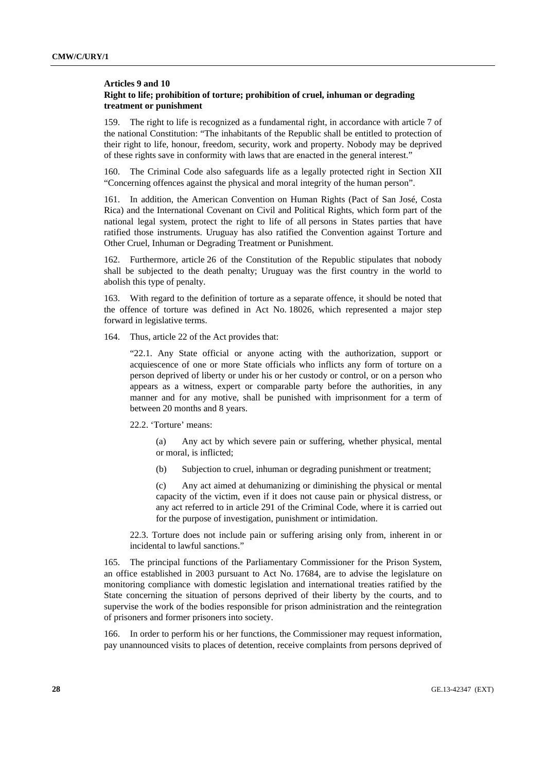## **Articles 9 and 10 Right to life; prohibition of torture; prohibition of cruel, inhuman or degrading treatment or punishment**

159. The right to life is recognized as a fundamental right, in accordance with article 7 of the national Constitution: "The inhabitants of the Republic shall be entitled to protection of their right to life, honour, freedom, security, work and property. Nobody may be deprived of these rights save in conformity with laws that are enacted in the general interest."

160. The Criminal Code also safeguards life as a legally protected right in Section XII "Concerning offences against the physical and moral integrity of the human person".

161. In addition, the American Convention on Human Rights (Pact of San José, Costa Rica) and the International Covenant on Civil and Political Rights, which form part of the national legal system, protect the right to life of all persons in States parties that have ratified those instruments. Uruguay has also ratified the Convention against Torture and Other Cruel, Inhuman or Degrading Treatment or Punishment.

162. Furthermore, article 26 of the Constitution of the Republic stipulates that nobody shall be subjected to the death penalty; Uruguay was the first country in the world to abolish this type of penalty.

163. With regard to the definition of torture as a separate offence, it should be noted that the offence of torture was defined in Act No. 18026, which represented a major step forward in legislative terms.

164. Thus, article 22 of the Act provides that:

"22.1. Any State official or anyone acting with the authorization, support or acquiescence of one or more State officials who inflicts any form of torture on a person deprived of liberty or under his or her custody or control, or on a person who appears as a witness, expert or comparable party before the authorities, in any manner and for any motive, shall be punished with imprisonment for a term of between 20 months and 8 years.

#### 22.2. 'Torture' means:

 (a) Any act by which severe pain or suffering, whether physical, mental or moral, is inflicted;

(b) Subjection to cruel, inhuman or degrading punishment or treatment;

 (c) Any act aimed at dehumanizing or diminishing the physical or mental capacity of the victim, even if it does not cause pain or physical distress, or any act referred to in article 291 of the Criminal Code, where it is carried out for the purpose of investigation, punishment or intimidation.

22.3. Torture does not include pain or suffering arising only from, inherent in or incidental to lawful sanctions."

165. The principal functions of the Parliamentary Commissioner for the Prison System, an office established in 2003 pursuant to Act No. 17684, are to advise the legislature on monitoring compliance with domestic legislation and international treaties ratified by the State concerning the situation of persons deprived of their liberty by the courts, and to supervise the work of the bodies responsible for prison administration and the reintegration of prisoners and former prisoners into society.

166. In order to perform his or her functions, the Commissioner may request information, pay unannounced visits to places of detention, receive complaints from persons deprived of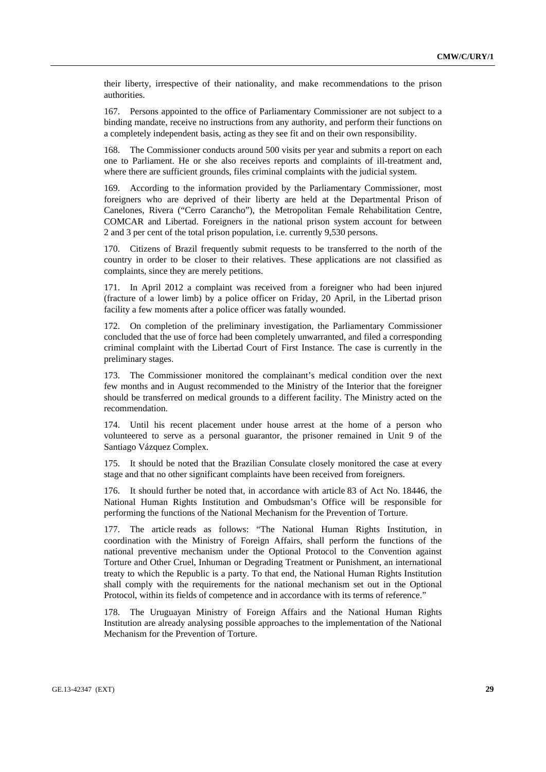their liberty, irrespective of their nationality, and make recommendations to the prison authorities.

167. Persons appointed to the office of Parliamentary Commissioner are not subject to a binding mandate, receive no instructions from any authority, and perform their functions on a completely independent basis, acting as they see fit and on their own responsibility.

168. The Commissioner conducts around 500 visits per year and submits a report on each one to Parliament. He or she also receives reports and complaints of ill-treatment and, where there are sufficient grounds, files criminal complaints with the judicial system.

169. According to the information provided by the Parliamentary Commissioner, most foreigners who are deprived of their liberty are held at the Departmental Prison of Canelones, Rivera ("Cerro Carancho"), the Metropolitan Female Rehabilitation Centre, COMCAR and Libertad. Foreigners in the national prison system account for between 2 and 3 per cent of the total prison population, i.e. currently 9,530 persons.

170. Citizens of Brazil frequently submit requests to be transferred to the north of the country in order to be closer to their relatives. These applications are not classified as complaints, since they are merely petitions.

171. In April 2012 a complaint was received from a foreigner who had been injured (fracture of a lower limb) by a police officer on Friday, 20 April, in the Libertad prison facility a few moments after a police officer was fatally wounded.

172. On completion of the preliminary investigation, the Parliamentary Commissioner concluded that the use of force had been completely unwarranted, and filed a corresponding criminal complaint with the Libertad Court of First Instance. The case is currently in the preliminary stages.

173. The Commissioner monitored the complainant's medical condition over the next few months and in August recommended to the Ministry of the Interior that the foreigner should be transferred on medical grounds to a different facility. The Ministry acted on the recommendation.

174. Until his recent placement under house arrest at the home of a person who volunteered to serve as a personal guarantor, the prisoner remained in Unit 9 of the Santiago Vázquez Complex.

175. It should be noted that the Brazilian Consulate closely monitored the case at every stage and that no other significant complaints have been received from foreigners.

176. It should further be noted that, in accordance with article 83 of Act No. 18446, the National Human Rights Institution and Ombudsman's Office will be responsible for performing the functions of the National Mechanism for the Prevention of Torture.

177. The article reads as follows: "The National Human Rights Institution, in coordination with the Ministry of Foreign Affairs, shall perform the functions of the national preventive mechanism under the Optional Protocol to the Convention against Torture and Other Cruel, Inhuman or Degrading Treatment or Punishment, an international treaty to which the Republic is a party. To that end, the National Human Rights Institution shall comply with the requirements for the national mechanism set out in the Optional Protocol, within its fields of competence and in accordance with its terms of reference."

178. The Uruguayan Ministry of Foreign Affairs and the National Human Rights Institution are already analysing possible approaches to the implementation of the National Mechanism for the Prevention of Torture.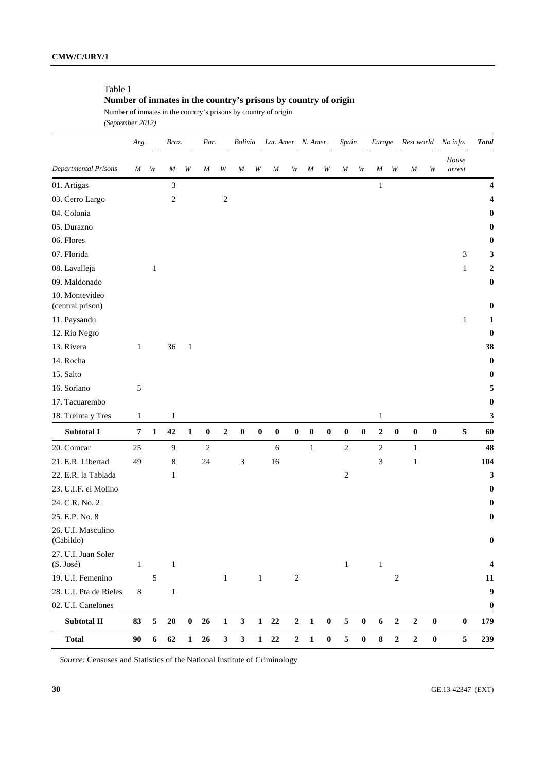# Table 1

# **Number of inmates in the country's prisons by country of origin**

Number of inmates in the country's prisons by country of origin *(September 2012)* 

|                                    | Arg.         |              | Braz.            |              | Par.            |                  | Bolivia                     |              | Lat. Amer. N. Amer. |                  |                  | Spain     |                  | Europe           |                  |                  |                  | Rest world No info. | <b>Total</b>    |                  |
|------------------------------------|--------------|--------------|------------------|--------------|-----------------|------------------|-----------------------------|--------------|---------------------|------------------|------------------|-----------|------------------|------------------|------------------|------------------|------------------|---------------------|-----------------|------------------|
| <b>Departmental Prisons</b>        | M            | W            | $\boldsymbol{M}$ | W            | M               | W                | M                           | W            | M                   | W                | M                | W         | M                | W                | M                | W                | $\boldsymbol{M}$ | W                   | House<br>arrest |                  |
| 01. Artigas                        |              |              | $\mathfrak{Z}$   |              |                 |                  |                             |              |                     |                  |                  |           |                  |                  | $\mathbf 1$      |                  |                  |                     |                 | 4                |
| 03. Cerro Largo                    |              |              | 2                |              |                 | $\overline{c}$   |                             |              |                     |                  |                  |           |                  |                  |                  |                  |                  |                     |                 | 4                |
| 04. Colonia                        |              |              |                  |              |                 |                  |                             |              |                     |                  |                  |           |                  |                  |                  |                  |                  |                     |                 | 0                |
| 05. Durazno                        |              |              |                  |              |                 |                  |                             |              |                     |                  |                  |           |                  |                  |                  |                  |                  |                     |                 | $\bf{0}$         |
| 06. Flores                         |              |              |                  |              |                 |                  |                             |              |                     |                  |                  |           |                  |                  |                  |                  |                  |                     |                 | 0                |
| 07. Florida                        |              |              |                  |              |                 |                  |                             |              |                     |                  |                  |           |                  |                  |                  |                  |                  |                     | 3               | 3                |
| 08. Lavalleja                      |              | $\mathbf{1}$ |                  |              |                 |                  |                             |              |                     |                  |                  |           |                  |                  |                  |                  |                  |                     | $\mathbf{1}$    | $\boldsymbol{2}$ |
| 09. Maldonado                      |              |              |                  |              |                 |                  |                             |              |                     |                  |                  |           |                  |                  |                  |                  |                  |                     |                 | $\boldsymbol{0}$ |
| 10. Montevideo<br>(central prison) |              |              |                  |              |                 |                  |                             |              |                     |                  |                  |           |                  |                  |                  |                  |                  |                     |                 | 0                |
| 11. Paysandu                       |              |              |                  |              |                 |                  |                             |              |                     |                  |                  |           |                  |                  |                  |                  |                  |                     | $\mathbf{1}$    | 1                |
| 12. Rio Negro                      |              |              |                  |              |                 |                  |                             |              |                     |                  |                  |           |                  |                  |                  |                  |                  |                     |                 | $\bf{0}$         |
| 13. Rivera                         | $\mathbf{1}$ |              | 36               | $\mathbf{1}$ |                 |                  |                             |              |                     |                  |                  |           |                  |                  |                  |                  |                  |                     |                 | 38               |
| 14. Rocha                          |              |              |                  |              |                 |                  |                             |              |                     |                  |                  |           |                  |                  |                  |                  |                  |                     |                 | $\bf{0}$         |
| 15. Salto                          |              |              |                  |              |                 |                  |                             |              |                     |                  |                  |           |                  |                  |                  |                  |                  |                     |                 | $\bf{0}$         |
| 16. Soriano                        | 5            |              |                  |              |                 |                  |                             |              |                     |                  |                  |           |                  |                  |                  |                  |                  |                     |                 | 5                |
| 17. Tacuarembo                     |              |              |                  |              |                 |                  |                             |              |                     |                  |                  |           |                  |                  |                  |                  |                  |                     |                 | $\bf{0}$         |
| 18. Treinta y Tres                 | $\mathbf{1}$ |              | $\mathbf{1}$     |              |                 |                  |                             |              |                     |                  |                  |           |                  |                  | $\mathbf{1}$     |                  |                  |                     |                 | 3                |
| Subtotal I                         | $\pmb{7}$    | $\mathbf{1}$ | 42               | $\mathbf{1}$ | $\bf{0}$        | $\boldsymbol{2}$ | $\pmb{0}$                   | $\pmb{0}$    | $\boldsymbol{0}$    | $\boldsymbol{0}$ | $\boldsymbol{0}$ | $\pmb{0}$ | $\boldsymbol{0}$ | $\boldsymbol{0}$ | $\boldsymbol{2}$ | $\boldsymbol{0}$ | $\pmb{0}$        | $\pmb{0}$           | $\sqrt{5}$      | 60               |
| 20. Comcar                         | 25           |              | $\overline{9}$   |              | $\sqrt{2}$      |                  |                             |              | 6                   |                  | $\mathbf{1}$     |           | $\boldsymbol{2}$ |                  | $\sqrt{2}$       |                  | $\mathbf{1}$     |                     |                 | 48               |
| 21. E.R. Libertad                  | 49           |              | 8                |              | 24              |                  | $\ensuremath{\mathfrak{Z}}$ |              | 16                  |                  |                  |           |                  |                  | 3                |                  | $\mathbf{1}$     |                     |                 | 104              |
| 22. E.R. la Tablada                |              |              | 1                |              |                 |                  |                             |              |                     |                  |                  |           | $\overline{c}$   |                  |                  |                  |                  |                     |                 | $\mathbf{3}$     |
| 23. U.I.F. el Molino               |              |              |                  |              |                 |                  |                             |              |                     |                  |                  |           |                  |                  |                  |                  |                  |                     |                 | $\bf{0}$         |
| 24. C.R. No. 2                     |              |              |                  |              |                 |                  |                             |              |                     |                  |                  |           |                  |                  |                  |                  |                  |                     |                 | $\bf{0}$         |
| 25. E.P. No. 8                     |              |              |                  |              |                 |                  |                             |              |                     |                  |                  |           |                  |                  |                  |                  |                  |                     |                 | $\bf{0}$         |
| 26. U.I. Masculino<br>(Cabildo)    |              |              |                  |              |                 |                  |                             |              |                     |                  |                  |           |                  |                  |                  |                  |                  |                     |                 | $\bf{0}$         |
| 27. U.I. Juan Soler<br>(S. José)   | $\mathbf{1}$ |              | $\mathbf{1}$     |              |                 |                  |                             |              |                     |                  |                  |           | $\,1\,$          |                  | $\,1\,$          |                  |                  |                     |                 | 4                |
| 19. U.I. Femenino                  |              | $\sqrt{5}$   |                  |              |                 | $1\,$            |                             | $\mathbf{1}$ |                     | $\sqrt{2}$       |                  |           |                  |                  |                  | 2                |                  |                     |                 | 11               |
| 28. U.I. Pta de Rieles             | $\,8\,$      |              | $\mathbf{1}$     |              |                 |                  |                             |              |                     |                  |                  |           |                  |                  |                  |                  |                  |                     |                 | 9                |
| 02. U.I. Canelones                 |              |              |                  |              |                 |                  |                             |              |                     |                  |                  |           |                  |                  |                  |                  |                  |                     |                 | $\bf{0}$         |
| Subtotal II                        | 83           | 5            | 20               | $\pmb{0}$    | 26              | 1                | $\mathbf{3}$                |              | $1 \quad 22$        | $\boldsymbol{2}$ | $\mathbf{1}$     | $\pmb{0}$ | 5                | $\pmb{0}$        | 6                | $\boldsymbol{2}$ | $\boldsymbol{2}$ | $\pmb{0}$           | $\bf{0}$        | 179              |
| <b>Total</b>                       | 90           | 6            | 62               | $\mathbf{1}$ | $26\phantom{.}$ | $\mathbf{3}$     | $\mathbf{3}$                |              | $1 \quad 22$        |                  | $2 \quad 1$      | $\pmb{0}$ | 5                | $\pmb{0}$        | ${\bf 8}$        | $\boldsymbol{2}$ | $\boldsymbol{2}$ | $\boldsymbol{0}$    | 5               | 239              |

*Source*: Censuses and Statistics of the National Institute of Criminology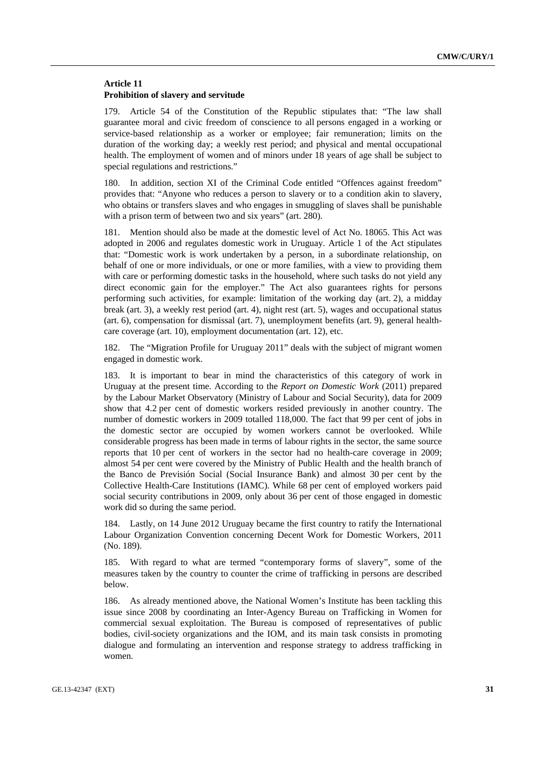# **Article 11 Prohibition of slavery and servitude**

179. Article 54 of the Constitution of the Republic stipulates that: "The law shall guarantee moral and civic freedom of conscience to all persons engaged in a working or service-based relationship as a worker or employee; fair remuneration; limits on the duration of the working day; a weekly rest period; and physical and mental occupational health. The employment of women and of minors under 18 years of age shall be subject to special regulations and restrictions."

180. In addition, section XI of the Criminal Code entitled "Offences against freedom" provides that: "Anyone who reduces a person to slavery or to a condition akin to slavery, who obtains or transfers slaves and who engages in smuggling of slaves shall be punishable with a prison term of between two and six years" (art. 280).

181. Mention should also be made at the domestic level of Act No. 18065. This Act was adopted in 2006 and regulates domestic work in Uruguay. Article 1 of the Act stipulates that: "Domestic work is work undertaken by a person, in a subordinate relationship, on behalf of one or more individuals, or one or more families, with a view to providing them with care or performing domestic tasks in the household, where such tasks do not yield any direct economic gain for the employer." The Act also guarantees rights for persons performing such activities, for example: limitation of the working day (art. 2), a midday break (art. 3), a weekly rest period (art. 4), night rest (art. 5), wages and occupational status (art. 6), compensation for dismissal (art. 7), unemployment benefits (art. 9), general healthcare coverage (art. 10), employment documentation (art. 12), etc.

182. The "Migration Profile for Uruguay 2011" deals with the subject of migrant women engaged in domestic work.

183. It is important to bear in mind the characteristics of this category of work in Uruguay at the present time. According to the *Report on Domestic Work* (2011) prepared by the Labour Market Observatory (Ministry of Labour and Social Security), data for 2009 show that 4.2 per cent of domestic workers resided previously in another country. The number of domestic workers in 2009 totalled 118,000. The fact that 99 per cent of jobs in the domestic sector are occupied by women workers cannot be overlooked. While considerable progress has been made in terms of labour rights in the sector, the same source reports that 10 per cent of workers in the sector had no health-care coverage in 2009; almost 54 per cent were covered by the Ministry of Public Health and the health branch of the Banco de Previsión Social (Social Insurance Bank) and almost 30 per cent by the Collective Health-Care Institutions (IAMC). While 68 per cent of employed workers paid social security contributions in 2009, only about 36 per cent of those engaged in domestic work did so during the same period.

184. Lastly, on 14 June 2012 Uruguay became the first country to ratify the International Labour Organization Convention concerning Decent Work for Domestic Workers, 2011 (No. 189).

185. With regard to what are termed "contemporary forms of slavery", some of the measures taken by the country to counter the crime of trafficking in persons are described below.

186. As already mentioned above, the National Women's Institute has been tackling this issue since 2008 by coordinating an Inter-Agency Bureau on Trafficking in Women for commercial sexual exploitation. The Bureau is composed of representatives of public bodies, civil-society organizations and the IOM, and its main task consists in promoting dialogue and formulating an intervention and response strategy to address trafficking in women.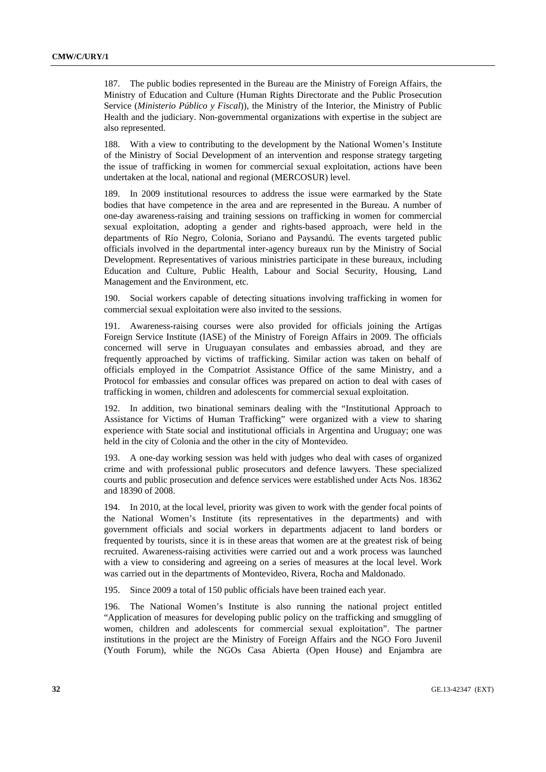187. The public bodies represented in the Bureau are the Ministry of Foreign Affairs, the Ministry of Education and Culture (Human Rights Directorate and the Public Prosecution Service (*Ministerio Público y Fiscal*)), the Ministry of the Interior, the Ministry of Public Health and the judiciary. Non-governmental organizations with expertise in the subject are also represented.

188. With a view to contributing to the development by the National Women's Institute of the Ministry of Social Development of an intervention and response strategy targeting the issue of trafficking in women for commercial sexual exploitation, actions have been undertaken at the local, national and regional (MERCOSUR) level.

189. In 2009 institutional resources to address the issue were earmarked by the State bodies that have competence in the area and are represented in the Bureau. A number of one-day awareness-raising and training sessions on trafficking in women for commercial sexual exploitation, adopting a gender and rights-based approach, were held in the departments of Río Negro, Colonia, Soriano and Paysandú. The events targeted public officials involved in the departmental inter-agency bureaux run by the Ministry of Social Development. Representatives of various ministries participate in these bureaux, including Education and Culture, Public Health, Labour and Social Security, Housing, Land Management and the Environment, etc.

190. Social workers capable of detecting situations involving trafficking in women for commercial sexual exploitation were also invited to the sessions.

191. Awareness-raising courses were also provided for officials joining the Artigas Foreign Service Institute (IASE) of the Ministry of Foreign Affairs in 2009. The officials concerned will serve in Uruguayan consulates and embassies abroad, and they are frequently approached by victims of trafficking. Similar action was taken on behalf of officials employed in the Compatriot Assistance Office of the same Ministry, and a Protocol for embassies and consular offices was prepared on action to deal with cases of trafficking in women, children and adolescents for commercial sexual exploitation.

192. In addition, two binational seminars dealing with the "Institutional Approach to Assistance for Victims of Human Trafficking" were organized with a view to sharing experience with State social and institutional officials in Argentina and Uruguay; one was held in the city of Colonia and the other in the city of Montevideo.

193. A one-day working session was held with judges who deal with cases of organized crime and with professional public prosecutors and defence lawyers. These specialized courts and public prosecution and defence services were established under Acts Nos. 18362 and 18390 of 2008.

194. In 2010, at the local level, priority was given to work with the gender focal points of the National Women's Institute (its representatives in the departments) and with government officials and social workers in departments adjacent to land borders or frequented by tourists, since it is in these areas that women are at the greatest risk of being recruited. Awareness-raising activities were carried out and a work process was launched with a view to considering and agreeing on a series of measures at the local level. Work was carried out in the departments of Montevideo, Rivera, Rocha and Maldonado.

195. Since 2009 a total of 150 public officials have been trained each year.

196. The National Women's Institute is also running the national project entitled "Application of measures for developing public policy on the trafficking and smuggling of women, children and adolescents for commercial sexual exploitation". The partner institutions in the project are the Ministry of Foreign Affairs and the NGO Foro Juvenil (Youth Forum), while the NGOs Casa Abierta (Open House) and Enjambra are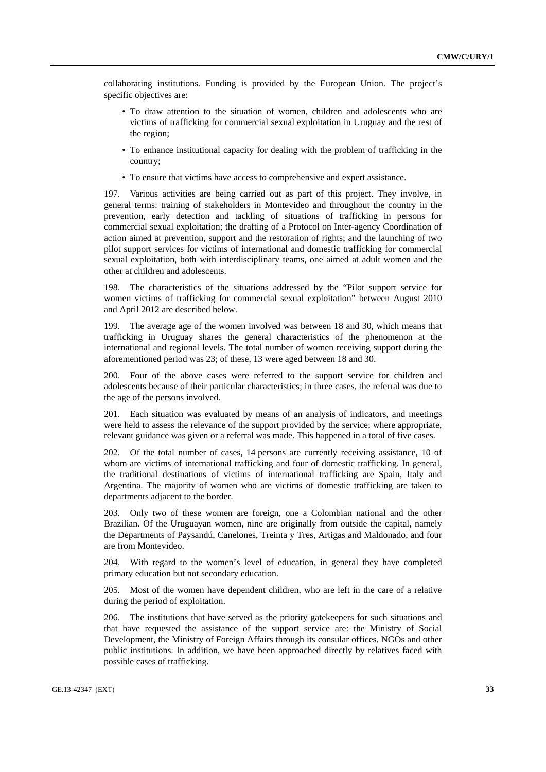collaborating institutions. Funding is provided by the European Union. The project's specific objectives are:

- To draw attention to the situation of women, children and adolescents who are victims of trafficking for commercial sexual exploitation in Uruguay and the rest of the region;
- To enhance institutional capacity for dealing with the problem of trafficking in the country;
- To ensure that victims have access to comprehensive and expert assistance.

197. Various activities are being carried out as part of this project. They involve, in general terms: training of stakeholders in Montevideo and throughout the country in the prevention, early detection and tackling of situations of trafficking in persons for commercial sexual exploitation; the drafting of a Protocol on Inter-agency Coordination of action aimed at prevention, support and the restoration of rights; and the launching of two pilot support services for victims of international and domestic trafficking for commercial sexual exploitation, both with interdisciplinary teams, one aimed at adult women and the other at children and adolescents.

198. The characteristics of the situations addressed by the "Pilot support service for women victims of trafficking for commercial sexual exploitation" between August 2010 and April 2012 are described below.

199. The average age of the women involved was between 18 and 30, which means that trafficking in Uruguay shares the general characteristics of the phenomenon at the international and regional levels. The total number of women receiving support during the aforementioned period was 23; of these, 13 were aged between 18 and 30.

200. Four of the above cases were referred to the support service for children and adolescents because of their particular characteristics; in three cases, the referral was due to the age of the persons involved.

201. Each situation was evaluated by means of an analysis of indicators, and meetings were held to assess the relevance of the support provided by the service; where appropriate, relevant guidance was given or a referral was made. This happened in a total of five cases.

202. Of the total number of cases, 14 persons are currently receiving assistance, 10 of whom are victims of international trafficking and four of domestic trafficking. In general, the traditional destinations of victims of international trafficking are Spain, Italy and Argentina. The majority of women who are victims of domestic trafficking are taken to departments adjacent to the border.

203. Only two of these women are foreign, one a Colombian national and the other Brazilian. Of the Uruguayan women, nine are originally from outside the capital, namely the Departments of Paysandú, Canelones, Treinta y Tres, Artigas and Maldonado, and four are from Montevideo.

204. With regard to the women's level of education, in general they have completed primary education but not secondary education.

205. Most of the women have dependent children, who are left in the care of a relative during the period of exploitation.

206. The institutions that have served as the priority gatekeepers for such situations and that have requested the assistance of the support service are: the Ministry of Social Development, the Ministry of Foreign Affairs through its consular offices, NGOs and other public institutions. In addition, we have been approached directly by relatives faced with possible cases of trafficking.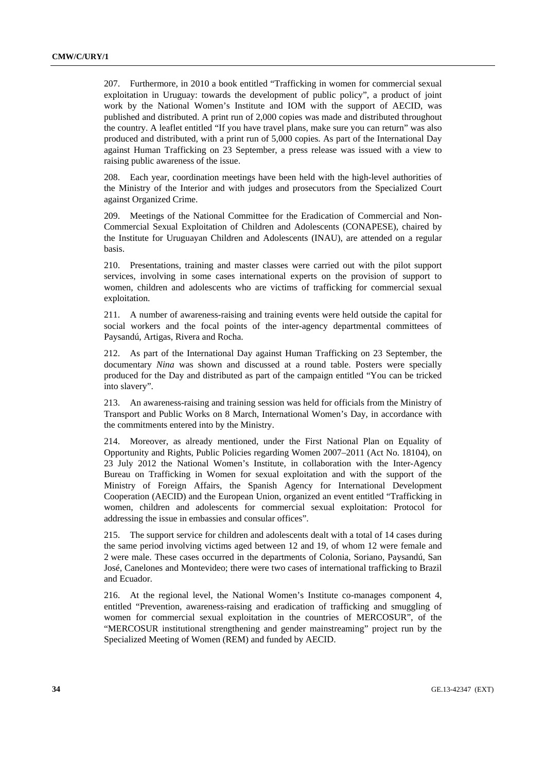207. Furthermore, in 2010 a book entitled "Trafficking in women for commercial sexual exploitation in Uruguay: towards the development of public policy", a product of joint work by the National Women's Institute and IOM with the support of AECID, was published and distributed. A print run of 2,000 copies was made and distributed throughout the country. A leaflet entitled "If you have travel plans, make sure you can return" was also produced and distributed, with a print run of 5,000 copies. As part of the International Day against Human Trafficking on 23 September, a press release was issued with a view to raising public awareness of the issue.

208. Each year, coordination meetings have been held with the high-level authorities of the Ministry of the Interior and with judges and prosecutors from the Specialized Court against Organized Crime.

209. Meetings of the National Committee for the Eradication of Commercial and Non-Commercial Sexual Exploitation of Children and Adolescents (CONAPESE), chaired by the Institute for Uruguayan Children and Adolescents (INAU), are attended on a regular basis.

210. Presentations, training and master classes were carried out with the pilot support services, involving in some cases international experts on the provision of support to women, children and adolescents who are victims of trafficking for commercial sexual exploitation.

211. A number of awareness-raising and training events were held outside the capital for social workers and the focal points of the inter-agency departmental committees of Paysandú, Artigas, Rivera and Rocha.

212. As part of the International Day against Human Trafficking on 23 September, the documentary *Nina* was shown and discussed at a round table. Posters were specially produced for the Day and distributed as part of the campaign entitled "You can be tricked into slavery".

213. An awareness-raising and training session was held for officials from the Ministry of Transport and Public Works on 8 March, International Women's Day, in accordance with the commitments entered into by the Ministry.

214. Moreover, as already mentioned, under the First National Plan on Equality of Opportunity and Rights, Public Policies regarding Women 2007–2011 (Act No. 18104), on 23 July 2012 the National Women's Institute, in collaboration with the Inter-Agency Bureau on Trafficking in Women for sexual exploitation and with the support of the Ministry of Foreign Affairs, the Spanish Agency for International Development Cooperation (AECID) and the European Union, organized an event entitled "Trafficking in women, children and adolescents for commercial sexual exploitation: Protocol for addressing the issue in embassies and consular offices".

215. The support service for children and adolescents dealt with a total of 14 cases during the same period involving victims aged between 12 and 19, of whom 12 were female and 2 were male. These cases occurred in the departments of Colonia, Soriano, Paysandú, San José, Canelones and Montevideo; there were two cases of international trafficking to Brazil and Ecuador.

216. At the regional level, the National Women's Institute co-manages component 4, entitled "Prevention, awareness-raising and eradication of trafficking and smuggling of women for commercial sexual exploitation in the countries of MERCOSUR", of the "MERCOSUR institutional strengthening and gender mainstreaming" project run by the Specialized Meeting of Women (REM) and funded by AECID.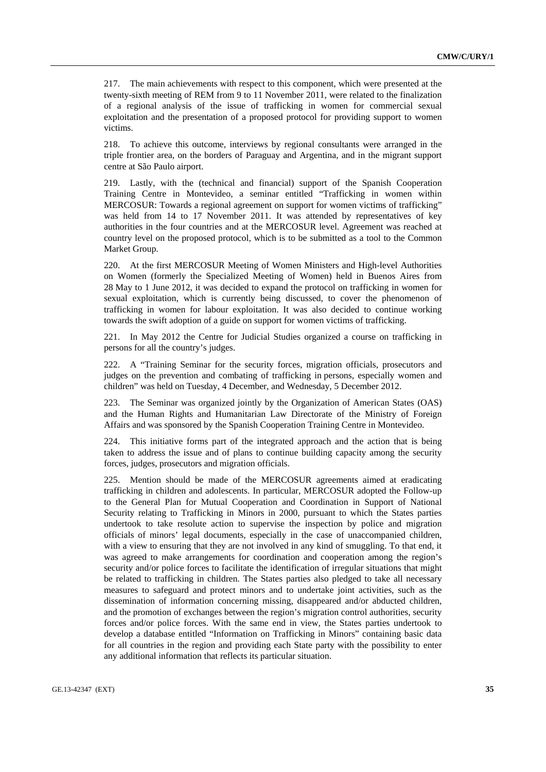217. The main achievements with respect to this component, which were presented at the twenty-sixth meeting of REM from 9 to 11 November 2011, were related to the finalization of a regional analysis of the issue of trafficking in women for commercial sexual exploitation and the presentation of a proposed protocol for providing support to women victims.

218. To achieve this outcome, interviews by regional consultants were arranged in the triple frontier area, on the borders of Paraguay and Argentina, and in the migrant support centre at São Paulo airport.

219. Lastly, with the (technical and financial) support of the Spanish Cooperation Training Centre in Montevideo, a seminar entitled "Trafficking in women within MERCOSUR: Towards a regional agreement on support for women victims of trafficking" was held from 14 to 17 November 2011. It was attended by representatives of key authorities in the four countries and at the MERCOSUR level. Agreement was reached at country level on the proposed protocol, which is to be submitted as a tool to the Common Market Group.

220. At the first MERCOSUR Meeting of Women Ministers and High-level Authorities on Women (formerly the Specialized Meeting of Women) held in Buenos Aires from 28 May to 1 June 2012, it was decided to expand the protocol on trafficking in women for sexual exploitation, which is currently being discussed, to cover the phenomenon of trafficking in women for labour exploitation. It was also decided to continue working towards the swift adoption of a guide on support for women victims of trafficking.

221. In May 2012 the Centre for Judicial Studies organized a course on trafficking in persons for all the country's judges.

222. A "Training Seminar for the security forces, migration officials, prosecutors and judges on the prevention and combating of trafficking in persons, especially women and children" was held on Tuesday, 4 December, and Wednesday, 5 December 2012.

223. The Seminar was organized jointly by the Organization of American States (OAS) and the Human Rights and Humanitarian Law Directorate of the Ministry of Foreign Affairs and was sponsored by the Spanish Cooperation Training Centre in Montevideo.

224. This initiative forms part of the integrated approach and the action that is being taken to address the issue and of plans to continue building capacity among the security forces, judges, prosecutors and migration officials.

225. Mention should be made of the MERCOSUR agreements aimed at eradicating trafficking in children and adolescents. In particular, MERCOSUR adopted the Follow-up to the General Plan for Mutual Cooperation and Coordination in Support of National Security relating to Trafficking in Minors in 2000, pursuant to which the States parties undertook to take resolute action to supervise the inspection by police and migration officials of minors' legal documents, especially in the case of unaccompanied children, with a view to ensuring that they are not involved in any kind of smuggling. To that end, it was agreed to make arrangements for coordination and cooperation among the region's security and/or police forces to facilitate the identification of irregular situations that might be related to trafficking in children. The States parties also pledged to take all necessary measures to safeguard and protect minors and to undertake joint activities, such as the dissemination of information concerning missing, disappeared and/or abducted children, and the promotion of exchanges between the region's migration control authorities, security forces and/or police forces. With the same end in view, the States parties undertook to develop a database entitled "Information on Trafficking in Minors" containing basic data for all countries in the region and providing each State party with the possibility to enter any additional information that reflects its particular situation.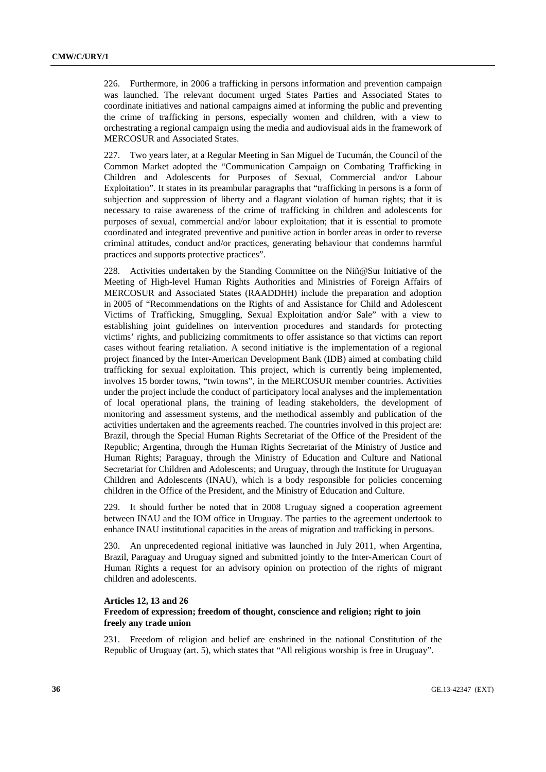226. Furthermore, in 2006 a trafficking in persons information and prevention campaign was launched. The relevant document urged States Parties and Associated States to coordinate initiatives and national campaigns aimed at informing the public and preventing the crime of trafficking in persons, especially women and children, with a view to orchestrating a regional campaign using the media and audiovisual aids in the framework of MERCOSUR and Associated States.

227. Two years later, at a Regular Meeting in San Miguel de Tucumán, the Council of the Common Market adopted the "Communication Campaign on Combating Trafficking in Children and Adolescents for Purposes of Sexual, Commercial and/or Labour Exploitation". It states in its preambular paragraphs that "trafficking in persons is a form of subjection and suppression of liberty and a flagrant violation of human rights; that it is necessary to raise awareness of the crime of trafficking in children and adolescents for purposes of sexual, commercial and/or labour exploitation; that it is essential to promote coordinated and integrated preventive and punitive action in border areas in order to reverse criminal attitudes, conduct and/or practices, generating behaviour that condemns harmful practices and supports protective practices".

228. Activities undertaken by the Standing Committee on the Niñ@Sur Initiative of the Meeting of High-level Human Rights Authorities and Ministries of Foreign Affairs of MERCOSUR and Associated States (RAADDHH) include the preparation and adoption in 2005 of "Recommendations on the Rights of and Assistance for Child and Adolescent Victims of Trafficking, Smuggling, Sexual Exploitation and/or Sale" with a view to establishing joint guidelines on intervention procedures and standards for protecting victims' rights, and publicizing commitments to offer assistance so that victims can report cases without fearing retaliation. A second initiative is the implementation of a regional project financed by the Inter-American Development Bank (IDB) aimed at combating child trafficking for sexual exploitation. This project, which is currently being implemented, involves 15 border towns, "twin towns", in the MERCOSUR member countries. Activities under the project include the conduct of participatory local analyses and the implementation of local operational plans, the training of leading stakeholders, the development of monitoring and assessment systems, and the methodical assembly and publication of the activities undertaken and the agreements reached. The countries involved in this project are: Brazil, through the Special Human Rights Secretariat of the Office of the President of the Republic; Argentina, through the Human Rights Secretariat of the Ministry of Justice and Human Rights; Paraguay, through the Ministry of Education and Culture and National Secretariat for Children and Adolescents; and Uruguay, through the Institute for Uruguayan Children and Adolescents (INAU), which is a body responsible for policies concerning children in the Office of the President, and the Ministry of Education and Culture.

229. It should further be noted that in 2008 Uruguay signed a cooperation agreement between INAU and the IOM office in Uruguay. The parties to the agreement undertook to enhance INAU institutional capacities in the areas of migration and trafficking in persons.

230. An unprecedented regional initiative was launched in July 2011, when Argentina, Brazil, Paraguay and Uruguay signed and submitted jointly to the Inter-American Court of Human Rights a request for an advisory opinion on protection of the rights of migrant children and adolescents.

#### **Articles 12, 13 and 26**

### **Freedom of expression; freedom of thought, conscience and religion; right to join freely any trade union**

231. Freedom of religion and belief are enshrined in the national Constitution of the Republic of Uruguay (art. 5), which states that "All religious worship is free in Uruguay".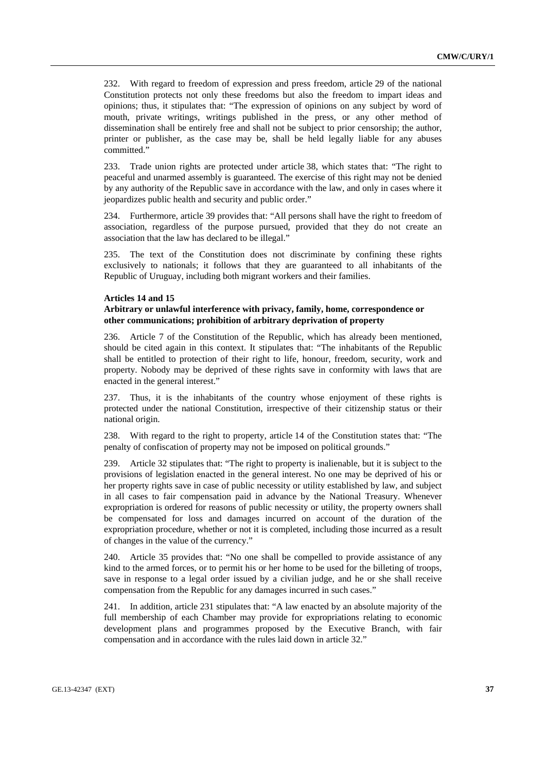232. With regard to freedom of expression and press freedom, article 29 of the national Constitution protects not only these freedoms but also the freedom to impart ideas and opinions; thus, it stipulates that: "The expression of opinions on any subject by word of mouth, private writings, writings published in the press, or any other method of dissemination shall be entirely free and shall not be subject to prior censorship; the author, printer or publisher, as the case may be, shall be held legally liable for any abuses committed."

233. Trade union rights are protected under article 38, which states that: "The right to peaceful and unarmed assembly is guaranteed. The exercise of this right may not be denied by any authority of the Republic save in accordance with the law, and only in cases where it jeopardizes public health and security and public order."

234. Furthermore, article 39 provides that: "All persons shall have the right to freedom of association, regardless of the purpose pursued, provided that they do not create an association that the law has declared to be illegal."

235. The text of the Constitution does not discriminate by confining these rights exclusively to nationals; it follows that they are guaranteed to all inhabitants of the Republic of Uruguay, including both migrant workers and their families.

### **Articles 14 and 15**

## **Arbitrary or unlawful interference with privacy, family, home, correspondence or other communications; prohibition of arbitrary deprivation of property**

236. Article 7 of the Constitution of the Republic, which has already been mentioned, should be cited again in this context. It stipulates that: "The inhabitants of the Republic shall be entitled to protection of their right to life, honour, freedom, security, work and property. Nobody may be deprived of these rights save in conformity with laws that are enacted in the general interest."

237. Thus, it is the inhabitants of the country whose enjoyment of these rights is protected under the national Constitution, irrespective of their citizenship status or their national origin.

238. With regard to the right to property, article 14 of the Constitution states that: "The penalty of confiscation of property may not be imposed on political grounds."

239. Article 32 stipulates that: "The right to property is inalienable, but it is subject to the provisions of legislation enacted in the general interest. No one may be deprived of his or her property rights save in case of public necessity or utility established by law, and subject in all cases to fair compensation paid in advance by the National Treasury. Whenever expropriation is ordered for reasons of public necessity or utility, the property owners shall be compensated for loss and damages incurred on account of the duration of the expropriation procedure, whether or not it is completed, including those incurred as a result of changes in the value of the currency."

240. Article 35 provides that: "No one shall be compelled to provide assistance of any kind to the armed forces, or to permit his or her home to be used for the billeting of troops, save in response to a legal order issued by a civilian judge, and he or she shall receive compensation from the Republic for any damages incurred in such cases."

241. In addition, article 231 stipulates that: "A law enacted by an absolute majority of the full membership of each Chamber may provide for expropriations relating to economic development plans and programmes proposed by the Executive Branch, with fair compensation and in accordance with the rules laid down in article 32."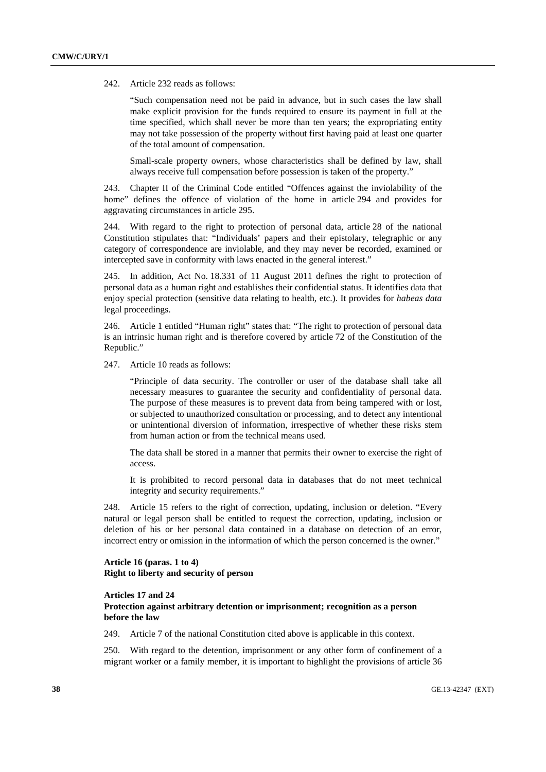242. Article 232 reads as follows:

"Such compensation need not be paid in advance, but in such cases the law shall make explicit provision for the funds required to ensure its payment in full at the time specified, which shall never be more than ten years; the expropriating entity may not take possession of the property without first having paid at least one quarter of the total amount of compensation.

Small-scale property owners, whose characteristics shall be defined by law, shall always receive full compensation before possession is taken of the property."

243. Chapter II of the Criminal Code entitled "Offences against the inviolability of the home" defines the offence of violation of the home in article 294 and provides for aggravating circumstances in article 295.

244. With regard to the right to protection of personal data, article 28 of the national Constitution stipulates that: "Individuals' papers and their epistolary, telegraphic or any category of correspondence are inviolable, and they may never be recorded, examined or intercepted save in conformity with laws enacted in the general interest."

245. In addition, Act No. 18.331 of 11 August 2011 defines the right to protection of personal data as a human right and establishes their confidential status. It identifies data that enjoy special protection (sensitive data relating to health, etc.). It provides for *habeas data* legal proceedings.

246. Article 1 entitled "Human right" states that: "The right to protection of personal data is an intrinsic human right and is therefore covered by article 72 of the Constitution of the Republic."

247. Article 10 reads as follows:

"Principle of data security. The controller or user of the database shall take all necessary measures to guarantee the security and confidentiality of personal data. The purpose of these measures is to prevent data from being tampered with or lost, or subjected to unauthorized consultation or processing, and to detect any intentional or unintentional diversion of information, irrespective of whether these risks stem from human action or from the technical means used.

The data shall be stored in a manner that permits their owner to exercise the right of access.

It is prohibited to record personal data in databases that do not meet technical integrity and security requirements."

248. Article 15 refers to the right of correction, updating, inclusion or deletion. "Every natural or legal person shall be entitled to request the correction, updating, inclusion or deletion of his or her personal data contained in a database on detection of an error, incorrect entry or omission in the information of which the person concerned is the owner."

### **Article 16 (paras. 1 to 4) Right to liberty and security of person**

### **Articles 17 and 24**

## **Protection against arbitrary detention or imprisonment; recognition as a person before the law**

249. Article 7 of the national Constitution cited above is applicable in this context.

250. With regard to the detention, imprisonment or any other form of confinement of a migrant worker or a family member, it is important to highlight the provisions of article 36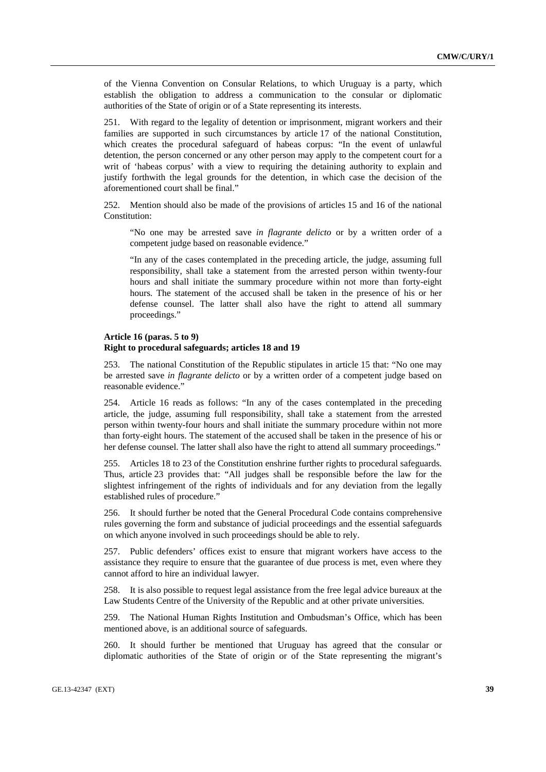of the Vienna Convention on Consular Relations, to which Uruguay is a party, which establish the obligation to address a communication to the consular or diplomatic authorities of the State of origin or of a State representing its interests.

251. With regard to the legality of detention or imprisonment, migrant workers and their families are supported in such circumstances by article 17 of the national Constitution, which creates the procedural safeguard of habeas corpus: "In the event of unlawful detention, the person concerned or any other person may apply to the competent court for a writ of 'habeas corpus' with a view to requiring the detaining authority to explain and justify forthwith the legal grounds for the detention, in which case the decision of the aforementioned court shall be final."

252. Mention should also be made of the provisions of articles 15 and 16 of the national Constitution:

"No one may be arrested save *in flagrante delicto* or by a written order of a competent judge based on reasonable evidence."

"In any of the cases contemplated in the preceding article, the judge, assuming full responsibility, shall take a statement from the arrested person within twenty-four hours and shall initiate the summary procedure within not more than forty-eight hours. The statement of the accused shall be taken in the presence of his or her defense counsel. The latter shall also have the right to attend all summary proceedings."

#### **Article 16 (paras. 5 to 9)**

### **Right to procedural safeguards; articles 18 and 19**

253. The national Constitution of the Republic stipulates in article 15 that: "No one may be arrested save *in flagrante delicto* or by a written order of a competent judge based on reasonable evidence."

254. Article 16 reads as follows: "In any of the cases contemplated in the preceding article, the judge, assuming full responsibility, shall take a statement from the arrested person within twenty-four hours and shall initiate the summary procedure within not more than forty-eight hours. The statement of the accused shall be taken in the presence of his or her defense counsel. The latter shall also have the right to attend all summary proceedings."

255. Articles 18 to 23 of the Constitution enshrine further rights to procedural safeguards. Thus, article 23 provides that: "All judges shall be responsible before the law for the slightest infringement of the rights of individuals and for any deviation from the legally established rules of procedure."

256. It should further be noted that the General Procedural Code contains comprehensive rules governing the form and substance of judicial proceedings and the essential safeguards on which anyone involved in such proceedings should be able to rely.

257. Public defenders' offices exist to ensure that migrant workers have access to the assistance they require to ensure that the guarantee of due process is met, even where they cannot afford to hire an individual lawyer.

258. It is also possible to request legal assistance from the free legal advice bureaux at the Law Students Centre of the University of the Republic and at other private universities.

259. The National Human Rights Institution and Ombudsman's Office, which has been mentioned above, is an additional source of safeguards.

260. It should further be mentioned that Uruguay has agreed that the consular or diplomatic authorities of the State of origin or of the State representing the migrant's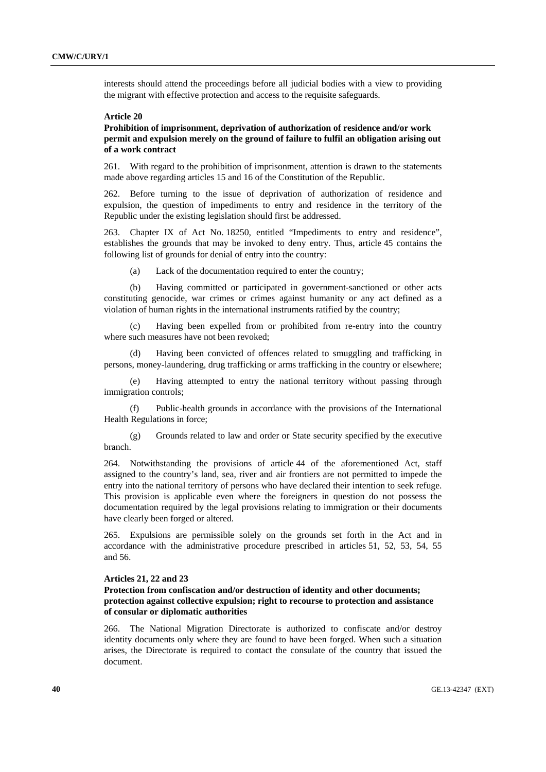interests should attend the proceedings before all judicial bodies with a view to providing the migrant with effective protection and access to the requisite safeguards.

### **Article 20**

## **Prohibition of imprisonment, deprivation of authorization of residence and/or work permit and expulsion merely on the ground of failure to fulfil an obligation arising out of a work contract**

261. With regard to the prohibition of imprisonment, attention is drawn to the statements made above regarding articles 15 and 16 of the Constitution of the Republic.

262. Before turning to the issue of deprivation of authorization of residence and expulsion, the question of impediments to entry and residence in the territory of the Republic under the existing legislation should first be addressed.

263. Chapter IX of Act No. 18250, entitled "Impediments to entry and residence", establishes the grounds that may be invoked to deny entry. Thus, article 45 contains the following list of grounds for denial of entry into the country:

(a) Lack of the documentation required to enter the country;

 (b) Having committed or participated in government-sanctioned or other acts constituting genocide, war crimes or crimes against humanity or any act defined as a violation of human rights in the international instruments ratified by the country;

Having been expelled from or prohibited from re-entry into the country where such measures have not been revoked;

 (d) Having been convicted of offences related to smuggling and trafficking in persons, money-laundering, drug trafficking or arms trafficking in the country or elsewhere;

 (e) Having attempted to entry the national territory without passing through immigration controls;

 (f) Public-health grounds in accordance with the provisions of the International Health Regulations in force;

 (g) Grounds related to law and order or State security specified by the executive branch.

264. Notwithstanding the provisions of article 44 of the aforementioned Act, staff assigned to the country's land, sea, river and air frontiers are not permitted to impede the entry into the national territory of persons who have declared their intention to seek refuge. This provision is applicable even where the foreigners in question do not possess the documentation required by the legal provisions relating to immigration or their documents have clearly been forged or altered.

265. Expulsions are permissible solely on the grounds set forth in the Act and in accordance with the administrative procedure prescribed in articles 51, 52, 53, 54, 55 and 56.

### **Articles 21, 22 and 23**

## **Protection from confiscation and/or destruction of identity and other documents; protection against collective expulsion; right to recourse to protection and assistance of consular or diplomatic authorities**

266. The National Migration Directorate is authorized to confiscate and/or destroy identity documents only where they are found to have been forged. When such a situation arises, the Directorate is required to contact the consulate of the country that issued the document.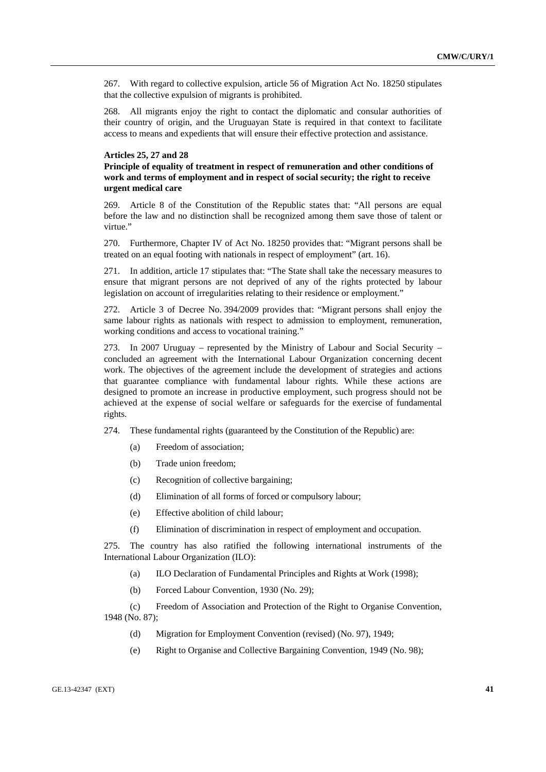267. With regard to collective expulsion, article 56 of Migration Act No. 18250 stipulates that the collective expulsion of migrants is prohibited.

268. All migrants enjoy the right to contact the diplomatic and consular authorities of their country of origin, and the Uruguayan State is required in that context to facilitate access to means and expedients that will ensure their effective protection and assistance.

### **Articles 25, 27 and 28**

## **Principle of equality of treatment in respect of remuneration and other conditions of work and terms of employment and in respect of social security; the right to receive urgent medical care**

269. Article 8 of the Constitution of the Republic states that: "All persons are equal before the law and no distinction shall be recognized among them save those of talent or virtue."

270. Furthermore, Chapter IV of Act No. 18250 provides that: "Migrant persons shall be treated on an equal footing with nationals in respect of employment" (art. 16).

271. In addition, article 17 stipulates that: "The State shall take the necessary measures to ensure that migrant persons are not deprived of any of the rights protected by labour legislation on account of irregularities relating to their residence or employment."

272. Article 3 of Decree No. 394/2009 provides that: "Migrant persons shall enjoy the same labour rights as nationals with respect to admission to employment, remuneration, working conditions and access to vocational training."

273. In 2007 Uruguay – represented by the Ministry of Labour and Social Security – concluded an agreement with the International Labour Organization concerning decent work. The objectives of the agreement include the development of strategies and actions that guarantee compliance with fundamental labour rights. While these actions are designed to promote an increase in productive employment, such progress should not be achieved at the expense of social welfare or safeguards for the exercise of fundamental rights.

274. These fundamental rights (guaranteed by the Constitution of the Republic) are:

- (a) Freedom of association;
- (b) Trade union freedom;
- (c) Recognition of collective bargaining;
- (d) Elimination of all forms of forced or compulsory labour;
- (e) Effective abolition of child labour;
- (f) Elimination of discrimination in respect of employment and occupation.

275. The country has also ratified the following international instruments of the International Labour Organization (ILO):

(a) ILO Declaration of Fundamental Principles and Rights at Work (1998);

(b) Forced Labour Convention, 1930 (No. 29);

 (c) Freedom of Association and Protection of the Right to Organise Convention, 1948 (No. 87);

- (d) Migration for Employment Convention (revised) (No. 97), 1949;
- (e) Right to Organise and Collective Bargaining Convention, 1949 (No. 98);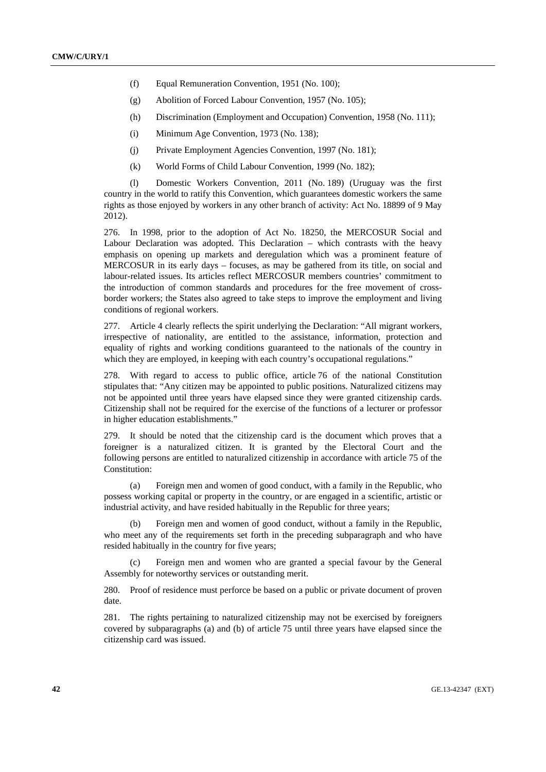- (f) Equal Remuneration Convention, 1951 (No. 100);
- (g) Abolition of Forced Labour Convention, 1957 (No. 105);
- (h) Discrimination (Employment and Occupation) Convention, 1958 (No. 111);
- (i) Minimum Age Convention, 1973 (No. 138);
- (j) Private Employment Agencies Convention, 1997 (No. 181);
- (k) World Forms of Child Labour Convention, 1999 (No. 182);

 (l) Domestic Workers Convention, 2011 (No. 189) (Uruguay was the first country in the world to ratify this Convention, which guarantees domestic workers the same rights as those enjoyed by workers in any other branch of activity: Act No. 18899 of 9 May 2012).

276. In 1998, prior to the adoption of Act No. 18250, the MERCOSUR Social and Labour Declaration was adopted. This Declaration – which contrasts with the heavy emphasis on opening up markets and deregulation which was a prominent feature of MERCOSUR in its early days – focuses, as may be gathered from its title, on social and labour-related issues. Its articles reflect MERCOSUR members countries' commitment to the introduction of common standards and procedures for the free movement of crossborder workers; the States also agreed to take steps to improve the employment and living conditions of regional workers.

277. Article 4 clearly reflects the spirit underlying the Declaration: "All migrant workers, irrespective of nationality, are entitled to the assistance, information, protection and equality of rights and working conditions guaranteed to the nationals of the country in which they are employed, in keeping with each country's occupational regulations."

278. With regard to access to public office, article 76 of the national Constitution stipulates that: "Any citizen may be appointed to public positions. Naturalized citizens may not be appointed until three years have elapsed since they were granted citizenship cards. Citizenship shall not be required for the exercise of the functions of a lecturer or professor in higher education establishments."

279. It should be noted that the citizenship card is the document which proves that a foreigner is a naturalized citizen. It is granted by the Electoral Court and the following persons are entitled to naturalized citizenship in accordance with article 75 of the Constitution:

 (a) Foreign men and women of good conduct, with a family in the Republic, who possess working capital or property in the country, or are engaged in a scientific, artistic or industrial activity, and have resided habitually in the Republic for three years;

 (b) Foreign men and women of good conduct, without a family in the Republic, who meet any of the requirements set forth in the preceding subparagraph and who have resided habitually in the country for five years;

 (c) Foreign men and women who are granted a special favour by the General Assembly for noteworthy services or outstanding merit.

280. Proof of residence must perforce be based on a public or private document of proven date.

281. The rights pertaining to naturalized citizenship may not be exercised by foreigners covered by subparagraphs (a) and (b) of article 75 until three years have elapsed since the citizenship card was issued.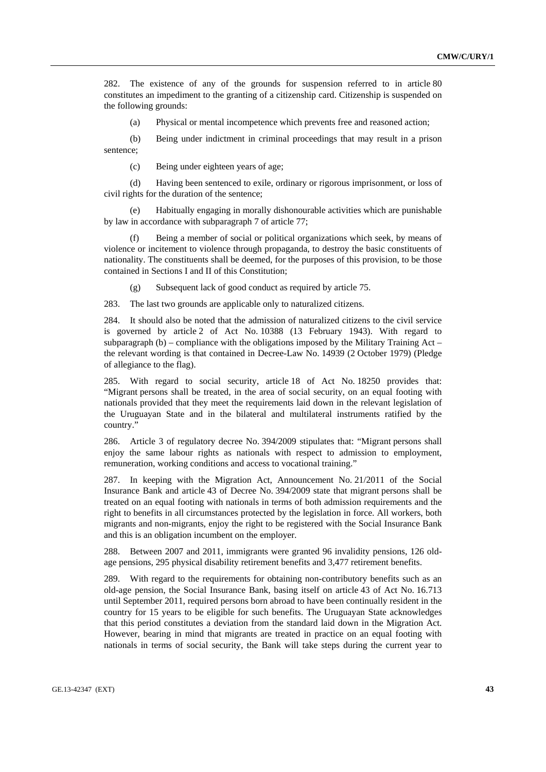282. The existence of any of the grounds for suspension referred to in article 80 constitutes an impediment to the granting of a citizenship card. Citizenship is suspended on the following grounds:

(a) Physical or mental incompetence which prevents free and reasoned action;

 (b) Being under indictment in criminal proceedings that may result in a prison sentence;

(c) Being under eighteen years of age;

 (d) Having been sentenced to exile, ordinary or rigorous imprisonment, or loss of civil rights for the duration of the sentence;

 (e) Habitually engaging in morally dishonourable activities which are punishable by law in accordance with subparagraph 7 of article 77;

 (f) Being a member of social or political organizations which seek, by means of violence or incitement to violence through propaganda, to destroy the basic constituents of nationality. The constituents shall be deemed, for the purposes of this provision, to be those contained in Sections I and II of this Constitution;

(g) Subsequent lack of good conduct as required by article 75.

283. The last two grounds are applicable only to naturalized citizens.

284. It should also be noted that the admission of naturalized citizens to the civil service is governed by article 2 of Act No. 10388 (13 February 1943). With regard to subparagraph (b) – compliance with the obligations imposed by the Military Training Act – the relevant wording is that contained in Decree-Law No. 14939 (2 October 1979) (Pledge of allegiance to the flag).

285. With regard to social security, article 18 of Act No. 18250 provides that: "Migrant persons shall be treated, in the area of social security, on an equal footing with nationals provided that they meet the requirements laid down in the relevant legislation of the Uruguayan State and in the bilateral and multilateral instruments ratified by the country."

286. Article 3 of regulatory decree No. 394/2009 stipulates that: "Migrant persons shall enjoy the same labour rights as nationals with respect to admission to employment, remuneration, working conditions and access to vocational training."

287. In keeping with the Migration Act, Announcement No. 21/2011 of the Social Insurance Bank and article 43 of Decree No. 394/2009 state that migrant persons shall be treated on an equal footing with nationals in terms of both admission requirements and the right to benefits in all circumstances protected by the legislation in force. All workers, both migrants and non-migrants, enjoy the right to be registered with the Social Insurance Bank and this is an obligation incumbent on the employer.

288. Between 2007 and 2011, immigrants were granted 96 invalidity pensions, 126 oldage pensions, 295 physical disability retirement benefits and 3,477 retirement benefits.

289. With regard to the requirements for obtaining non-contributory benefits such as an old-age pension, the Social Insurance Bank, basing itself on article 43 of Act No. 16.713 until September 2011, required persons born abroad to have been continually resident in the country for 15 years to be eligible for such benefits. The Uruguayan State acknowledges that this period constitutes a deviation from the standard laid down in the Migration Act. However, bearing in mind that migrants are treated in practice on an equal footing with nationals in terms of social security, the Bank will take steps during the current year to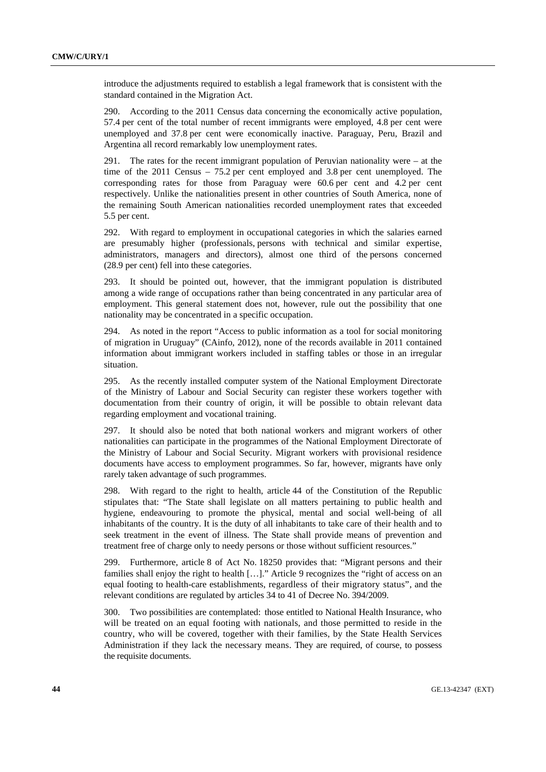introduce the adjustments required to establish a legal framework that is consistent with the standard contained in the Migration Act.

290. According to the 2011 Census data concerning the economically active population, 57.4 per cent of the total number of recent immigrants were employed, 4.8 per cent were unemployed and 37.8 per cent were economically inactive. Paraguay, Peru, Brazil and Argentina all record remarkably low unemployment rates.

291. The rates for the recent immigrant population of Peruvian nationality were – at the time of the 2011 Census – 75.2 per cent employed and 3.8 per cent unemployed. The corresponding rates for those from Paraguay were 60.6 per cent and 4.2 per cent respectively. Unlike the nationalities present in other countries of South America, none of the remaining South American nationalities recorded unemployment rates that exceeded 5.5 per cent.

292. With regard to employment in occupational categories in which the salaries earned are presumably higher (professionals, persons with technical and similar expertise, administrators, managers and directors), almost one third of the persons concerned (28.9 per cent) fell into these categories.

293. It should be pointed out, however, that the immigrant population is distributed among a wide range of occupations rather than being concentrated in any particular area of employment. This general statement does not, however, rule out the possibility that one nationality may be concentrated in a specific occupation.

294. As noted in the report "Access to public information as a tool for social monitoring of migration in Uruguay" (CAinfo, 2012), none of the records available in 2011 contained information about immigrant workers included in staffing tables or those in an irregular situation.

295. As the recently installed computer system of the National Employment Directorate of the Ministry of Labour and Social Security can register these workers together with documentation from their country of origin, it will be possible to obtain relevant data regarding employment and vocational training.

297. It should also be noted that both national workers and migrant workers of other nationalities can participate in the programmes of the National Employment Directorate of the Ministry of Labour and Social Security. Migrant workers with provisional residence documents have access to employment programmes. So far, however, migrants have only rarely taken advantage of such programmes.

298. With regard to the right to health, article 44 of the Constitution of the Republic stipulates that: "The State shall legislate on all matters pertaining to public health and hygiene, endeavouring to promote the physical, mental and social well-being of all inhabitants of the country. It is the duty of all inhabitants to take care of their health and to seek treatment in the event of illness. The State shall provide means of prevention and treatment free of charge only to needy persons or those without sufficient resources."

299. Furthermore, article 8 of Act No. 18250 provides that: "Migrant persons and their families shall enjoy the right to health […]." Article 9 recognizes the "right of access on an equal footing to health-care establishments, regardless of their migratory status", and the relevant conditions are regulated by articles 34 to 41 of Decree No. 394/2009.

300. Two possibilities are contemplated: those entitled to National Health Insurance, who will be treated on an equal footing with nationals, and those permitted to reside in the country, who will be covered, together with their families, by the State Health Services Administration if they lack the necessary means. They are required, of course, to possess the requisite documents.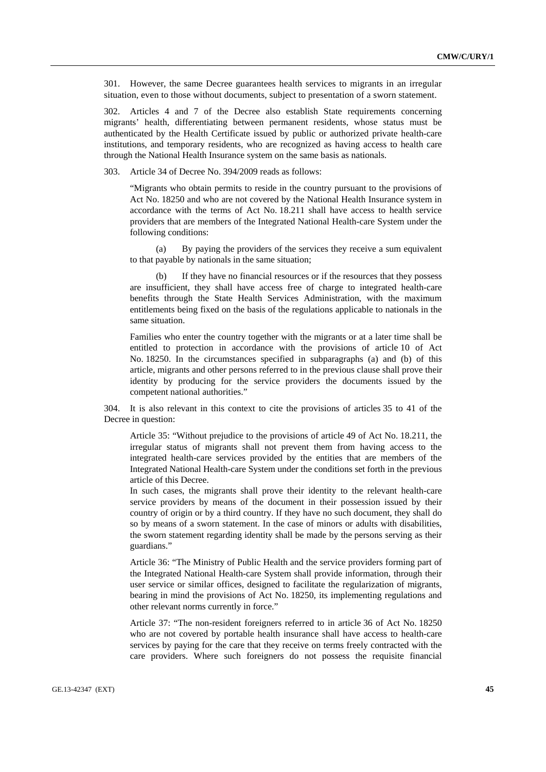301. However, the same Decree guarantees health services to migrants in an irregular situation, even to those without documents, subject to presentation of a sworn statement.

302. Articles 4 and 7 of the Decree also establish State requirements concerning migrants' health, differentiating between permanent residents, whose status must be authenticated by the Health Certificate issued by public or authorized private health-care institutions, and temporary residents, who are recognized as having access to health care through the National Health Insurance system on the same basis as nationals.

303. Article 34 of Decree No. 394/2009 reads as follows:

"Migrants who obtain permits to reside in the country pursuant to the provisions of Act No. 18250 and who are not covered by the National Health Insurance system in accordance with the terms of Act No. 18.211 shall have access to health service providers that are members of the Integrated National Health-care System under the following conditions:

 (a) By paying the providers of the services they receive a sum equivalent to that payable by nationals in the same situation;

 (b) If they have no financial resources or if the resources that they possess are insufficient, they shall have access free of charge to integrated health-care benefits through the State Health Services Administration, with the maximum entitlements being fixed on the basis of the regulations applicable to nationals in the same situation.

Families who enter the country together with the migrants or at a later time shall be entitled to protection in accordance with the provisions of article 10 of Act No. 18250. In the circumstances specified in subparagraphs (a) and (b) of this article, migrants and other persons referred to in the previous clause shall prove their identity by producing for the service providers the documents issued by the competent national authorities."

304. It is also relevant in this context to cite the provisions of articles 35 to 41 of the Decree in question:

Article 35: "Without prejudice to the provisions of article 49 of Act No. 18.211, the irregular status of migrants shall not prevent them from having access to the integrated health-care services provided by the entities that are members of the Integrated National Health-care System under the conditions set forth in the previous article of this Decree.

In such cases, the migrants shall prove their identity to the relevant health-care service providers by means of the document in their possession issued by their country of origin or by a third country. If they have no such document, they shall do so by means of a sworn statement. In the case of minors or adults with disabilities, the sworn statement regarding identity shall be made by the persons serving as their guardians."

Article 36: "The Ministry of Public Health and the service providers forming part of the Integrated National Health-care System shall provide information, through their user service or similar offices, designed to facilitate the regularization of migrants, bearing in mind the provisions of Act No. 18250, its implementing regulations and other relevant norms currently in force."

Article 37: "The non-resident foreigners referred to in article 36 of Act No. 18250 who are not covered by portable health insurance shall have access to health-care services by paying for the care that they receive on terms freely contracted with the care providers. Where such foreigners do not possess the requisite financial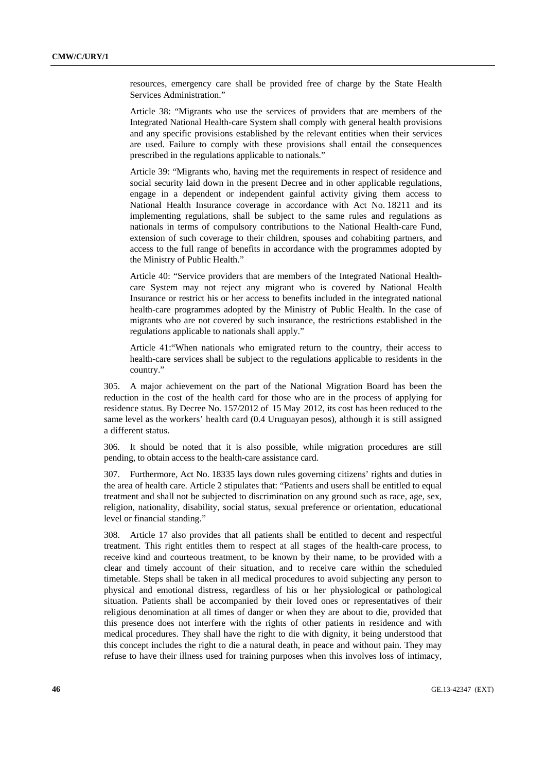resources, emergency care shall be provided free of charge by the State Health Services Administration."

Article 38: "Migrants who use the services of providers that are members of the Integrated National Health-care System shall comply with general health provisions and any specific provisions established by the relevant entities when their services are used. Failure to comply with these provisions shall entail the consequences prescribed in the regulations applicable to nationals."

Article 39: "Migrants who, having met the requirements in respect of residence and social security laid down in the present Decree and in other applicable regulations, engage in a dependent or independent gainful activity giving them access to National Health Insurance coverage in accordance with Act No. 18211 and its implementing regulations, shall be subject to the same rules and regulations as nationals in terms of compulsory contributions to the National Health-care Fund, extension of such coverage to their children, spouses and cohabiting partners, and access to the full range of benefits in accordance with the programmes adopted by the Ministry of Public Health."

Article 40: "Service providers that are members of the Integrated National Healthcare System may not reject any migrant who is covered by National Health Insurance or restrict his or her access to benefits included in the integrated national health-care programmes adopted by the Ministry of Public Health. In the case of migrants who are not covered by such insurance, the restrictions established in the regulations applicable to nationals shall apply."

Article 41:"When nationals who emigrated return to the country, their access to health-care services shall be subject to the regulations applicable to residents in the country."

305. A major achievement on the part of the National Migration Board has been the reduction in the cost of the health card for those who are in the process of applying for residence status. By Decree No. 157/2012 of 15 May 2012, its cost has been reduced to the same level as the workers' health card (0.4 Uruguayan pesos), although it is still assigned a different status.

306. It should be noted that it is also possible, while migration procedures are still pending, to obtain access to the health-care assistance card.

307. Furthermore, Act No. 18335 lays down rules governing citizens' rights and duties in the area of health care. Article 2 stipulates that: "Patients and users shall be entitled to equal treatment and shall not be subjected to discrimination on any ground such as race, age, sex, religion, nationality, disability, social status, sexual preference or orientation, educational level or financial standing."

308. Article 17 also provides that all patients shall be entitled to decent and respectful treatment. This right entitles them to respect at all stages of the health-care process, to receive kind and courteous treatment, to be known by their name, to be provided with a clear and timely account of their situation, and to receive care within the scheduled timetable. Steps shall be taken in all medical procedures to avoid subjecting any person to physical and emotional distress, regardless of his or her physiological or pathological situation. Patients shall be accompanied by their loved ones or representatives of their religious denomination at all times of danger or when they are about to die, provided that this presence does not interfere with the rights of other patients in residence and with medical procedures. They shall have the right to die with dignity, it being understood that this concept includes the right to die a natural death, in peace and without pain. They may refuse to have their illness used for training purposes when this involves loss of intimacy,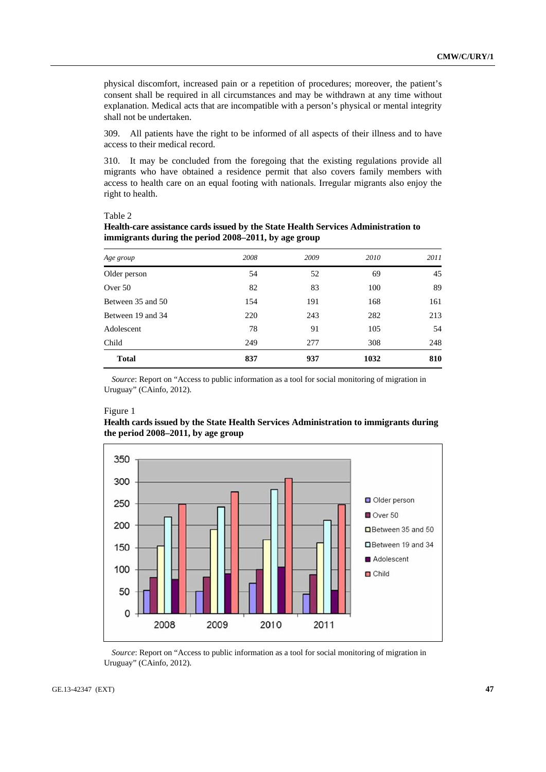physical discomfort, increased pain or a repetition of procedures; moreover, the patient's consent shall be required in all circumstances and may be withdrawn at any time without explanation. Medical acts that are incompatible with a person's physical or mental integrity shall not be undertaken.

309. All patients have the right to be informed of all aspects of their illness and to have access to their medical record.

310. It may be concluded from the foregoing that the existing regulations provide all migrants who have obtained a residence permit that also covers family members with access to health care on an equal footing with nationals. Irregular migrants also enjoy the right to health.

Table 2

| Health-care assistance cards issued by the State Health Services Administration to |
|------------------------------------------------------------------------------------|
| immigrants during the period 2008–2011, by age group                               |

| Age group         | 2008 | 2009 | 2010 | 2011 |
|-------------------|------|------|------|------|
| Older person      | 54   | 52   | 69   | 45   |
| Over 50           | 82   | 83   | 100  | 89   |
| Between 35 and 50 | 154  | 191  | 168  | 161  |
| Between 19 and 34 | 220  | 243  | 282  | 213  |
| Adolescent        | 78   | 91   | 105  | 54   |
| Child             | 249  | 277  | 308  | 248  |
| <b>Total</b>      | 837  | 937  | 1032 | 810  |

*Source*: Report on "Access to public information as a tool for social monitoring of migration in Uruguay" (CAinfo, 2012).

### Figure 1





*Source*: Report on "Access to public information as a tool for social monitoring of migration in Uruguay" (CAinfo, 2012).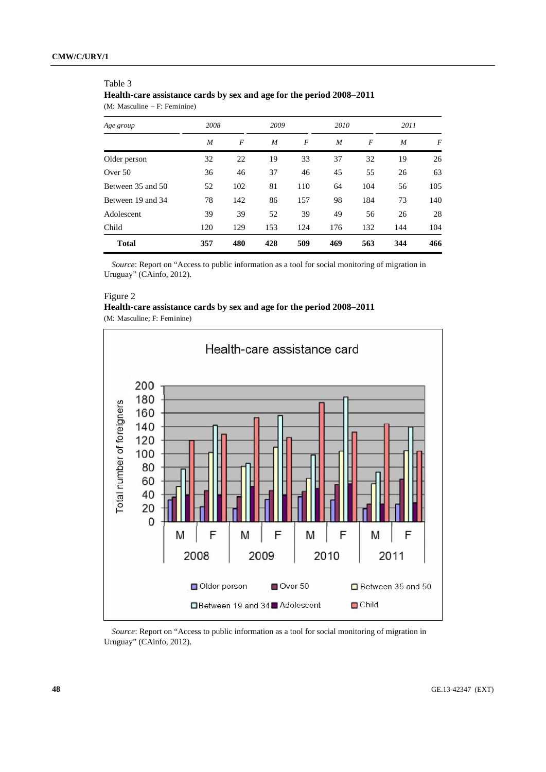### Table 3

**Health-care assistance cards by sex and age for the period 2008–2011** 

(M: Masculine – F: Feminine)

| Age group         | 2008 |     | 2009 |     | 2010 |     | 2011 |     |
|-------------------|------|-----|------|-----|------|-----|------|-----|
|                   | M    | F   | M    | F   | M    | F   | M    | F   |
| Older person      | 32   | 22  | 19   | 33  | 37   | 32  | 19   | 26  |
| Over 50           | 36   | 46  | 37   | 46  | 45   | 55  | 26   | 63  |
| Between 35 and 50 | 52   | 102 | 81   | 110 | 64   | 104 | 56   | 105 |
| Between 19 and 34 | 78   | 142 | 86   | 157 | 98   | 184 | 73   | 140 |
| Adolescent        | 39   | 39  | 52   | 39  | 49   | 56  | 26   | 28  |
| Child             | 120  | 129 | 153  | 124 | 176  | 132 | 144  | 104 |
| <b>Total</b>      | 357  | 480 | 428  | 509 | 469  | 563 | 344  | 466 |

*Source*: Report on "Access to public information as a tool for social monitoring of migration in Uruguay" (CAinfo, 2012).

## Figure 2

| Health-care assistance cards by sex and age for the period 2008–2011 |  |  |  |  |  |
|----------------------------------------------------------------------|--|--|--|--|--|
| (M: Masculine: F: Feminine)                                          |  |  |  |  |  |

(M: Masculine; F: Feminine)



*Source*: Report on "Access to public information as a tool for social monitoring of migration in Uruguay" (CAinfo, 2012).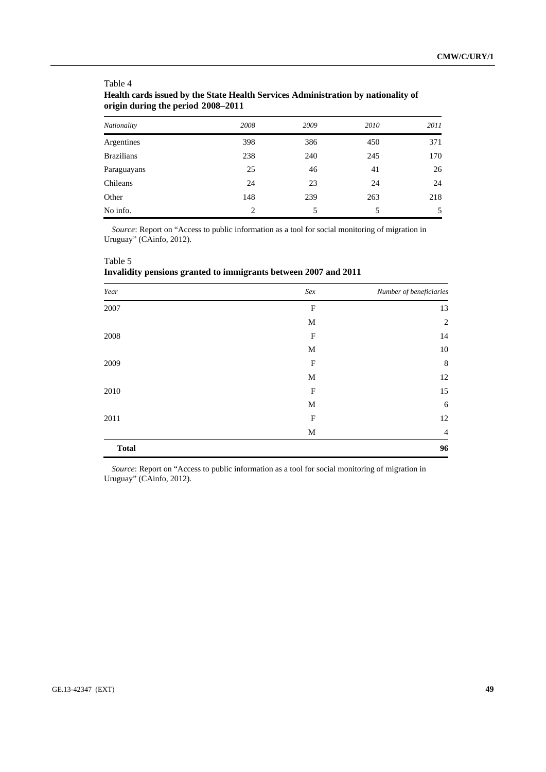| Nationality       | 2008 | 2009 | 2010 | 2011 |
|-------------------|------|------|------|------|
| Argentines        | 398  | 386  | 450  | 371  |
| <b>Brazilians</b> | 238  | 240  | 245  | 170  |
| Paraguayans       | 25   | 46   | 41   | 26   |
| Chileans          | 24   | 23   | 24   | 24   |
| Other             | 148  | 239  | 263  | 218  |
| No info.          | 2    | 5    | 5    | 5    |

## Table 4 **Health cards issued by the State Health Services Administration by nationality of origin during the period 2008–2011**

*Source*: Report on "Access to public information as a tool for social monitoring of migration in Uruguay" (CAinfo, 2012).

| Invalidity pensions granted to immigrants between 2007 and 2011 |     |                         |  |  |
|-----------------------------------------------------------------|-----|-------------------------|--|--|
| Year                                                            | Sex | Number of beneficiaries |  |  |
| 2007                                                            | F   | 13                      |  |  |
|                                                                 | M   | $\overline{2}$          |  |  |
| 2008                                                            | F   | 14                      |  |  |
|                                                                 | M   | 10                      |  |  |
| 2009                                                            | F   | 8                       |  |  |
|                                                                 | M   | 12                      |  |  |
| 2010                                                            | F   | 15                      |  |  |
|                                                                 | M   | 6                       |  |  |
| 2011                                                            | F   | 12                      |  |  |
|                                                                 | M   | $\overline{4}$          |  |  |
| <b>Total</b>                                                    |     | 96                      |  |  |

*Source*: Report on "Access to public information as a tool for social monitoring of migration in Uruguay" (CAinfo, 2012).

# GE.13-42347 (EXT) **49**

Table 5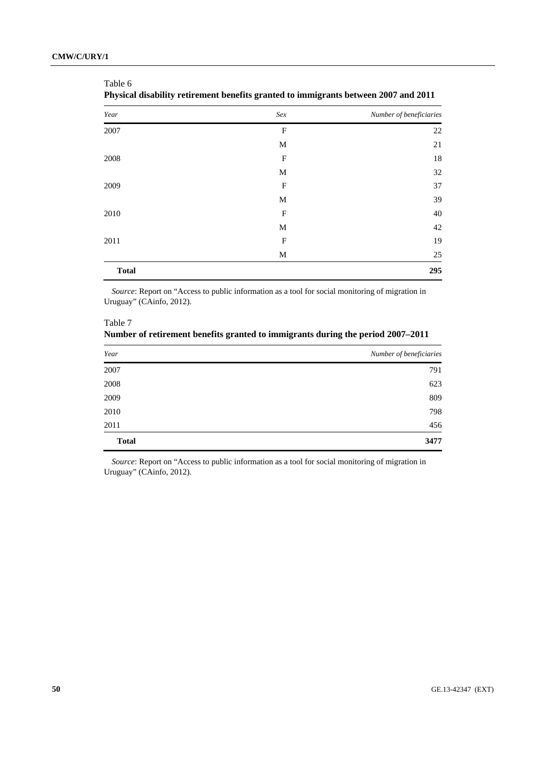Table 6

| Year         | Sex                       | Number of beneficiaries |
|--------------|---------------------------|-------------------------|
| 2007         | $\boldsymbol{\mathrm{F}}$ | 22                      |
|              | M                         | 21                      |
| 2008         | $\boldsymbol{\mathrm{F}}$ | 18                      |
|              | M                         | 32                      |
| 2009         | $\mathbf F$               | 37                      |
|              | M                         | 39                      |
| 2010         | $_{\rm F}$                | 40                      |
|              | M                         | 42                      |
| 2011         | $\mathbf F$               | 19                      |
|              | M                         | 25                      |
| <b>Total</b> |                           | 295                     |

|  |  |  | Physical disability retirement benefits granted to immigrants between 2007 and 2011 |  |  |
|--|--|--|-------------------------------------------------------------------------------------|--|--|
|  |  |  |                                                                                     |  |  |
|  |  |  |                                                                                     |  |  |

*Source*: Report on "Access to public information as a tool for social monitoring of migration in Uruguay" (CAinfo, 2012).

| Table 7                                                                         |
|---------------------------------------------------------------------------------|
| Number of retirement benefits granted to immigrants during the period 2007–2011 |

| Year         | Number of beneficiaries |
|--------------|-------------------------|
| 2007         | 791                     |
| 2008         | 623                     |
| 2009         | 809                     |
| 2010         | 798                     |
| 2011         | 456                     |
| <b>Total</b> | 3477                    |

*Source*: Report on "Access to public information as a tool for social monitoring of migration in Uruguay" (CAinfo, 2012).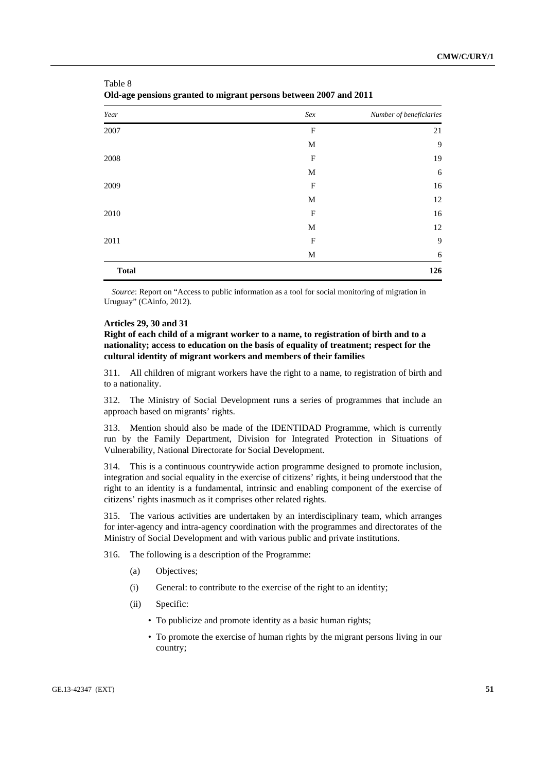| Year         | Sex          | Number of beneficiaries |
|--------------|--------------|-------------------------|
| 2007         | F            | 21                      |
|              | M            | 9                       |
| 2008         | $\mathbf{F}$ | 19                      |
|              | M            | 6                       |
| 2009         | $\mathbf F$  | 16                      |
|              | M            | 12                      |
| 2010         | $\mathbf{F}$ | 16                      |
|              | M            | 12                      |
| 2011         | $\mathbf{F}$ | 9                       |
|              | M            | 6                       |
| <b>Total</b> |              | 126                     |

Table 8 **Old-age pensions granted to migrant persons between 2007 and 2011**

*Source*: Report on "Access to public information as a tool for social monitoring of migration in Uruguay" (CAinfo, 2012).

### **Articles 29, 30 and 31**

**Right of each child of a migrant worker to a name, to registration of birth and to a nationality; access to education on the basis of equality of treatment; respect for the cultural identity of migrant workers and members of their families** 

311. All children of migrant workers have the right to a name, to registration of birth and to a nationality.

312. The Ministry of Social Development runs a series of programmes that include an approach based on migrants' rights.

313. Mention should also be made of the IDENTIDAD Programme, which is currently run by the Family Department, Division for Integrated Protection in Situations of Vulnerability, National Directorate for Social Development.

314. This is a continuous countrywide action programme designed to promote inclusion, integration and social equality in the exercise of citizens' rights, it being understood that the right to an identity is a fundamental, intrinsic and enabling component of the exercise of citizens' rights inasmuch as it comprises other related rights.

315. The various activities are undertaken by an interdisciplinary team, which arranges for inter-agency and intra-agency coordination with the programmes and directorates of the Ministry of Social Development and with various public and private institutions.

316. The following is a description of the Programme:

- (a) Objectives;
- (i) General: to contribute to the exercise of the right to an identity;
- (ii) Specific:
	- To publicize and promote identity as a basic human rights;
	- To promote the exercise of human rights by the migrant persons living in our country;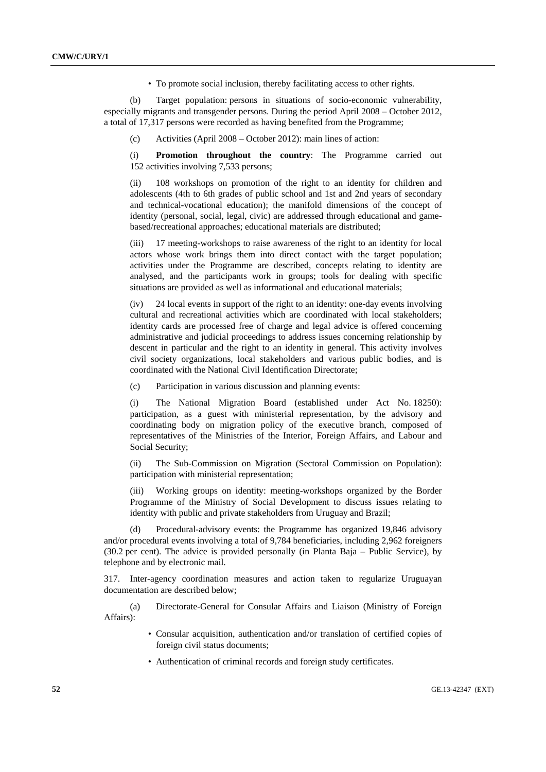• To promote social inclusion, thereby facilitating access to other rights.

 (b) Target population: persons in situations of socio-economic vulnerability, especially migrants and transgender persons. During the period April 2008 – October 2012, a total of 17,317 persons were recorded as having benefited from the Programme;

(c) Activities (April 2008 – October 2012): main lines of action:

 (i) **Promotion throughout the country**: The Programme carried out 152 activities involving 7,533 persons;

108 workshops on promotion of the right to an identity for children and adolescents (4th to 6th grades of public school and 1st and 2nd years of secondary and technical-vocational education); the manifold dimensions of the concept of identity (personal, social, legal, civic) are addressed through educational and gamebased/recreational approaches; educational materials are distributed;

 (iii) 17 meeting-workshops to raise awareness of the right to an identity for local actors whose work brings them into direct contact with the target population; activities under the Programme are described, concepts relating to identity are analysed, and the participants work in groups; tools for dealing with specific situations are provided as well as informational and educational materials;

 (iv) 24 local events in support of the right to an identity: one-day events involving cultural and recreational activities which are coordinated with local stakeholders; identity cards are processed free of charge and legal advice is offered concerning administrative and judicial proceedings to address issues concerning relationship by descent in particular and the right to an identity in general. This activity involves civil society organizations, local stakeholders and various public bodies, and is coordinated with the National Civil Identification Directorate;

(c) Participation in various discussion and planning events:

 (i) The National Migration Board (established under Act No. 18250): participation, as a guest with ministerial representation, by the advisory and coordinating body on migration policy of the executive branch, composed of representatives of the Ministries of the Interior, Foreign Affairs, and Labour and Social Security;

 (ii) The Sub-Commission on Migration (Sectoral Commission on Population): participation with ministerial representation;

 (iii) Working groups on identity: meeting-workshops organized by the Border Programme of the Ministry of Social Development to discuss issues relating to identity with public and private stakeholders from Uruguay and Brazil;

 (d) Procedural-advisory events: the Programme has organized 19,846 advisory and/or procedural events involving a total of 9,784 beneficiaries, including 2,962 foreigners (30.2 per cent). The advice is provided personally (in Planta Baja – Public Service), by telephone and by electronic mail.

317. Inter-agency coordination measures and action taken to regularize Uruguayan documentation are described below;

 (a) Directorate-General for Consular Affairs and Liaison (Ministry of Foreign Affairs):

- Consular acquisition, authentication and/or translation of certified copies of foreign civil status documents;
- Authentication of criminal records and foreign study certificates.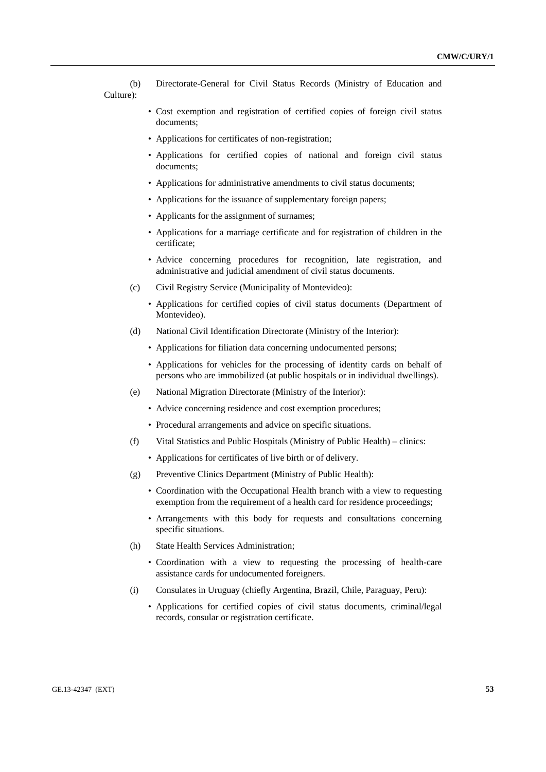(b) Directorate-General for Civil Status Records (Ministry of Education and Culture):

- Cost exemption and registration of certified copies of foreign civil status documents;
- Applications for certificates of non-registration;
- Applications for certified copies of national and foreign civil status documents;
- Applications for administrative amendments to civil status documents;
- Applications for the issuance of supplementary foreign papers;
- Applicants for the assignment of surnames;
- Applications for a marriage certificate and for registration of children in the certificate;
- Advice concerning procedures for recognition, late registration, and administrative and judicial amendment of civil status documents.
- (c) Civil Registry Service (Municipality of Montevideo):
	- Applications for certified copies of civil status documents (Department of Montevideo).
- (d) National Civil Identification Directorate (Ministry of the Interior):
	- Applications for filiation data concerning undocumented persons;
	- Applications for vehicles for the processing of identity cards on behalf of persons who are immobilized (at public hospitals or in individual dwellings).
- (e) National Migration Directorate (Ministry of the Interior):
	- Advice concerning residence and cost exemption procedures;
	- Procedural arrangements and advice on specific situations.
- (f) Vital Statistics and Public Hospitals (Ministry of Public Health) clinics:
	- Applications for certificates of live birth or of delivery.
- (g) Preventive Clinics Department (Ministry of Public Health):
	- Coordination with the Occupational Health branch with a view to requesting exemption from the requirement of a health card for residence proceedings;
	- Arrangements with this body for requests and consultations concerning specific situations.
- (h) State Health Services Administration;
	- Coordination with a view to requesting the processing of health-care assistance cards for undocumented foreigners.
- (i) Consulates in Uruguay (chiefly Argentina, Brazil, Chile, Paraguay, Peru):
	- Applications for certified copies of civil status documents, criminal/legal records, consular or registration certificate.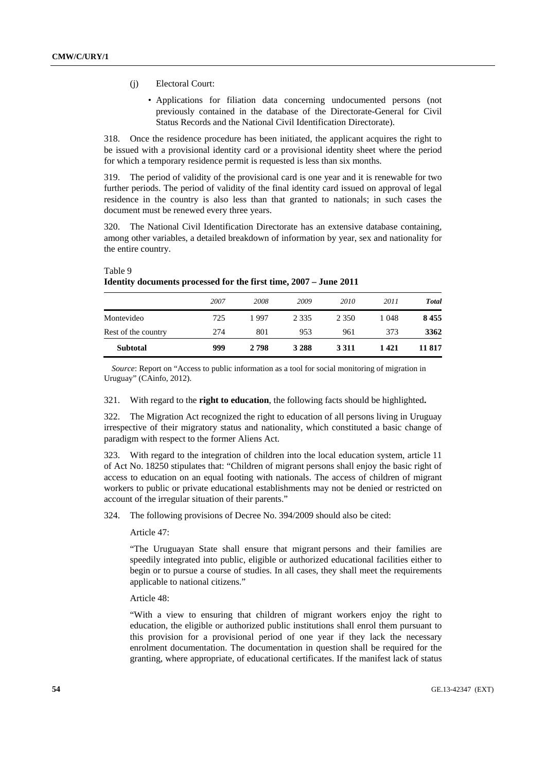- (j) Electoral Court:
	- Applications for filiation data concerning undocumented persons (not previously contained in the database of the Directorate-General for Civil Status Records and the National Civil Identification Directorate).

318. Once the residence procedure has been initiated, the applicant acquires the right to be issued with a provisional identity card or a provisional identity sheet where the period for which a temporary residence permit is requested is less than six months.

319. The period of validity of the provisional card is one year and it is renewable for two further periods. The period of validity of the final identity card issued on approval of legal residence in the country is also less than that granted to nationals; in such cases the document must be renewed every three years.

320. The National Civil Identification Directorate has an extensive database containing, among other variables, a detailed breakdown of information by year, sex and nationality for the entire country.

| <b>Subtotal</b>     | 999  | 2 798 | 3 2 8 8 | 3 3 1 1 | 1421  | 11 817       |
|---------------------|------|-------|---------|---------|-------|--------------|
| Rest of the country | 274  | 801   | 953     | 961     | 373   | 3362         |
| Montevideo          | 725  | 1997  | 2 3 3 5 | 2 3 5 0 | 1 048 | 8455         |
|                     | 2007 | 2008  | 2009    | 2010    | 2011  | <b>Total</b> |
|                     |      |       |         |         |       |              |

# Table 9 **Identity documents processed for the first time, 2007 – June 2011**

*Source*: Report on "Access to public information as a tool for social monitoring of migration in Uruguay" (CAinfo, 2012).

321. With regard to the **right to education**, the following facts should be highlighted**.**

322. The Migration Act recognized the right to education of all persons living in Uruguay irrespective of their migratory status and nationality, which constituted a basic change of paradigm with respect to the former Aliens Act.

323. With regard to the integration of children into the local education system, article 11 of Act No. 18250 stipulates that: "Children of migrant persons shall enjoy the basic right of access to education on an equal footing with nationals. The access of children of migrant workers to public or private educational establishments may not be denied or restricted on account of the irregular situation of their parents."

324. The following provisions of Decree No. 394/2009 should also be cited:

Article 47:

"The Uruguayan State shall ensure that migrant persons and their families are speedily integrated into public, eligible or authorized educational facilities either to begin or to pursue a course of studies. In all cases, they shall meet the requirements applicable to national citizens."

Article 48:

"With a view to ensuring that children of migrant workers enjoy the right to education, the eligible or authorized public institutions shall enrol them pursuant to this provision for a provisional period of one year if they lack the necessary enrolment documentation. The documentation in question shall be required for the granting, where appropriate, of educational certificates. If the manifest lack of status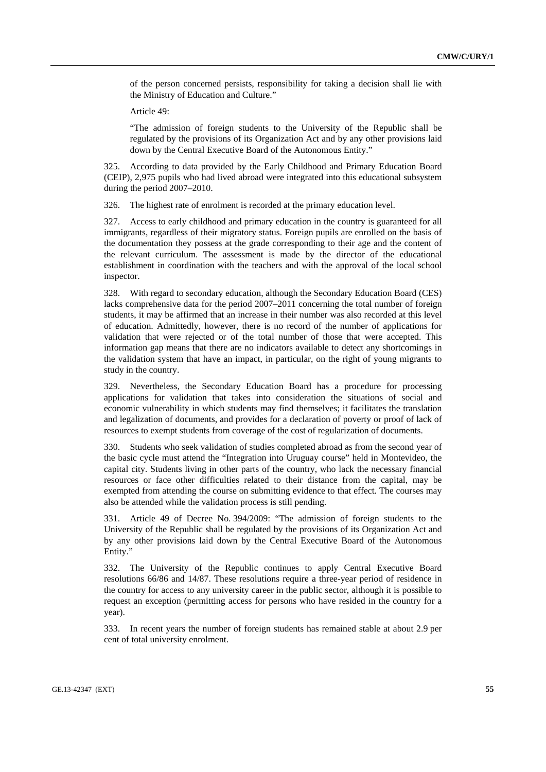of the person concerned persists, responsibility for taking a decision shall lie with the Ministry of Education and Culture."

Article 49:

"The admission of foreign students to the University of the Republic shall be regulated by the provisions of its Organization Act and by any other provisions laid down by the Central Executive Board of the Autonomous Entity."

325. According to data provided by the Early Childhood and Primary Education Board (CEIP), 2,975 pupils who had lived abroad were integrated into this educational subsystem during the period 2007–2010.

326. The highest rate of enrolment is recorded at the primary education level.

327. Access to early childhood and primary education in the country is guaranteed for all immigrants, regardless of their migratory status. Foreign pupils are enrolled on the basis of the documentation they possess at the grade corresponding to their age and the content of the relevant curriculum. The assessment is made by the director of the educational establishment in coordination with the teachers and with the approval of the local school inspector.

328. With regard to secondary education, although the Secondary Education Board (CES) lacks comprehensive data for the period 2007–2011 concerning the total number of foreign students, it may be affirmed that an increase in their number was also recorded at this level of education. Admittedly, however, there is no record of the number of applications for validation that were rejected or of the total number of those that were accepted. This information gap means that there are no indicators available to detect any shortcomings in the validation system that have an impact, in particular, on the right of young migrants to study in the country.

329. Nevertheless, the Secondary Education Board has a procedure for processing applications for validation that takes into consideration the situations of social and economic vulnerability in which students may find themselves; it facilitates the translation and legalization of documents, and provides for a declaration of poverty or proof of lack of resources to exempt students from coverage of the cost of regularization of documents.

330. Students who seek validation of studies completed abroad as from the second year of the basic cycle must attend the "Integration into Uruguay course" held in Montevideo, the capital city. Students living in other parts of the country, who lack the necessary financial resources or face other difficulties related to their distance from the capital, may be exempted from attending the course on submitting evidence to that effect. The courses may also be attended while the validation process is still pending.

331. Article 49 of Decree No. 394/2009: "The admission of foreign students to the University of the Republic shall be regulated by the provisions of its Organization Act and by any other provisions laid down by the Central Executive Board of the Autonomous Entity."

332. The University of the Republic continues to apply Central Executive Board resolutions 66/86 and 14/87. These resolutions require a three-year period of residence in the country for access to any university career in the public sector, although it is possible to request an exception (permitting access for persons who have resided in the country for a year).

333. In recent years the number of foreign students has remained stable at about 2.9 per cent of total university enrolment.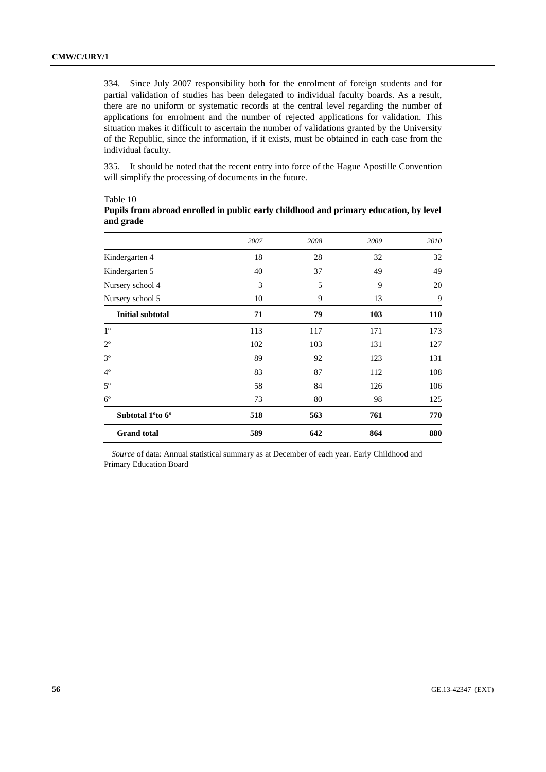334. Since July 2007 responsibility both for the enrolment of foreign students and for partial validation of studies has been delegated to individual faculty boards. As a result, there are no uniform or systematic records at the central level regarding the number of applications for enrolment and the number of rejected applications for validation. This situation makes it difficult to ascertain the number of validations granted by the University of the Republic, since the information, if it exists, must be obtained in each case from the individual faculty.

335. It should be noted that the recent entry into force of the Hague Apostille Convention will simplify the processing of documents in the future.

|                                           | 2007 | 2008 | 2009 | 2010 |
|-------------------------------------------|------|------|------|------|
| Kindergarten 4                            | 18   | 28   | 32   | 32   |
| Kindergarten 5                            | 40   | 37   | 49   | 49   |
| Nursery school 4                          | 3    | 5    | 9    | 20   |
| Nursery school 5                          | 10   | 9    | 13   | 9    |
| <b>Initial subtotal</b>                   | 71   | 79   | 103  | 110  |
| $1^{\circ}$                               | 113  | 117  | 171  | 173  |
| $2^{\circ}$                               | 102  | 103  | 131  | 127  |
| $3^{\circ}$                               | 89   | 92   | 123  | 131  |
| $4^{\circ}$                               | 83   | 87   | 112  | 108  |
| $5^{\circ}$                               | 58   | 84   | 126  | 106  |
| $6^{\circ}$                               | 73   | 80   | 98   | 125  |
| Subtotal 1 <sup>o</sup> to 6 <sup>o</sup> | 518  | 563  | 761  | 770  |
| <b>Grand</b> total                        | 589  | 642  | 864  | 880  |

## Table 10 **Pupils from abroad enrolled in public early childhood and primary education, by level and grade**

*Source* of data: Annual statistical summary as at December of each year. Early Childhood and Primary Education Board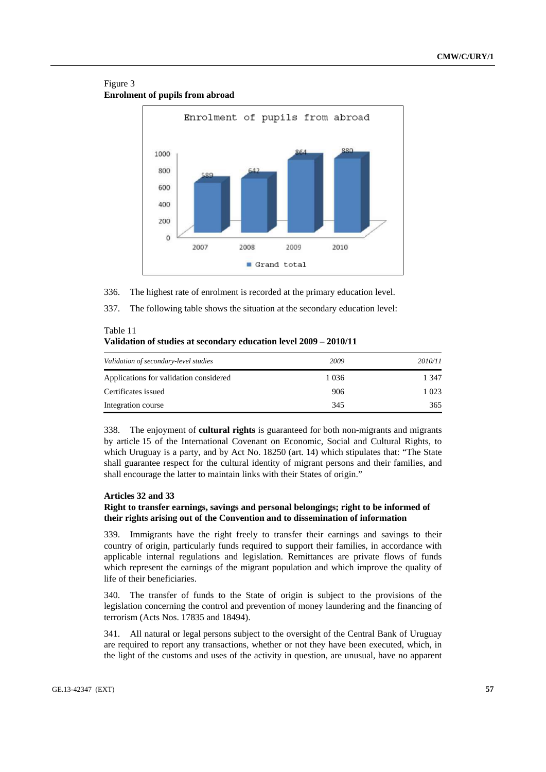## Figure 3 **Enrolment of pupils from abroad**



336. The highest rate of enrolment is recorded at the primary education level.

337. The following table shows the situation at the secondary education level:

| Table 11                                                          |  |
|-------------------------------------------------------------------|--|
| Validation of studies at secondary education level 2009 – 2010/11 |  |

| Validation of secondary-level studies  | 2009    | 2010/11 |
|----------------------------------------|---------|---------|
| Applications for validation considered | 1 0 3 6 | 1 347   |
| Certificates issued                    | 906     | 1 023   |
| Integration course                     | 345     | 365     |

338. The enjoyment of **cultural rights** is guaranteed for both non-migrants and migrants by article 15 of the International Covenant on Economic, Social and Cultural Rights, to which Uruguay is a party, and by Act No. 18250 (art. 14) which stipulates that: "The State shall guarantee respect for the cultural identity of migrant persons and their families, and shall encourage the latter to maintain links with their States of origin."

## **Articles 32 and 33**

## **Right to transfer earnings, savings and personal belongings; right to be informed of their rights arising out of the Convention and to dissemination of information**

339. Immigrants have the right freely to transfer their earnings and savings to their country of origin, particularly funds required to support their families, in accordance with applicable internal regulations and legislation. Remittances are private flows of funds which represent the earnings of the migrant population and which improve the quality of life of their beneficiaries.

340. The transfer of funds to the State of origin is subject to the provisions of the legislation concerning the control and prevention of money laundering and the financing of terrorism (Acts Nos. 17835 and 18494).

341. All natural or legal persons subject to the oversight of the Central Bank of Uruguay are required to report any transactions, whether or not they have been executed, which, in the light of the customs and uses of the activity in question, are unusual, have no apparent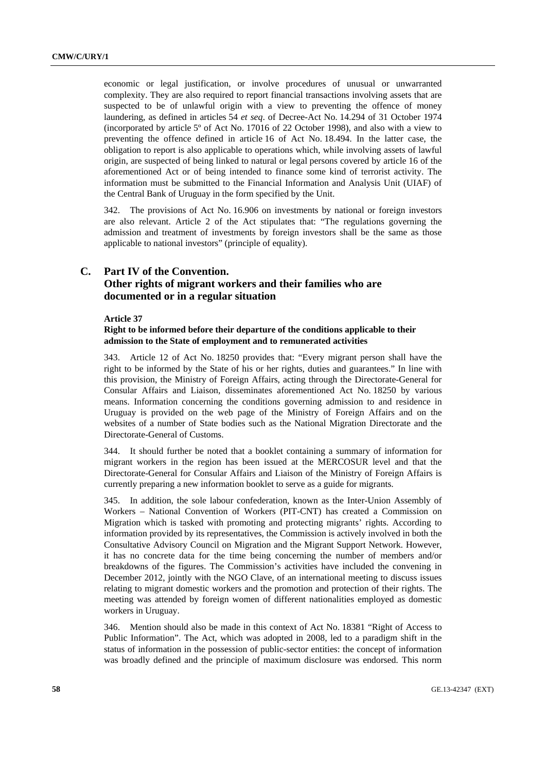economic or legal justification, or involve procedures of unusual or unwarranted complexity. They are also required to report financial transactions involving assets that are suspected to be of unlawful origin with a view to preventing the offence of money laundering, as defined in articles 54 *et seq*. of Decree-Act No. 14.294 of 31 October 1974 (incorporated by article 5º of Act No. 17016 of 22 October 1998), and also with a view to preventing the offence defined in article 16 of Act No. 18.494. In the latter case, the obligation to report is also applicable to operations which, while involving assets of lawful origin, are suspected of being linked to natural or legal persons covered by article 16 of the aforementioned Act or of being intended to finance some kind of terrorist activity. The information must be submitted to the Financial Information and Analysis Unit (UIAF) of the Central Bank of Uruguay in the form specified by the Unit.

342. The provisions of Act No. 16.906 on investments by national or foreign investors are also relevant. Article 2 of the Act stipulates that: "The regulations governing the admission and treatment of investments by foreign investors shall be the same as those applicable to national investors" (principle of equality).

# **C. Part IV of the Convention. Other rights of migrant workers and their families who are documented or in a regular situation**

### **Article 37**

## **Right to be informed before their departure of the conditions applicable to their admission to the State of employment and to remunerated activities**

343. Article 12 of Act No. 18250 provides that: "Every migrant person shall have the right to be informed by the State of his or her rights, duties and guarantees." In line with this provision, the Ministry of Foreign Affairs, acting through the Directorate-General for Consular Affairs and Liaison, disseminates aforementioned Act No. 18250 by various means. Information concerning the conditions governing admission to and residence in Uruguay is provided on the web page of the Ministry of Foreign Affairs and on the websites of a number of State bodies such as the National Migration Directorate and the Directorate-General of Customs.

344. It should further be noted that a booklet containing a summary of information for migrant workers in the region has been issued at the MERCOSUR level and that the Directorate-General for Consular Affairs and Liaison of the Ministry of Foreign Affairs is currently preparing a new information booklet to serve as a guide for migrants.

345. In addition, the sole labour confederation, known as the Inter-Union Assembly of Workers – National Convention of Workers (PIT-CNT) has created a Commission on Migration which is tasked with promoting and protecting migrants' rights. According to information provided by its representatives, the Commission is actively involved in both the Consultative Advisory Council on Migration and the Migrant Support Network. However, it has no concrete data for the time being concerning the number of members and/or breakdowns of the figures. The Commission's activities have included the convening in December 2012, jointly with the NGO Clave, of an international meeting to discuss issues relating to migrant domestic workers and the promotion and protection of their rights. The meeting was attended by foreign women of different nationalities employed as domestic workers in Uruguay.

346. Mention should also be made in this context of Act No. 18381 "Right of Access to Public Information". The Act, which was adopted in 2008, led to a paradigm shift in the status of information in the possession of public-sector entities: the concept of information was broadly defined and the principle of maximum disclosure was endorsed. This norm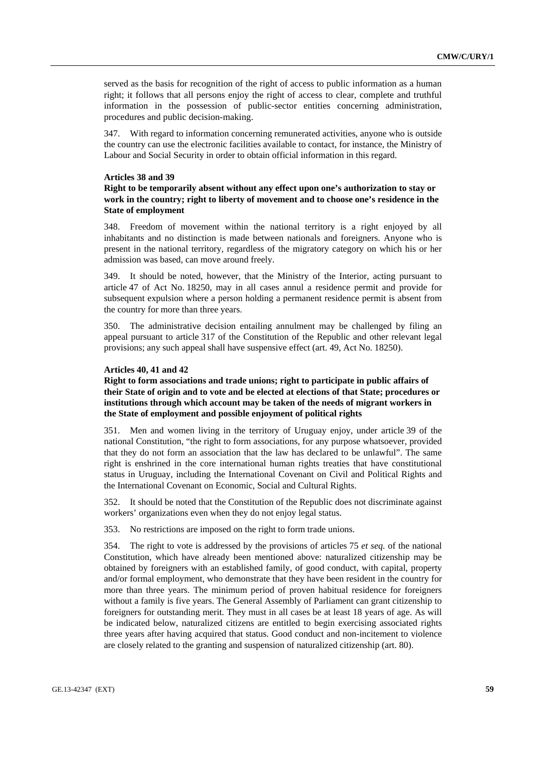served as the basis for recognition of the right of access to public information as a human right; it follows that all persons enjoy the right of access to clear, complete and truthful information in the possession of public-sector entities concerning administration, procedures and public decision-making.

347. With regard to information concerning remunerated activities, anyone who is outside the country can use the electronic facilities available to contact, for instance, the Ministry of Labour and Social Security in order to obtain official information in this regard.

#### **Articles 38 and 39**

## **Right to be temporarily absent without any effect upon one's authorization to stay or work in the country; right to liberty of movement and to choose one's residence in the State of employment**

348. Freedom of movement within the national territory is a right enjoyed by all inhabitants and no distinction is made between nationals and foreigners. Anyone who is present in the national territory, regardless of the migratory category on which his or her admission was based, can move around freely.

349. It should be noted, however, that the Ministry of the Interior, acting pursuant to article 47 of Act No. 18250, may in all cases annul a residence permit and provide for subsequent expulsion where a person holding a permanent residence permit is absent from the country for more than three years.

350. The administrative decision entailing annulment may be challenged by filing an appeal pursuant to article 317 of the Constitution of the Republic and other relevant legal provisions; any such appeal shall have suspensive effect (art. 49, Act No. 18250).

### **Articles 40, 41 and 42**

## **Right to form associations and trade unions; right to participate in public affairs of their State of origin and to vote and be elected at elections of that State; procedures or institutions through which account may be taken of the needs of migrant workers in the State of employment and possible enjoyment of political rights**

351. Men and women living in the territory of Uruguay enjoy, under article 39 of the national Constitution, "the right to form associations, for any purpose whatsoever, provided that they do not form an association that the law has declared to be unlawful". The same right is enshrined in the core international human rights treaties that have constitutional status in Uruguay, including the International Covenant on Civil and Political Rights and the International Covenant on Economic, Social and Cultural Rights.

352. It should be noted that the Constitution of the Republic does not discriminate against workers' organizations even when they do not enjoy legal status.

353. No restrictions are imposed on the right to form trade unions.

354. The right to vote is addressed by the provisions of articles 75 *et seq.* of the national Constitution, which have already been mentioned above: naturalized citizenship may be obtained by foreigners with an established family, of good conduct, with capital, property and/or formal employment, who demonstrate that they have been resident in the country for more than three years. The minimum period of proven habitual residence for foreigners without a family is five years. The General Assembly of Parliament can grant citizenship to foreigners for outstanding merit. They must in all cases be at least 18 years of age. As will be indicated below, naturalized citizens are entitled to begin exercising associated rights three years after having acquired that status. Good conduct and non-incitement to violence are closely related to the granting and suspension of naturalized citizenship (art. 80).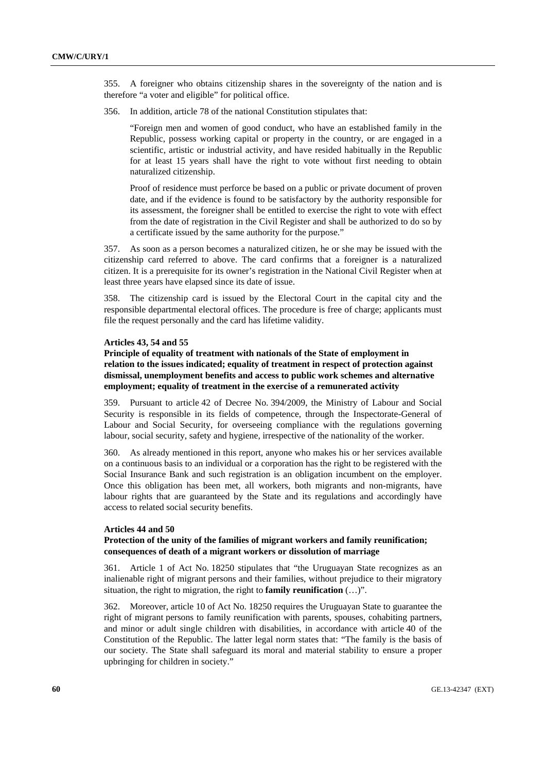355. A foreigner who obtains citizenship shares in the sovereignty of the nation and is therefore "a voter and eligible" for political office.

356. In addition, article 78 of the national Constitution stipulates that:

"Foreign men and women of good conduct, who have an established family in the Republic, possess working capital or property in the country, or are engaged in a scientific, artistic or industrial activity, and have resided habitually in the Republic for at least 15 years shall have the right to vote without first needing to obtain naturalized citizenship.

Proof of residence must perforce be based on a public or private document of proven date, and if the evidence is found to be satisfactory by the authority responsible for its assessment, the foreigner shall be entitled to exercise the right to vote with effect from the date of registration in the Civil Register and shall be authorized to do so by a certificate issued by the same authority for the purpose."

357. As soon as a person becomes a naturalized citizen, he or she may be issued with the citizenship card referred to above. The card confirms that a foreigner is a naturalized citizen. It is a prerequisite for its owner's registration in the National Civil Register when at least three years have elapsed since its date of issue.

358. The citizenship card is issued by the Electoral Court in the capital city and the responsible departmental electoral offices. The procedure is free of charge; applicants must file the request personally and the card has lifetime validity.

#### **Articles 43, 54 and 55**

**Principle of equality of treatment with nationals of the State of employment in relation to the issues indicated; equality of treatment in respect of protection against dismissal, unemployment benefits and access to public work schemes and alternative employment; equality of treatment in the exercise of a remunerated activity** 

359. Pursuant to article 42 of Decree No. 394/2009, the Ministry of Labour and Social Security is responsible in its fields of competence, through the Inspectorate-General of Labour and Social Security, for overseeing compliance with the regulations governing labour, social security, safety and hygiene, irrespective of the nationality of the worker.

360. As already mentioned in this report, anyone who makes his or her services available on a continuous basis to an individual or a corporation has the right to be registered with the Social Insurance Bank and such registration is an obligation incumbent on the employer. Once this obligation has been met, all workers, both migrants and non-migrants, have labour rights that are guaranteed by the State and its regulations and accordingly have access to related social security benefits.

### **Articles 44 and 50**

## **Protection of the unity of the families of migrant workers and family reunification; consequences of death of a migrant workers or dissolution of marriage**

361. Article 1 of Act No. 18250 stipulates that "the Uruguayan State recognizes as an inalienable right of migrant persons and their families, without prejudice to their migratory situation, the right to migration, the right to **family reunification** (…)".

362. Moreover, article 10 of Act No. 18250 requires the Uruguayan State to guarantee the right of migrant persons to family reunification with parents, spouses, cohabiting partners, and minor or adult single children with disabilities, in accordance with article 40 of the Constitution of the Republic. The latter legal norm states that: "The family is the basis of our society. The State shall safeguard its moral and material stability to ensure a proper upbringing for children in society."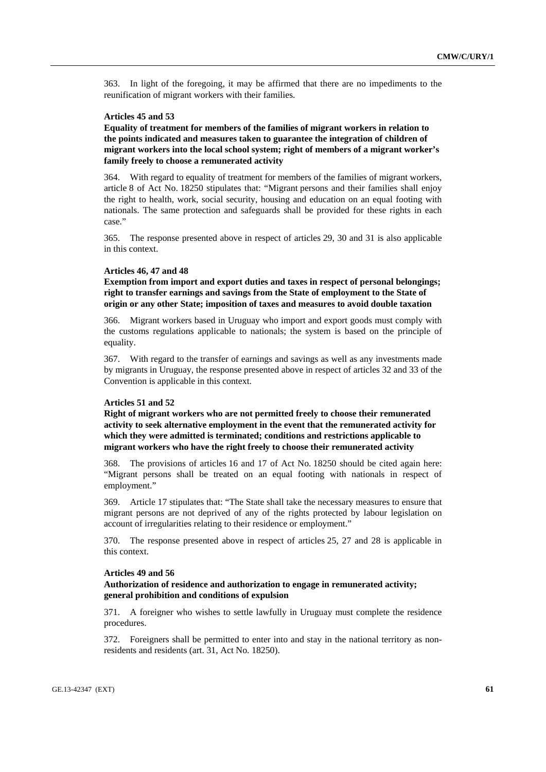363. In light of the foregoing, it may be affirmed that there are no impediments to the reunification of migrant workers with their families.

## **Articles 45 and 53**

**Equality of treatment for members of the families of migrant workers in relation to the points indicated and measures taken to guarantee the integration of children of migrant workers into the local school system; right of members of a migrant worker's family freely to choose a remunerated activity** 

364. With regard to equality of treatment for members of the families of migrant workers, article 8 of Act No. 18250 stipulates that: "Migrant persons and their families shall enjoy the right to health, work, social security, housing and education on an equal footing with nationals. The same protection and safeguards shall be provided for these rights in each case."

365. The response presented above in respect of articles 29, 30 and 31 is also applicable in this context.

#### **Articles 46, 47 and 48**

**Exemption from import and export duties and taxes in respect of personal belongings; right to transfer earnings and savings from the State of employment to the State of origin or any other State; imposition of taxes and measures to avoid double taxation** 

366. Migrant workers based in Uruguay who import and export goods must comply with the customs regulations applicable to nationals; the system is based on the principle of equality.

367. With regard to the transfer of earnings and savings as well as any investments made by migrants in Uruguay, the response presented above in respect of articles 32 and 33 of the Convention is applicable in this context.

## **Articles 51 and 52**

**Right of migrant workers who are not permitted freely to choose their remunerated activity to seek alternative employment in the event that the remunerated activity for which they were admitted is terminated; conditions and restrictions applicable to migrant workers who have the right freely to choose their remunerated activity** 

368. The provisions of articles 16 and 17 of Act No. 18250 should be cited again here: "Migrant persons shall be treated on an equal footing with nationals in respect of employment."

369. Article 17 stipulates that: "The State shall take the necessary measures to ensure that migrant persons are not deprived of any of the rights protected by labour legislation on account of irregularities relating to their residence or employment."

370. The response presented above in respect of articles 25, 27 and 28 is applicable in this context.

#### **Articles 49 and 56**

## **Authorization of residence and authorization to engage in remunerated activity; general prohibition and conditions of expulsion**

371. A foreigner who wishes to settle lawfully in Uruguay must complete the residence procedures.

372. Foreigners shall be permitted to enter into and stay in the national territory as nonresidents and residents (art. 31, Act No. 18250).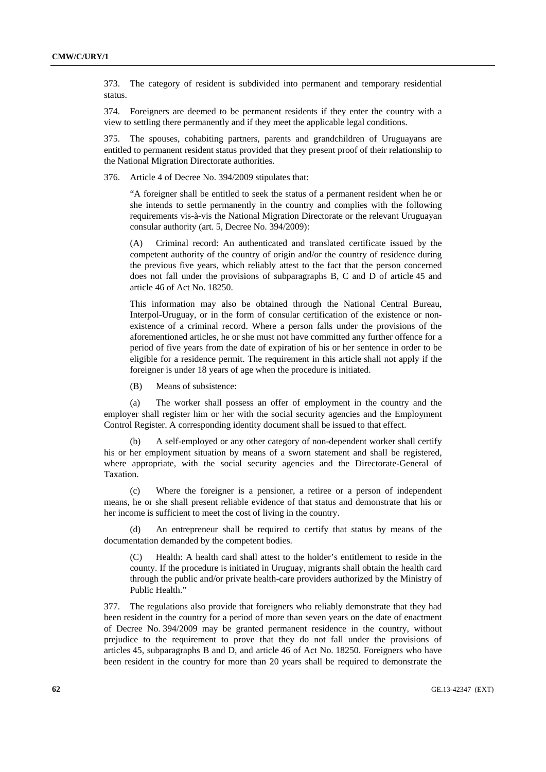373. The category of resident is subdivided into permanent and temporary residential status.

374. Foreigners are deemed to be permanent residents if they enter the country with a view to settling there permanently and if they meet the applicable legal conditions.

375. The spouses, cohabiting partners, parents and grandchildren of Uruguayans are entitled to permanent resident status provided that they present proof of their relationship to the National Migration Directorate authorities.

376. Article 4 of Decree No. 394/2009 stipulates that:

"A foreigner shall be entitled to seek the status of a permanent resident when he or she intends to settle permanently in the country and complies with the following requirements vis-à-vis the National Migration Directorate or the relevant Uruguayan consular authority (art. 5, Decree No. 394/2009):

(A) Criminal record: An authenticated and translated certificate issued by the competent authority of the country of origin and/or the country of residence during the previous five years, which reliably attest to the fact that the person concerned does not fall under the provisions of subparagraphs B, C and D of article 45 and article 46 of Act No. 18250.

This information may also be obtained through the National Central Bureau, Interpol-Uruguay, or in the form of consular certification of the existence or nonexistence of a criminal record. Where a person falls under the provisions of the aforementioned articles, he or she must not have committed any further offence for a period of five years from the date of expiration of his or her sentence in order to be eligible for a residence permit. The requirement in this article shall not apply if the foreigner is under 18 years of age when the procedure is initiated.

(B) Means of subsistence:

 (a) The worker shall possess an offer of employment in the country and the employer shall register him or her with the social security agencies and the Employment Control Register. A corresponding identity document shall be issued to that effect.

 (b) A self-employed or any other category of non-dependent worker shall certify his or her employment situation by means of a sworn statement and shall be registered, where appropriate, with the social security agencies and the Directorate-General of Taxation.

 (c) Where the foreigner is a pensioner, a retiree or a person of independent means, he or she shall present reliable evidence of that status and demonstrate that his or her income is sufficient to meet the cost of living in the country.

An entrepreneur shall be required to certify that status by means of the documentation demanded by the competent bodies.

(C) Health: A health card shall attest to the holder's entitlement to reside in the county. If the procedure is initiated in Uruguay, migrants shall obtain the health card through the public and/or private health-care providers authorized by the Ministry of Public Health."

377. The regulations also provide that foreigners who reliably demonstrate that they had been resident in the country for a period of more than seven years on the date of enactment of Decree No. 394/2009 may be granted permanent residence in the country, without prejudice to the requirement to prove that they do not fall under the provisions of articles 45, subparagraphs B and D, and article 46 of Act No. 18250. Foreigners who have been resident in the country for more than 20 years shall be required to demonstrate the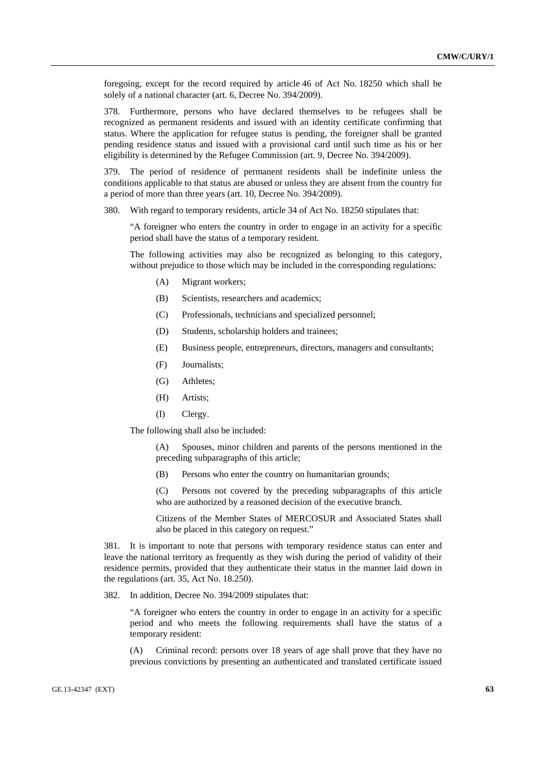foregoing, except for the record required by article 46 of Act No. 18250 which shall be solely of a national character (art. 6, Decree No. 394/2009).

378. Furthermore, persons who have declared themselves to be refugees shall be recognized as permanent residents and issued with an identity certificate confirming that status. Where the application for refugee status is pending, the foreigner shall be granted pending residence status and issued with a provisional card until such time as his or her eligibility is determined by the Refugee Commission (art. 9, Decree No. 394/2009).

379. The period of residence of permanent residents shall be indefinite unless the conditions applicable to that status are abused or unless they are absent from the country for a period of more than three years (art. 10, Decree No. 394/2009).

380. With regard to temporary residents, article 34 of Act No. 18250 stipulates that:

"A foreigner who enters the country in order to engage in an activity for a specific period shall have the status of a temporary resident.

The following activities may also be recognized as belonging to this category, without prejudice to those which may be included in the corresponding regulations:

- (A) Migrant workers;
- (B) Scientists, researchers and academics;
- (C) Professionals, technicians and specialized personnel;
- (D) Students, scholarship holders and trainees;
- (E) Business people, entrepreneurs, directors, managers and consultants;
- (F) Journalists;
- (G) Athletes;
- (H) Artists;
- (I) Clergy.

The following shall also be included:

(A) Spouses, minor children and parents of the persons mentioned in the preceding subparagraphs of this article;

(B) Persons who enter the country on humanitarian grounds;

(C) Persons not covered by the preceding subparagraphs of this article who are authorized by a reasoned decision of the executive branch.

Citizens of the Member States of MERCOSUR and Associated States shall also be placed in this category on request."

381. It is important to note that persons with temporary residence status can enter and leave the national territory as frequently as they wish during the period of validity of their residence permits, provided that they authenticate their status in the manner laid down in the regulations (art. 35, Act No. 18.250).

382. In addition, Decree No. 394/2009 stipulates that:

"A foreigner who enters the country in order to engage in an activity for a specific period and who meets the following requirements shall have the status of a temporary resident:

(A) Criminal record: persons over 18 years of age shall prove that they have no previous convictions by presenting an authenticated and translated certificate issued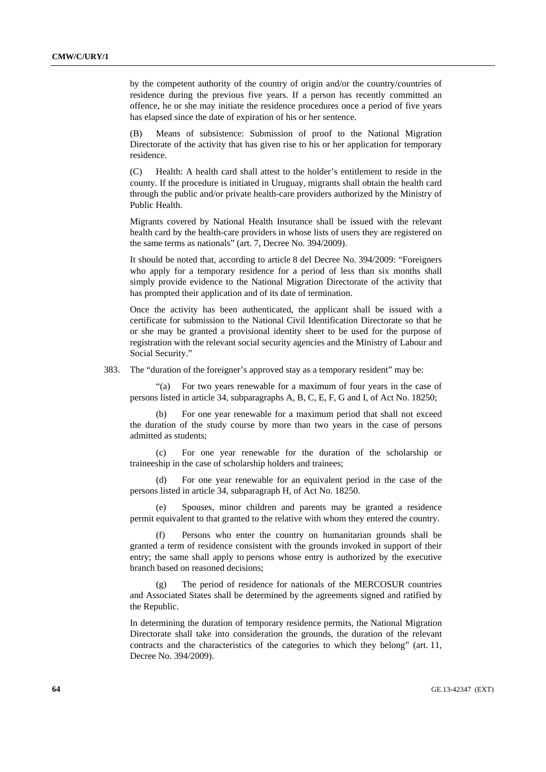by the competent authority of the country of origin and/or the country/countries of residence during the previous five years. If a person has recently committed an offence, he or she may initiate the residence procedures once a period of five years has elapsed since the date of expiration of his or her sentence.

Means of subsistence: Submission of proof to the National Migration Directorate of the activity that has given rise to his or her application for temporary residence.

(C) Health: A health card shall attest to the holder's entitlement to reside in the county. If the procedure is initiated in Uruguay, migrants shall obtain the health card through the public and/or private health-care providers authorized by the Ministry of Public Health.

Migrants covered by National Health Insurance shall be issued with the relevant health card by the health-care providers in whose lists of users they are registered on the same terms as nationals" (art. 7, Decree No. 394/2009).

It should be noted that, according to article 8 del Decree No. 394/2009: "Foreigners who apply for a temporary residence for a period of less than six months shall simply provide evidence to the National Migration Directorate of the activity that has prompted their application and of its date of termination.

Once the activity has been authenticated, the applicant shall be issued with a certificate for submission to the National Civil Identification Directorate so that he or she may be granted a provisional identity sheet to be used for the purpose of registration with the relevant social security agencies and the Ministry of Labour and Social Security."

383. The "duration of the foreigner's approved stay as a temporary resident" may be:

 "(a) For two years renewable for a maximum of four years in the case of persons listed in article 34, subparagraphs A, B, C, E, F, G and I, of Act No. 18250;

 (b) For one year renewable for a maximum period that shall not exceed the duration of the study course by more than two years in the case of persons admitted as students;

 (c) For one year renewable for the duration of the scholarship or traineeship in the case of scholarship holders and trainees;

 (d) For one year renewable for an equivalent period in the case of the persons listed in article 34, subparagraph H, of Act No. 18250.

 (e) Spouses, minor children and parents may be granted a residence permit equivalent to that granted to the relative with whom they entered the country.

 (f) Persons who enter the country on humanitarian grounds shall be granted a term of residence consistent with the grounds invoked in support of their entry; the same shall apply to persons whose entry is authorized by the executive branch based on reasoned decisions;

 (g) The period of residence for nationals of the MERCOSUR countries and Associated States shall be determined by the agreements signed and ratified by the Republic.

In determining the duration of temporary residence permits, the National Migration Directorate shall take into consideration the grounds, the duration of the relevant contracts and the characteristics of the categories to which they belong" (art. 11, Decree No. 394/2009).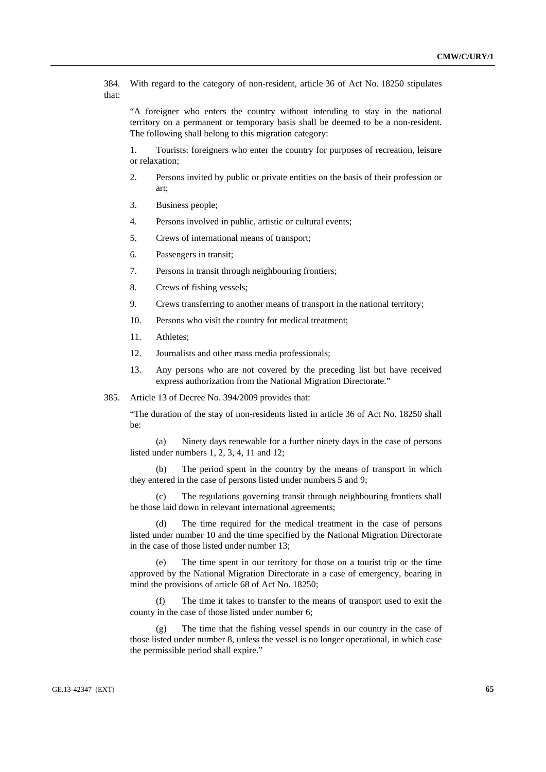384. With regard to the category of non-resident, article 36 of Act No. 18250 stipulates that:

"A foreigner who enters the country without intending to stay in the national territory on a permanent or temporary basis shall be deemed to be a non-resident. The following shall belong to this migration category:

1. Tourists: foreigners who enter the country for purposes of recreation, leisure or relaxation;

- 2. Persons invited by public or private entities on the basis of their profession or art;
- 3. Business people;
- 4. Persons involved in public, artistic or cultural events;
- 5. Crews of international means of transport;
- 6. Passengers in transit;
- 7. Persons in transit through neighbouring frontiers;
- 8. Crews of fishing vessels;
- 9. Crews transferring to another means of transport in the national territory;
- 10. Persons who visit the country for medical treatment;
- 11. Athletes;
- 12. Journalists and other mass media professionals;
- 13. Any persons who are not covered by the preceding list but have received express authorization from the National Migration Directorate."
- 385. Article 13 of Decree No. 394/2009 provides that:

"The duration of the stay of non-residents listed in article 36 of Act No. 18250 shall be:

 (a) Ninety days renewable for a further ninety days in the case of persons listed under numbers 1, 2, 3, 4, 11 and 12;

 (b) The period spent in the country by the means of transport in which they entered in the case of persons listed under numbers 5 and 9;

 (c) The regulations governing transit through neighbouring frontiers shall be those laid down in relevant international agreements;

 (d) The time required for the medical treatment in the case of persons listed under number 10 and the time specified by the National Migration Directorate in the case of those listed under number 13;

 (e) The time spent in our territory for those on a tourist trip or the time approved by the National Migration Directorate in a case of emergency, bearing in mind the provisions of article 68 of Act No. 18250;

 (f) The time it takes to transfer to the means of transport used to exit the county in the case of those listed under number 6;

 (g) The time that the fishing vessel spends in our country in the case of those listed under number 8, unless the vessel is no longer operational, in which case the permissible period shall expire."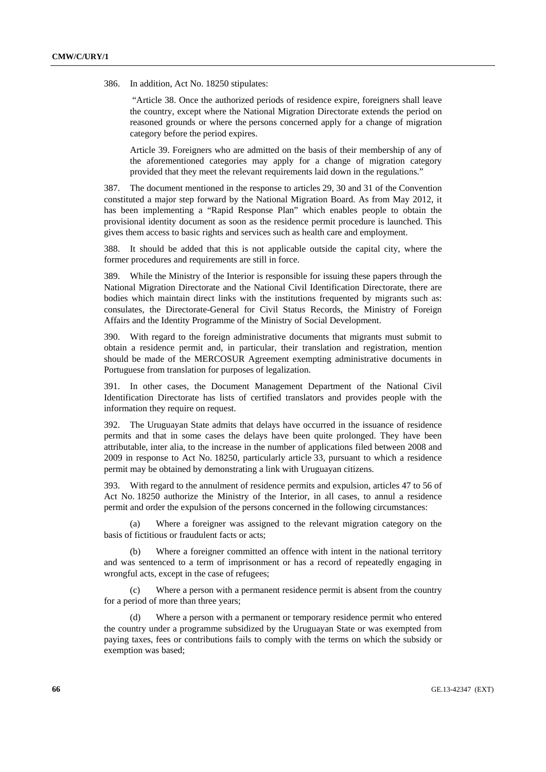386. In addition, Act No. 18250 stipulates:

 "Article 38. Once the authorized periods of residence expire, foreigners shall leave the country, except where the National Migration Directorate extends the period on reasoned grounds or where the persons concerned apply for a change of migration category before the period expires.

Article 39. Foreigners who are admitted on the basis of their membership of any of the aforementioned categories may apply for a change of migration category provided that they meet the relevant requirements laid down in the regulations."

387. The document mentioned in the response to articles 29, 30 and 31 of the Convention constituted a major step forward by the National Migration Board. As from May 2012, it has been implementing a "Rapid Response Plan" which enables people to obtain the provisional identity document as soon as the residence permit procedure is launched. This gives them access to basic rights and services such as health care and employment.

388. It should be added that this is not applicable outside the capital city, where the former procedures and requirements are still in force.

389. While the Ministry of the Interior is responsible for issuing these papers through the National Migration Directorate and the National Civil Identification Directorate, there are bodies which maintain direct links with the institutions frequented by migrants such as: consulates, the Directorate-General for Civil Status Records, the Ministry of Foreign Affairs and the Identity Programme of the Ministry of Social Development.

390. With regard to the foreign administrative documents that migrants must submit to obtain a residence permit and, in particular, their translation and registration, mention should be made of the MERCOSUR Agreement exempting administrative documents in Portuguese from translation for purposes of legalization.

391. In other cases, the Document Management Department of the National Civil Identification Directorate has lists of certified translators and provides people with the information they require on request.

392. The Uruguayan State admits that delays have occurred in the issuance of residence permits and that in some cases the delays have been quite prolonged. They have been attributable, inter alia, to the increase in the number of applications filed between 2008 and 2009 in response to Act No. 18250, particularly article 33, pursuant to which a residence permit may be obtained by demonstrating a link with Uruguayan citizens.

393. With regard to the annulment of residence permits and expulsion, articles 47 to 56 of Act No. 18250 authorize the Ministry of the Interior, in all cases, to annul a residence permit and order the expulsion of the persons concerned in the following circumstances:

 (a) Where a foreigner was assigned to the relevant migration category on the basis of fictitious or fraudulent facts or acts;

 (b) Where a foreigner committed an offence with intent in the national territory and was sentenced to a term of imprisonment or has a record of repeatedly engaging in wrongful acts, except in the case of refugees;

 (c) Where a person with a permanent residence permit is absent from the country for a period of more than three years;

 (d) Where a person with a permanent or temporary residence permit who entered the country under a programme subsidized by the Uruguayan State or was exempted from paying taxes, fees or contributions fails to comply with the terms on which the subsidy or exemption was based;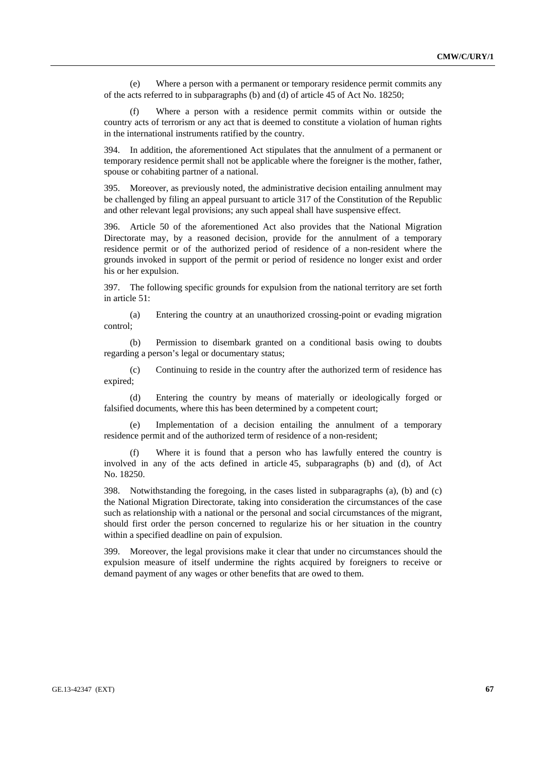(e) Where a person with a permanent or temporary residence permit commits any of the acts referred to in subparagraphs (b) and (d) of article 45 of Act No. 18250;

 (f) Where a person with a residence permit commits within or outside the country acts of terrorism or any act that is deemed to constitute a violation of human rights in the international instruments ratified by the country.

394. In addition, the aforementioned Act stipulates that the annulment of a permanent or temporary residence permit shall not be applicable where the foreigner is the mother, father, spouse or cohabiting partner of a national.

395. Moreover, as previously noted, the administrative decision entailing annulment may be challenged by filing an appeal pursuant to article 317 of the Constitution of the Republic and other relevant legal provisions; any such appeal shall have suspensive effect.

396. Article 50 of the aforementioned Act also provides that the National Migration Directorate may, by a reasoned decision, provide for the annulment of a temporary residence permit or of the authorized period of residence of a non-resident where the grounds invoked in support of the permit or period of residence no longer exist and order his or her expulsion.

397. The following specific grounds for expulsion from the national territory are set forth in article 51:

 (a) Entering the country at an unauthorized crossing-point or evading migration control;

 (b) Permission to disembark granted on a conditional basis owing to doubts regarding a person's legal or documentary status;

 (c) Continuing to reside in the country after the authorized term of residence has expired;

 (d) Entering the country by means of materially or ideologically forged or falsified documents, where this has been determined by a competent court;

 (e) Implementation of a decision entailing the annulment of a temporary residence permit and of the authorized term of residence of a non-resident;

Where it is found that a person who has lawfully entered the country is involved in any of the acts defined in article 45, subparagraphs (b) and (d), of Act No. 18250.

398. Notwithstanding the foregoing, in the cases listed in subparagraphs (a), (b) and (c) the National Migration Directorate, taking into consideration the circumstances of the case such as relationship with a national or the personal and social circumstances of the migrant, should first order the person concerned to regularize his or her situation in the country within a specified deadline on pain of expulsion.

399. Moreover, the legal provisions make it clear that under no circumstances should the expulsion measure of itself undermine the rights acquired by foreigners to receive or demand payment of any wages or other benefits that are owed to them.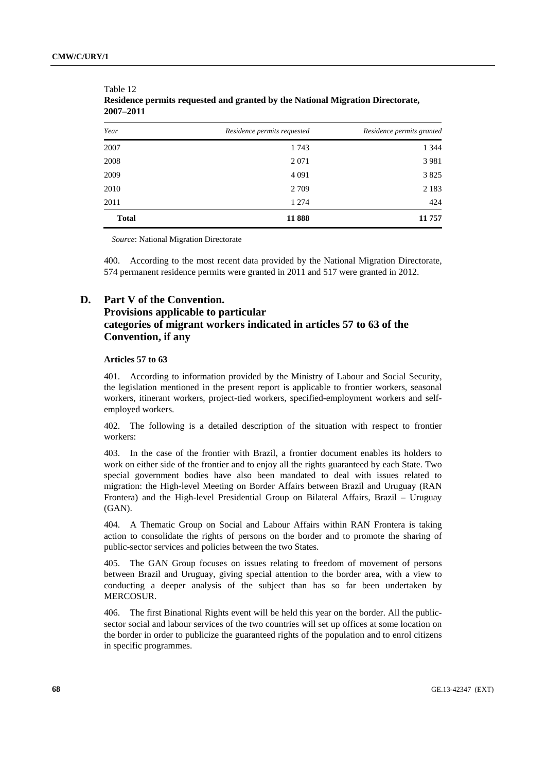| Year         | Residence permits requested | Residence permits granted |
|--------------|-----------------------------|---------------------------|
| 2007         | 1743                        | 1 3 4 4                   |
| 2008         | 2 0 7 1                     | 3 9 8 1                   |
| 2009         | 4 0 9 1                     | 3 8 2 5                   |
| 2010         | 2 7 0 9                     | 2 1 8 3                   |
| 2011         | 1 2 7 4                     | 424                       |
| <b>Total</b> | 11888                       | 11 757                    |

Table 12 **Residence permits requested and granted by the National Migration Directorate, 2007–2011**

*Source*: National Migration Directorate

400. According to the most recent data provided by the National Migration Directorate, 574 permanent residence permits were granted in 2011 and 517 were granted in 2012.

# **D. Part V of the Convention.**

# **Provisions applicable to particular categories of migrant workers indicated in articles 57 to 63 of the Convention, if any**

### **Articles 57 to 63**

401. According to information provided by the Ministry of Labour and Social Security, the legislation mentioned in the present report is applicable to frontier workers, seasonal workers, itinerant workers, project-tied workers, specified-employment workers and selfemployed workers.

402. The following is a detailed description of the situation with respect to frontier workers:

403. In the case of the frontier with Brazil, a frontier document enables its holders to work on either side of the frontier and to enjoy all the rights guaranteed by each State. Two special government bodies have also been mandated to deal with issues related to migration: the High-level Meeting on Border Affairs between Brazil and Uruguay (RAN Frontera) and the High-level Presidential Group on Bilateral Affairs, Brazil – Uruguay (GAN).

404. A Thematic Group on Social and Labour Affairs within RAN Frontera is taking action to consolidate the rights of persons on the border and to promote the sharing of public-sector services and policies between the two States.

405. The GAN Group focuses on issues relating to freedom of movement of persons between Brazil and Uruguay, giving special attention to the border area, with a view to conducting a deeper analysis of the subject than has so far been undertaken by MERCOSUR.

406. The first Binational Rights event will be held this year on the border. All the publicsector social and labour services of the two countries will set up offices at some location on the border in order to publicize the guaranteed rights of the population and to enrol citizens in specific programmes.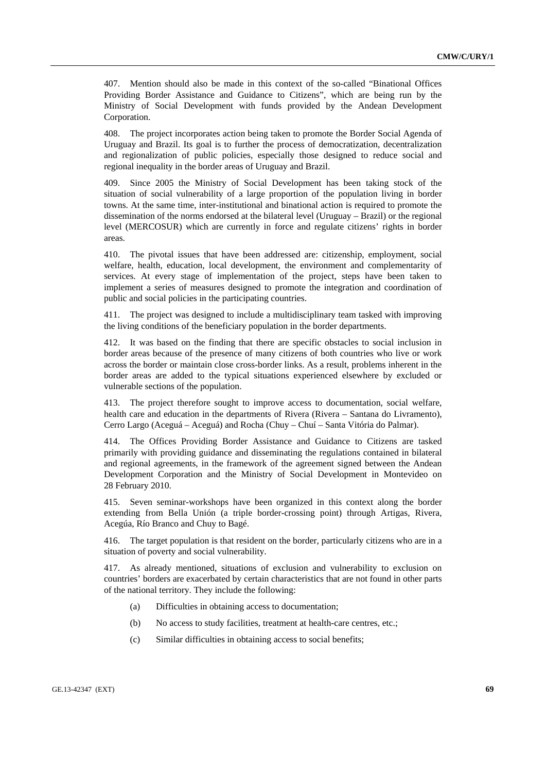407. Mention should also be made in this context of the so-called "Binational Offices Providing Border Assistance and Guidance to Citizens", which are being run by the Ministry of Social Development with funds provided by the Andean Development Corporation.

408. The project incorporates action being taken to promote the Border Social Agenda of Uruguay and Brazil. Its goal is to further the process of democratization, decentralization and regionalization of public policies, especially those designed to reduce social and regional inequality in the border areas of Uruguay and Brazil.

409. Since 2005 the Ministry of Social Development has been taking stock of the situation of social vulnerability of a large proportion of the population living in border towns. At the same time, inter-institutional and binational action is required to promote the dissemination of the norms endorsed at the bilateral level (Uruguay – Brazil) or the regional level (MERCOSUR) which are currently in force and regulate citizens' rights in border areas.

410. The pivotal issues that have been addressed are: citizenship, employment, social welfare, health, education, local development, the environment and complementarity of services. At every stage of implementation of the project, steps have been taken to implement a series of measures designed to promote the integration and coordination of public and social policies in the participating countries.

411. The project was designed to include a multidisciplinary team tasked with improving the living conditions of the beneficiary population in the border departments.

412. It was based on the finding that there are specific obstacles to social inclusion in border areas because of the presence of many citizens of both countries who live or work across the border or maintain close cross-border links. As a result, problems inherent in the border areas are added to the typical situations experienced elsewhere by excluded or vulnerable sections of the population.

413. The project therefore sought to improve access to documentation, social welfare, health care and education in the departments of Rivera (Rivera – Santana do Livramento), Cerro Largo (Aceguá – Aceguá) and Rocha (Chuy – Chuí – Santa Vitória do Palmar).

414. The Offices Providing Border Assistance and Guidance to Citizens are tasked primarily with providing guidance and disseminating the regulations contained in bilateral and regional agreements, in the framework of the agreement signed between the Andean Development Corporation and the Ministry of Social Development in Montevideo on 28 February 2010.

415. Seven seminar-workshops have been organized in this context along the border extending from Bella Unión (a triple border-crossing point) through Artigas, Rivera, Acegúa, Río Branco and Chuy to Bagé.

416. The target population is that resident on the border, particularly citizens who are in a situation of poverty and social vulnerability.

417. As already mentioned, situations of exclusion and vulnerability to exclusion on countries' borders are exacerbated by certain characteristics that are not found in other parts of the national territory. They include the following:

- (a) Difficulties in obtaining access to documentation;
- (b) No access to study facilities, treatment at health-care centres, etc.;
- (c) Similar difficulties in obtaining access to social benefits;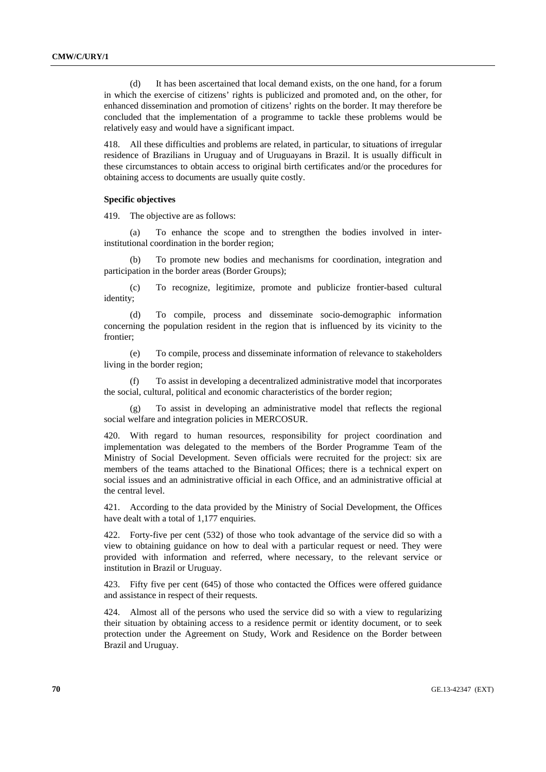(d) It has been ascertained that local demand exists, on the one hand, for a forum in which the exercise of citizens' rights is publicized and promoted and, on the other, for enhanced dissemination and promotion of citizens' rights on the border. It may therefore be concluded that the implementation of a programme to tackle these problems would be relatively easy and would have a significant impact.

418. All these difficulties and problems are related, in particular, to situations of irregular residence of Brazilians in Uruguay and of Uruguayans in Brazil. It is usually difficult in these circumstances to obtain access to original birth certificates and/or the procedures for obtaining access to documents are usually quite costly.

## **Specific objectives**

419. The objective are as follows:

 (a) To enhance the scope and to strengthen the bodies involved in interinstitutional coordination in the border region;

 (b) To promote new bodies and mechanisms for coordination, integration and participation in the border areas (Border Groups);

 (c) To recognize, legitimize, promote and publicize frontier-based cultural identity;

 (d) To compile, process and disseminate socio-demographic information concerning the population resident in the region that is influenced by its vicinity to the frontier;

 (e) To compile, process and disseminate information of relevance to stakeholders living in the border region;

 (f) To assist in developing a decentralized administrative model that incorporates the social, cultural, political and economic characteristics of the border region;

To assist in developing an administrative model that reflects the regional social welfare and integration policies in MERCOSUR.

420. With regard to human resources, responsibility for project coordination and implementation was delegated to the members of the Border Programme Team of the Ministry of Social Development. Seven officials were recruited for the project: six are members of the teams attached to the Binational Offices; there is a technical expert on social issues and an administrative official in each Office, and an administrative official at the central level.

421. According to the data provided by the Ministry of Social Development, the Offices have dealt with a total of 1,177 enquiries.

422. Forty-five per cent (532) of those who took advantage of the service did so with a view to obtaining guidance on how to deal with a particular request or need. They were provided with information and referred, where necessary, to the relevant service or institution in Brazil or Uruguay.

423. Fifty five per cent (645) of those who contacted the Offices were offered guidance and assistance in respect of their requests.

424. Almost all of the persons who used the service did so with a view to regularizing their situation by obtaining access to a residence permit or identity document, or to seek protection under the Agreement on Study, Work and Residence on the Border between Brazil and Uruguay.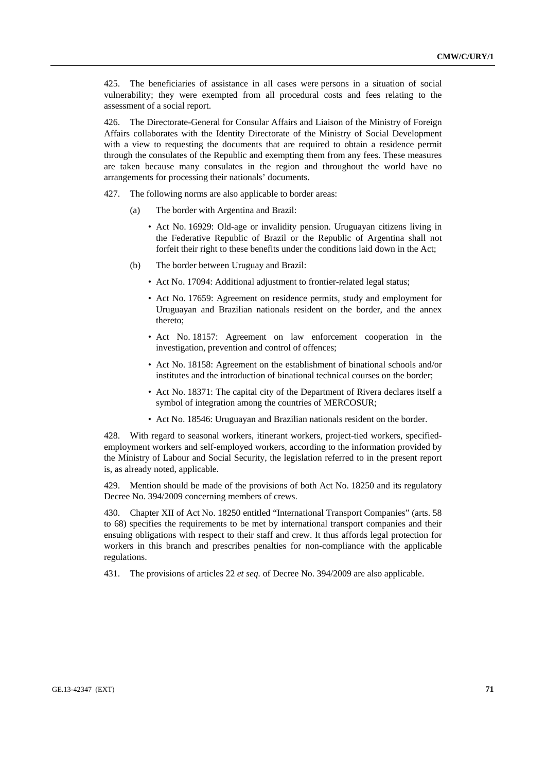425. The beneficiaries of assistance in all cases were persons in a situation of social vulnerability; they were exempted from all procedural costs and fees relating to the assessment of a social report.

426. The Directorate-General for Consular Affairs and Liaison of the Ministry of Foreign Affairs collaborates with the Identity Directorate of the Ministry of Social Development with a view to requesting the documents that are required to obtain a residence permit through the consulates of the Republic and exempting them from any fees. These measures are taken because many consulates in the region and throughout the world have no arrangements for processing their nationals' documents.

427. The following norms are also applicable to border areas:

- (a) The border with Argentina and Brazil:
	- Act No. 16929: Old-age or invalidity pension. Uruguayan citizens living in the Federative Republic of Brazil or the Republic of Argentina shall not forfeit their right to these benefits under the conditions laid down in the Act;
- (b) The border between Uruguay and Brazil:
	- Act No. 17094: Additional adjustment to frontier-related legal status;
	- Act No. 17659: Agreement on residence permits, study and employment for Uruguayan and Brazilian nationals resident on the border, and the annex thereto;
	- Act No. 18157: Agreement on law enforcement cooperation in the investigation, prevention and control of offences;
	- Act No. 18158: Agreement on the establishment of binational schools and/or institutes and the introduction of binational technical courses on the border;
	- Act No. 18371: The capital city of the Department of Rivera declares itself a symbol of integration among the countries of MERCOSUR;
	- Act No. 18546: Uruguayan and Brazilian nationals resident on the border.

428. With regard to seasonal workers, itinerant workers, project-tied workers, specifiedemployment workers and self-employed workers, according to the information provided by the Ministry of Labour and Social Security, the legislation referred to in the present report is, as already noted, applicable.

429. Mention should be made of the provisions of both Act No. 18250 and its regulatory Decree No. 394/2009 concerning members of crews.

430. Chapter XII of Act No. 18250 entitled "International Transport Companies" (arts. 58 to 68) specifies the requirements to be met by international transport companies and their ensuing obligations with respect to their staff and crew. It thus affords legal protection for workers in this branch and prescribes penalties for non-compliance with the applicable regulations.

431. The provisions of articles 22 *et seq.* of Decree No. 394/2009 are also applicable.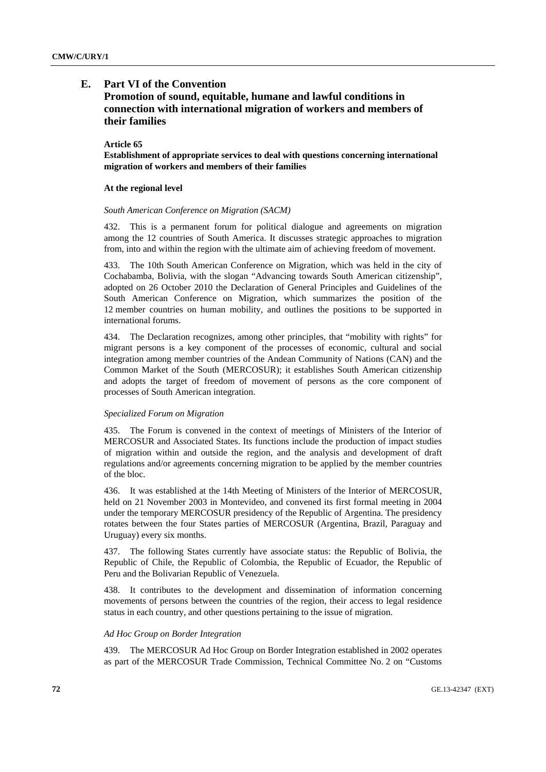## **E. Part VI of the Convention**

# **Promotion of sound, equitable, humane and lawful conditions in connection with international migration of workers and members of their families**

### **Article 65**

**Establishment of appropriate services to deal with questions concerning international migration of workers and members of their families** 

## **At the regional level**

### *South American Conference on Migration (SACM)*

432. This is a permanent forum for political dialogue and agreements on migration among the 12 countries of South America. It discusses strategic approaches to migration from, into and within the region with the ultimate aim of achieving freedom of movement.

433. The 10th South American Conference on Migration, which was held in the city of Cochabamba, Bolivia, with the slogan "Advancing towards South American citizenship", adopted on 26 October 2010 the Declaration of General Principles and Guidelines of the South American Conference on Migration, which summarizes the position of the 12 member countries on human mobility, and outlines the positions to be supported in international forums.

434. The Declaration recognizes, among other principles, that "mobility with rights" for migrant persons is a key component of the processes of economic, cultural and social integration among member countries of the Andean Community of Nations (CAN) and the Common Market of the South (MERCOSUR); it establishes South American citizenship and adopts the target of freedom of movement of persons as the core component of processes of South American integration.

### *Specialized Forum on Migration*

435. The Forum is convened in the context of meetings of Ministers of the Interior of MERCOSUR and Associated States. Its functions include the production of impact studies of migration within and outside the region, and the analysis and development of draft regulations and/or agreements concerning migration to be applied by the member countries of the bloc.

436. It was established at the 14th Meeting of Ministers of the Interior of MERCOSUR, held on 21 November 2003 in Montevideo, and convened its first formal meeting in 2004 under the temporary MERCOSUR presidency of the Republic of Argentina. The presidency rotates between the four States parties of MERCOSUR (Argentina, Brazil, Paraguay and Uruguay) every six months.

437. The following States currently have associate status: the Republic of Bolivia, the Republic of Chile, the Republic of Colombia, the Republic of Ecuador, the Republic of Peru and the Bolivarian Republic of Venezuela.

438. It contributes to the development and dissemination of information concerning movements of persons between the countries of the region, their access to legal residence status in each country, and other questions pertaining to the issue of migration.

### *Ad Hoc Group on Border Integration*

439. The MERCOSUR Ad Hoc Group on Border Integration established in 2002 operates as part of the MERCOSUR Trade Commission, Technical Committee No. 2 on "Customs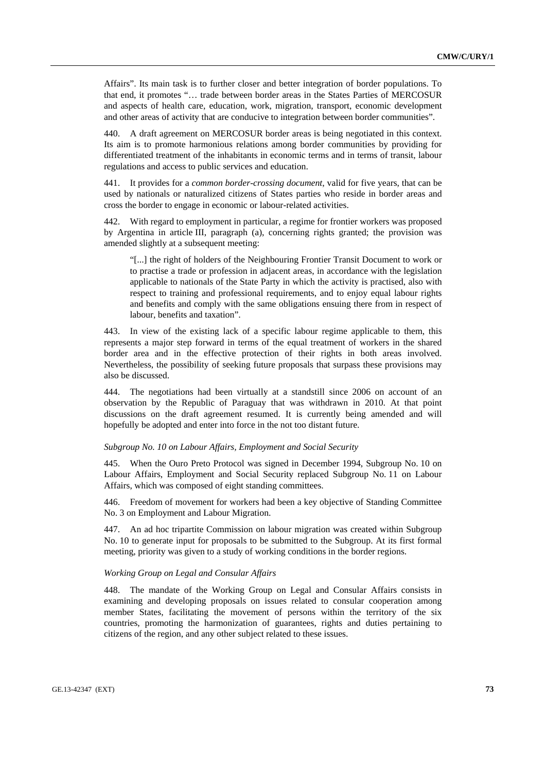Affairs". Its main task is to further closer and better integration of border populations. To that end, it promotes "… trade between border areas in the States Parties of MERCOSUR and aspects of health care, education, work, migration, transport, economic development and other areas of activity that are conducive to integration between border communities".

440. A draft agreement on MERCOSUR border areas is being negotiated in this context. Its aim is to promote harmonious relations among border communities by providing for differentiated treatment of the inhabitants in economic terms and in terms of transit, labour regulations and access to public services and education.

441. It provides for a *common border-crossing document*, valid for five years, that can be used by nationals or naturalized citizens of States parties who reside in border areas and cross the border to engage in economic or labour-related activities.

442. With regard to employment in particular, a regime for frontier workers was proposed by Argentina in article III, paragraph (a), concerning rights granted; the provision was amended slightly at a subsequent meeting:

"[...] the right of holders of the Neighbouring Frontier Transit Document to work or to practise a trade or profession in adjacent areas, in accordance with the legislation applicable to nationals of the State Party in which the activity is practised, also with respect to training and professional requirements, and to enjoy equal labour rights and benefits and comply with the same obligations ensuing there from in respect of labour, benefits and taxation".

443. In view of the existing lack of a specific labour regime applicable to them, this represents a major step forward in terms of the equal treatment of workers in the shared border area and in the effective protection of their rights in both areas involved. Nevertheless, the possibility of seeking future proposals that surpass these provisions may also be discussed.

444. The negotiations had been virtually at a standstill since 2006 on account of an observation by the Republic of Paraguay that was withdrawn in 2010. At that point discussions on the draft agreement resumed. It is currently being amended and will hopefully be adopted and enter into force in the not too distant future.

## *Subgroup No. 10 on Labour Affairs, Employment and Social Security*

445. When the Ouro Preto Protocol was signed in December 1994, Subgroup No. 10 on Labour Affairs, Employment and Social Security replaced Subgroup No. 11 on Labour Affairs, which was composed of eight standing committees.

446. Freedom of movement for workers had been a key objective of Standing Committee No. 3 on Employment and Labour Migration.

447. An ad hoc tripartite Commission on labour migration was created within Subgroup No. 10 to generate input for proposals to be submitted to the Subgroup. At its first formal meeting, priority was given to a study of working conditions in the border regions.

# *Working Group on Legal and Consular Affairs*

448. The mandate of the Working Group on Legal and Consular Affairs consists in examining and developing proposals on issues related to consular cooperation among member States, facilitating the movement of persons within the territory of the six countries, promoting the harmonization of guarantees, rights and duties pertaining to citizens of the region, and any other subject related to these issues.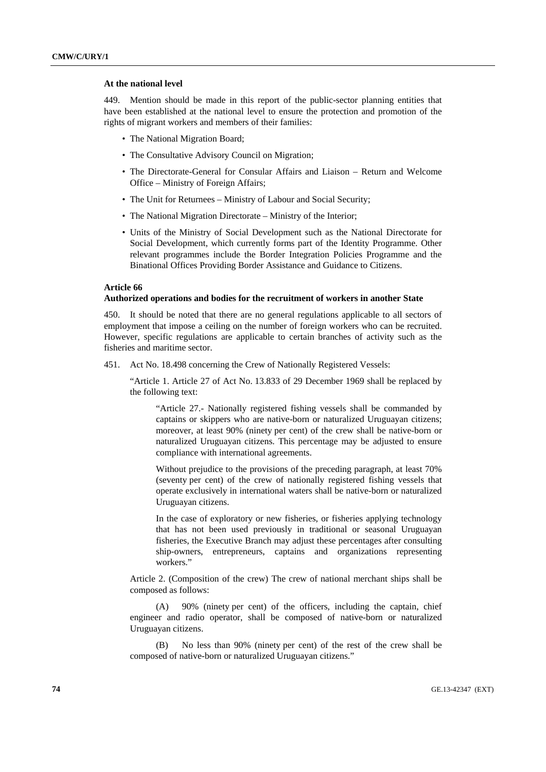## **At the national level**

449. Mention should be made in this report of the public-sector planning entities that have been established at the national level to ensure the protection and promotion of the rights of migrant workers and members of their families:

- The National Migration Board:
- The Consultative Advisory Council on Migration;
- The Directorate-General for Consular Affairs and Liaison Return and Welcome Office – Ministry of Foreign Affairs;
- The Unit for Returnees Ministry of Labour and Social Security;
- The National Migration Directorate Ministry of the Interior;
- Units of the Ministry of Social Development such as the National Directorate for Social Development, which currently forms part of the Identity Programme. Other relevant programmes include the Border Integration Policies Programme and the Binational Offices Providing Border Assistance and Guidance to Citizens.

#### **Article 66**

## **Authorized operations and bodies for the recruitment of workers in another State**

450. It should be noted that there are no general regulations applicable to all sectors of employment that impose a ceiling on the number of foreign workers who can be recruited. However, specific regulations are applicable to certain branches of activity such as the fisheries and maritime sector.

451. Act No. 18.498 concerning the Crew of Nationally Registered Vessels:

"Article 1. Article 27 of Act No. 13.833 of 29 December 1969 shall be replaced by the following text:

"Article 27.- Nationally registered fishing vessels shall be commanded by captains or skippers who are native-born or naturalized Uruguayan citizens; moreover, at least 90% (ninety per cent) of the crew shall be native-born or naturalized Uruguayan citizens. This percentage may be adjusted to ensure compliance with international agreements.

Without prejudice to the provisions of the preceding paragraph, at least 70% (seventy per cent) of the crew of nationally registered fishing vessels that operate exclusively in international waters shall be native-born or naturalized Uruguayan citizens.

In the case of exploratory or new fisheries, or fisheries applying technology that has not been used previously in traditional or seasonal Uruguayan fisheries, the Executive Branch may adjust these percentages after consulting ship-owners, entrepreneurs, captains and organizations representing workers."

Article 2. (Composition of the crew) The crew of national merchant ships shall be composed as follows:

 (A) 90% (ninety per cent) of the officers, including the captain, chief engineer and radio operator, shall be composed of native-born or naturalized Uruguayan citizens.

 (B) No less than 90% (ninety per cent) of the rest of the crew shall be composed of native-born or naturalized Uruguayan citizens."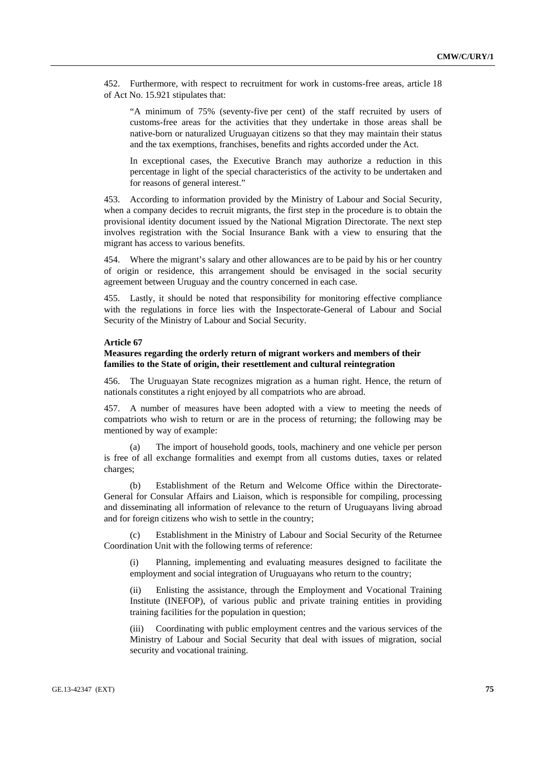452. Furthermore, with respect to recruitment for work in customs-free areas, article 18 of Act No. 15.921 stipulates that:

"A minimum of 75% (seventy-five per cent) of the staff recruited by users of customs-free areas for the activities that they undertake in those areas shall be native-born or naturalized Uruguayan citizens so that they may maintain their status and the tax exemptions, franchises, benefits and rights accorded under the Act.

In exceptional cases, the Executive Branch may authorize a reduction in this percentage in light of the special characteristics of the activity to be undertaken and for reasons of general interest."

453. According to information provided by the Ministry of Labour and Social Security, when a company decides to recruit migrants, the first step in the procedure is to obtain the provisional identity document issued by the National Migration Directorate. The next step involves registration with the Social Insurance Bank with a view to ensuring that the migrant has access to various benefits.

454. Where the migrant's salary and other allowances are to be paid by his or her country of origin or residence, this arrangement should be envisaged in the social security agreement between Uruguay and the country concerned in each case.

455. Lastly, it should be noted that responsibility for monitoring effective compliance with the regulations in force lies with the Inspectorate-General of Labour and Social Security of the Ministry of Labour and Social Security.

# **Article 67**

# **Measures regarding the orderly return of migrant workers and members of their families to the State of origin, their resettlement and cultural reintegration**

456. The Uruguayan State recognizes migration as a human right. Hence, the return of nationals constitutes a right enjoyed by all compatriots who are abroad.

457. A number of measures have been adopted with a view to meeting the needs of compatriots who wish to return or are in the process of returning; the following may be mentioned by way of example:

 (a) The import of household goods, tools, machinery and one vehicle per person is free of all exchange formalities and exempt from all customs duties, taxes or related charges;

 (b) Establishment of the Return and Welcome Office within the Directorate-General for Consular Affairs and Liaison, which is responsible for compiling, processing and disseminating all information of relevance to the return of Uruguayans living abroad and for foreign citizens who wish to settle in the country;

 (c) Establishment in the Ministry of Labour and Social Security of the Returnee Coordination Unit with the following terms of reference:

 (i) Planning, implementing and evaluating measures designed to facilitate the employment and social integration of Uruguayans who return to the country;

 (ii) Enlisting the assistance, through the Employment and Vocational Training Institute (INEFOP), of various public and private training entities in providing training facilities for the population in question;

 (iii) Coordinating with public employment centres and the various services of the Ministry of Labour and Social Security that deal with issues of migration, social security and vocational training.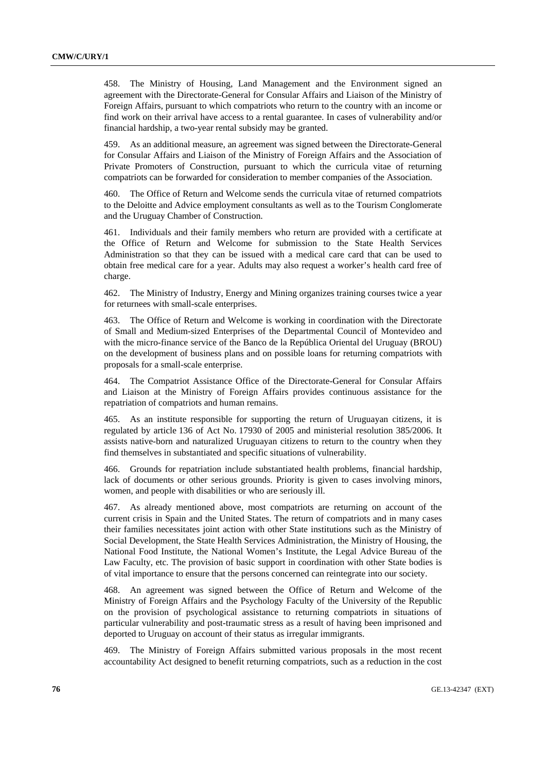458. The Ministry of Housing, Land Management and the Environment signed an agreement with the Directorate-General for Consular Affairs and Liaison of the Ministry of Foreign Affairs, pursuant to which compatriots who return to the country with an income or find work on their arrival have access to a rental guarantee. In cases of vulnerability and/or financial hardship, a two-year rental subsidy may be granted.

459. As an additional measure, an agreement was signed between the Directorate-General for Consular Affairs and Liaison of the Ministry of Foreign Affairs and the Association of Private Promoters of Construction, pursuant to which the curricula vitae of returning compatriots can be forwarded for consideration to member companies of the Association.

460. The Office of Return and Welcome sends the curricula vitae of returned compatriots to the Deloitte and Advice employment consultants as well as to the Tourism Conglomerate and the Uruguay Chamber of Construction.

461. Individuals and their family members who return are provided with a certificate at the Office of Return and Welcome for submission to the State Health Services Administration so that they can be issued with a medical care card that can be used to obtain free medical care for a year. Adults may also request a worker's health card free of charge.

462. The Ministry of Industry, Energy and Mining organizes training courses twice a year for returnees with small-scale enterprises.

463. The Office of Return and Welcome is working in coordination with the Directorate of Small and Medium-sized Enterprises of the Departmental Council of Montevideo and with the micro-finance service of the Banco de la República Oriental del Uruguay (BROU) on the development of business plans and on possible loans for returning compatriots with proposals for a small-scale enterprise.

464. The Compatriot Assistance Office of the Directorate-General for Consular Affairs and Liaison at the Ministry of Foreign Affairs provides continuous assistance for the repatriation of compatriots and human remains.

465. As an institute responsible for supporting the return of Uruguayan citizens, it is regulated by article 136 of Act No. 17930 of 2005 and ministerial resolution 385/2006. It assists native-born and naturalized Uruguayan citizens to return to the country when they find themselves in substantiated and specific situations of vulnerability.

466. Grounds for repatriation include substantiated health problems, financial hardship, lack of documents or other serious grounds. Priority is given to cases involving minors, women, and people with disabilities or who are seriously ill.

467. As already mentioned above, most compatriots are returning on account of the current crisis in Spain and the United States. The return of compatriots and in many cases their families necessitates joint action with other State institutions such as the Ministry of Social Development, the State Health Services Administration, the Ministry of Housing, the National Food Institute, the National Women's Institute, the Legal Advice Bureau of the Law Faculty, etc. The provision of basic support in coordination with other State bodies is of vital importance to ensure that the persons concerned can reintegrate into our society.

468. An agreement was signed between the Office of Return and Welcome of the Ministry of Foreign Affairs and the Psychology Faculty of the University of the Republic on the provision of psychological assistance to returning compatriots in situations of particular vulnerability and post-traumatic stress as a result of having been imprisoned and deported to Uruguay on account of their status as irregular immigrants.

469. The Ministry of Foreign Affairs submitted various proposals in the most recent accountability Act designed to benefit returning compatriots, such as a reduction in the cost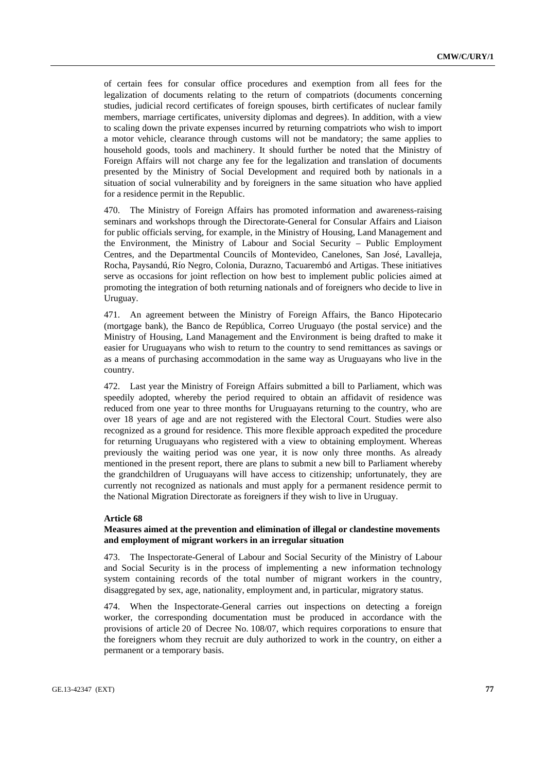of certain fees for consular office procedures and exemption from all fees for the legalization of documents relating to the return of compatriots (documents concerning studies, judicial record certificates of foreign spouses, birth certificates of nuclear family members, marriage certificates, university diplomas and degrees). In addition, with a view to scaling down the private expenses incurred by returning compatriots who wish to import a motor vehicle, clearance through customs will not be mandatory; the same applies to household goods, tools and machinery. It should further be noted that the Ministry of Foreign Affairs will not charge any fee for the legalization and translation of documents presented by the Ministry of Social Development and required both by nationals in a situation of social vulnerability and by foreigners in the same situation who have applied for a residence permit in the Republic.

470. The Ministry of Foreign Affairs has promoted information and awareness-raising seminars and workshops through the Directorate-General for Consular Affairs and Liaison for public officials serving, for example, in the Ministry of Housing, Land Management and the Environment, the Ministry of Labour and Social Security – Public Employment Centres, and the Departmental Councils of Montevideo, Canelones, San José, Lavalleja, Rocha, Paysandú, Río Negro, Colonia, Durazno, Tacuarembó and Artigas. These initiatives serve as occasions for joint reflection on how best to implement public policies aimed at promoting the integration of both returning nationals and of foreigners who decide to live in Uruguay.

471. An agreement between the Ministry of Foreign Affairs, the Banco Hipotecario (mortgage bank), the Banco de República, Correo Uruguayo (the postal service) and the Ministry of Housing, Land Management and the Environment is being drafted to make it easier for Uruguayans who wish to return to the country to send remittances as savings or as a means of purchasing accommodation in the same way as Uruguayans who live in the country.

472. Last year the Ministry of Foreign Affairs submitted a bill to Parliament, which was speedily adopted, whereby the period required to obtain an affidavit of residence was reduced from one year to three months for Uruguayans returning to the country, who are over 18 years of age and are not registered with the Electoral Court. Studies were also recognized as a ground for residence. This more flexible approach expedited the procedure for returning Uruguayans who registered with a view to obtaining employment. Whereas previously the waiting period was one year, it is now only three months. As already mentioned in the present report, there are plans to submit a new bill to Parliament whereby the grandchildren of Uruguayans will have access to citizenship; unfortunately, they are currently not recognized as nationals and must apply for a permanent residence permit to the National Migration Directorate as foreigners if they wish to live in Uruguay.

# **Article 68**

# **Measures aimed at the prevention and elimination of illegal or clandestine movements and employment of migrant workers in an irregular situation**

473. The Inspectorate-General of Labour and Social Security of the Ministry of Labour and Social Security is in the process of implementing a new information technology system containing records of the total number of migrant workers in the country, disaggregated by sex, age, nationality, employment and, in particular, migratory status.

474. When the Inspectorate-General carries out inspections on detecting a foreign worker, the corresponding documentation must be produced in accordance with the provisions of article 20 of Decree No. 108/07, which requires corporations to ensure that the foreigners whom they recruit are duly authorized to work in the country, on either a permanent or a temporary basis.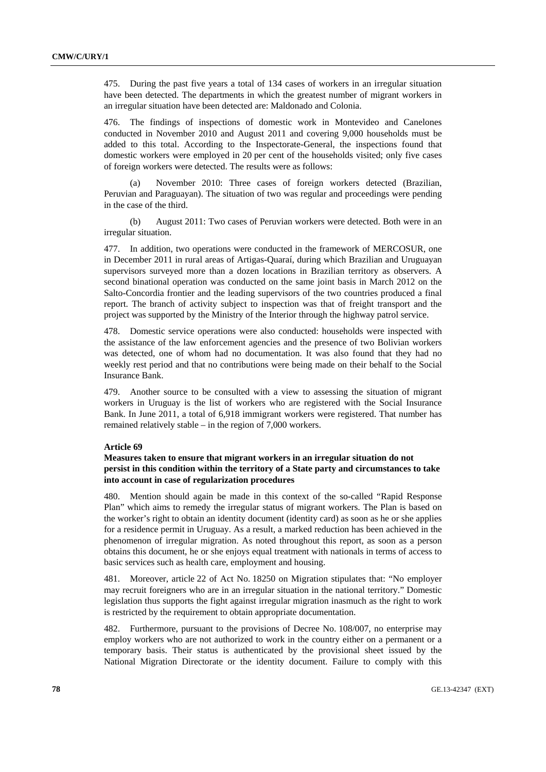475. During the past five years a total of 134 cases of workers in an irregular situation have been detected. The departments in which the greatest number of migrant workers in an irregular situation have been detected are: Maldonado and Colonia.

476. The findings of inspections of domestic work in Montevideo and Canelones conducted in November 2010 and August 2011 and covering 9,000 households must be added to this total. According to the Inspectorate-General, the inspections found that domestic workers were employed in 20 per cent of the households visited; only five cases of foreign workers were detected. The results were as follows:

November 2010: Three cases of foreign workers detected (Brazilian, Peruvian and Paraguayan). The situation of two was regular and proceedings were pending in the case of the third.

 (b) August 2011: Two cases of Peruvian workers were detected. Both were in an irregular situation.

477. In addition, two operations were conducted in the framework of MERCOSUR, one in December 2011 in rural areas of Artigas-Quaraí, during which Brazilian and Uruguayan supervisors surveyed more than a dozen locations in Brazilian territory as observers. A second binational operation was conducted on the same joint basis in March 2012 on the Salto-Concordia frontier and the leading supervisors of the two countries produced a final report. The branch of activity subject to inspection was that of freight transport and the project was supported by the Ministry of the Interior through the highway patrol service.

478. Domestic service operations were also conducted: households were inspected with the assistance of the law enforcement agencies and the presence of two Bolivian workers was detected, one of whom had no documentation. It was also found that they had no weekly rest period and that no contributions were being made on their behalf to the Social Insurance Bank.

479. Another source to be consulted with a view to assessing the situation of migrant workers in Uruguay is the list of workers who are registered with the Social Insurance Bank. In June 2011, a total of 6,918 immigrant workers were registered. That number has remained relatively stable – in the region of 7,000 workers.

## **Article 69**

# **Measures taken to ensure that migrant workers in an irregular situation do not persist in this condition within the territory of a State party and circumstances to take into account in case of regularization procedures**

480. Mention should again be made in this context of the so-called "Rapid Response Plan" which aims to remedy the irregular status of migrant workers. The Plan is based on the worker's right to obtain an identity document (identity card) as soon as he or she applies for a residence permit in Uruguay. As a result, a marked reduction has been achieved in the phenomenon of irregular migration. As noted throughout this report, as soon as a person obtains this document, he or she enjoys equal treatment with nationals in terms of access to basic services such as health care, employment and housing.

481. Moreover, article 22 of Act No. 18250 on Migration stipulates that: "No employer may recruit foreigners who are in an irregular situation in the national territory." Domestic legislation thus supports the fight against irregular migration inasmuch as the right to work is restricted by the requirement to obtain appropriate documentation.

482. Furthermore, pursuant to the provisions of Decree No. 108/007, no enterprise may employ workers who are not authorized to work in the country either on a permanent or a temporary basis. Their status is authenticated by the provisional sheet issued by the National Migration Directorate or the identity document. Failure to comply with this